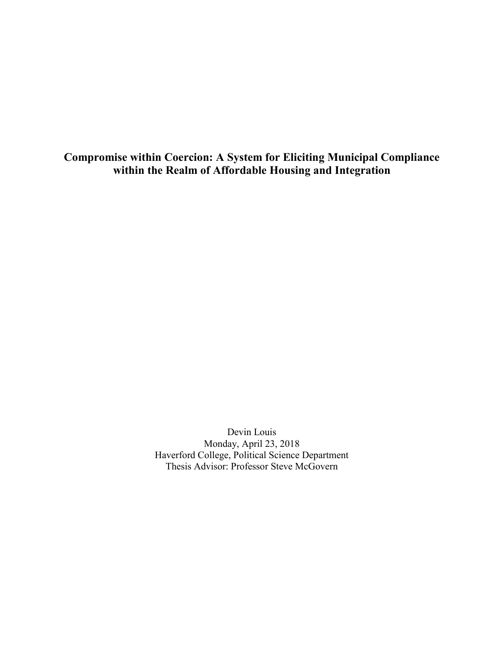**Compromise within Coercion: A System for Eliciting Municipal Compliance within the Realm of Affordable Housing and Integration**

> Devin Louis Monday, April 23, 2018 Haverford College, Political Science Department Thesis Advisor: Professor Steve McGovern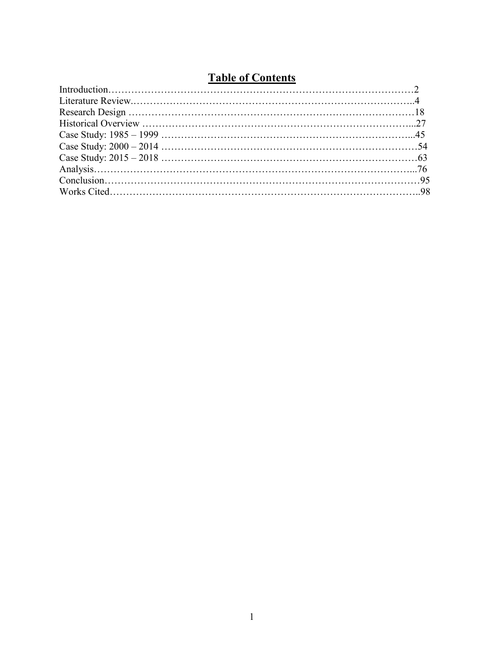# **Table of Contents**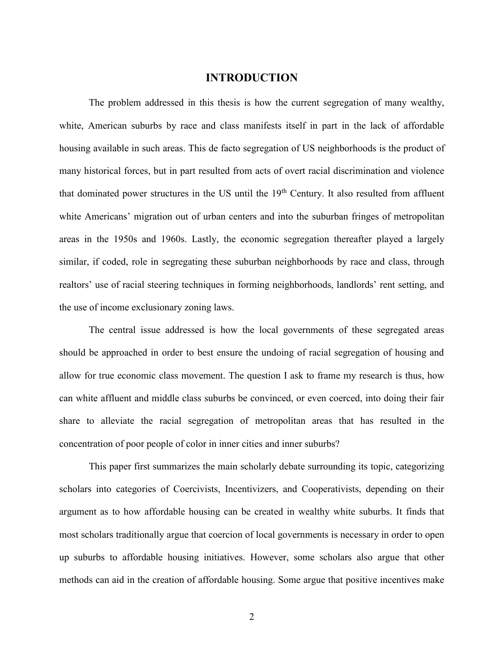# **INTRODUCTION**

The problem addressed in this thesis is how the current segregation of many wealthy, white, American suburbs by race and class manifests itself in part in the lack of affordable housing available in such areas. This de facto segregation of US neighborhoods is the product of many historical forces, but in part resulted from acts of overt racial discrimination and violence that dominated power structures in the US until the  $19<sup>th</sup>$  Century. It also resulted from affluent white Americans' migration out of urban centers and into the suburban fringes of metropolitan areas in the 1950s and 1960s. Lastly, the economic segregation thereafter played a largely similar, if coded, role in segregating these suburban neighborhoods by race and class, through realtors' use of racial steering techniques in forming neighborhoods, landlords' rent setting, and the use of income exclusionary zoning laws.

The central issue addressed is how the local governments of these segregated areas should be approached in order to best ensure the undoing of racial segregation of housing and allow for true economic class movement. The question I ask to frame my research is thus, how can white affluent and middle class suburbs be convinced, or even coerced, into doing their fair share to alleviate the racial segregation of metropolitan areas that has resulted in the concentration of poor people of color in inner cities and inner suburbs?

This paper first summarizes the main scholarly debate surrounding its topic, categorizing scholars into categories of Coercivists, Incentivizers, and Cooperativists, depending on their argument as to how affordable housing can be created in wealthy white suburbs. It finds that most scholars traditionally argue that coercion of local governments is necessary in order to open up suburbs to affordable housing initiatives. However, some scholars also argue that other methods can aid in the creation of affordable housing. Some argue that positive incentives make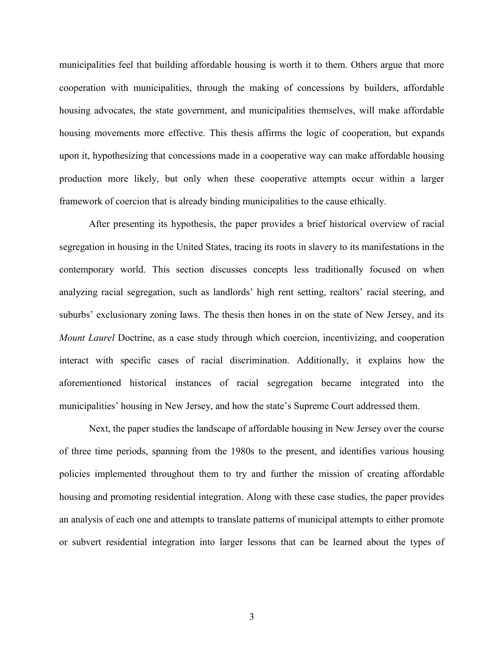municipalities feel that building affordable housing is worth it to them. Others argue that more cooperation with municipalities, through the making of concessions by builders, affordable housing advocates, the state government, and municipalities themselves, will make affordable housing movements more effective. This thesis affirms the logic of cooperation, but expands upon it, hypothesizing that concessions made in a cooperative way can make affordable housing production more likely, but only when these cooperative attempts occur within a larger framework of coercion that is already binding municipalities to the cause ethically.

After presenting its hypothesis, the paper provides a brief historical overview of racial segregation in housing in the United States, tracing its roots in slavery to its manifestations in the contemporary world. This section discusses concepts less traditionally focused on when analyzing racial segregation, such as landlords' high rent setting, realtors' racial steering, and suburbs' exclusionary zoning laws. The thesis then hones in on the state of New Jersey, and its *Mount Laurel* Doctrine, as a case study through which coercion, incentivizing, and cooperation interact with specific cases of racial discrimination. Additionally, it explains how the aforementioned historical instances of racial segregation became integrated into the municipalities' housing in New Jersey, and how the state's Supreme Court addressed them.

Next, the paper studies the landscape of affordable housing in New Jersey over the course of three time periods, spanning from the 1980s to the present, and identifies various housing policies implemented throughout them to try and further the mission of creating affordable housing and promoting residential integration. Along with these case studies, the paper provides an analysis of each one and attempts to translate patterns of municipal attempts to either promote or subvert residential integration into larger lessons that can be learned about the types of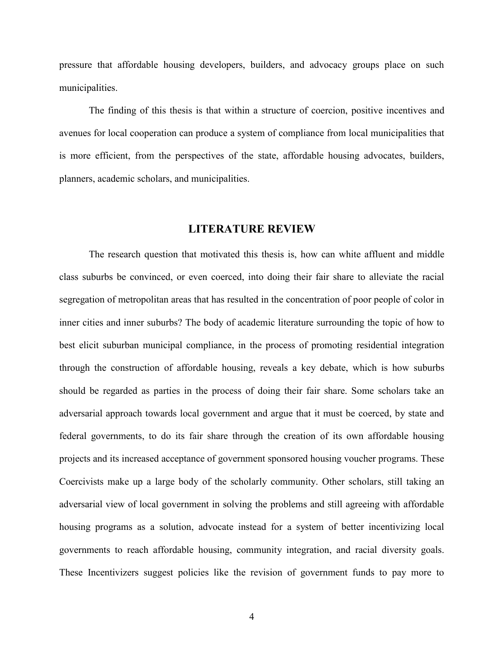pressure that affordable housing developers, builders, and advocacy groups place on such municipalities.

The finding of this thesis is that within a structure of coercion, positive incentives and avenues for local cooperation can produce a system of compliance from local municipalities that is more efficient, from the perspectives of the state, affordable housing advocates, builders, planners, academic scholars, and municipalities.

# **LITERATURE REVIEW**

The research question that motivated this thesis is, how can white affluent and middle class suburbs be convinced, or even coerced, into doing their fair share to alleviate the racial segregation of metropolitan areas that has resulted in the concentration of poor people of color in inner cities and inner suburbs? The body of academic literature surrounding the topic of how to best elicit suburban municipal compliance, in the process of promoting residential integration through the construction of affordable housing, reveals a key debate, which is how suburbs should be regarded as parties in the process of doing their fair share. Some scholars take an adversarial approach towards local government and argue that it must be coerced, by state and federal governments, to do its fair share through the creation of its own affordable housing projects and its increased acceptance of government sponsored housing voucher programs. These Coercivists make up a large body of the scholarly community. Other scholars, still taking an adversarial view of local government in solving the problems and still agreeing with affordable housing programs as a solution, advocate instead for a system of better incentivizing local governments to reach affordable housing, community integration, and racial diversity goals. These Incentivizers suggest policies like the revision of government funds to pay more to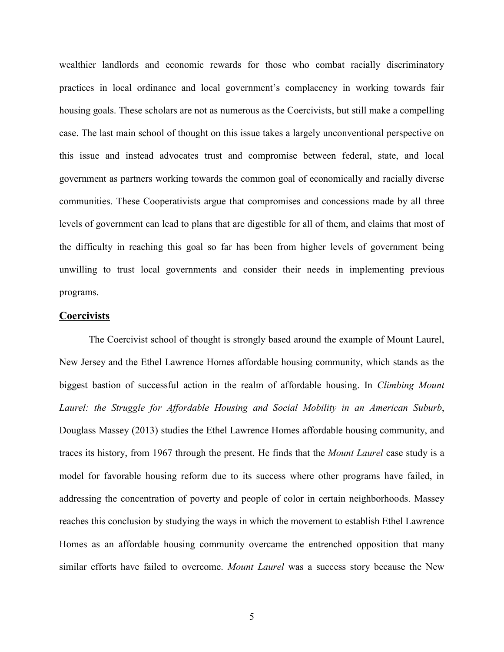wealthier landlords and economic rewards for those who combat racially discriminatory practices in local ordinance and local government's complacency in working towards fair housing goals. These scholars are not as numerous as the Coercivists, but still make a compelling case. The last main school of thought on this issue takes a largely unconventional perspective on this issue and instead advocates trust and compromise between federal, state, and local government as partners working towards the common goal of economically and racially diverse communities. These Cooperativists argue that compromises and concessions made by all three levels of government can lead to plans that are digestible for all of them, and claims that most of the difficulty in reaching this goal so far has been from higher levels of government being unwilling to trust local governments and consider their needs in implementing previous programs.

# **Coercivists**

The Coercivist school of thought is strongly based around the example of Mount Laurel, New Jersey and the Ethel Lawrence Homes affordable housing community, which stands as the biggest bastion of successful action in the realm of affordable housing. In *Climbing Mount Laurel: the Struggle for Affordable Housing and Social Mobility in an American Suburb*, Douglass Massey (2013) studies the Ethel Lawrence Homes affordable housing community, and traces its history, from 1967 through the present. He finds that the *Mount Laurel* case study is a model for favorable housing reform due to its success where other programs have failed, in addressing the concentration of poverty and people of color in certain neighborhoods. Massey reaches this conclusion by studying the ways in which the movement to establish Ethel Lawrence Homes as an affordable housing community overcame the entrenched opposition that many similar efforts have failed to overcome. *Mount Laurel* was a success story because the New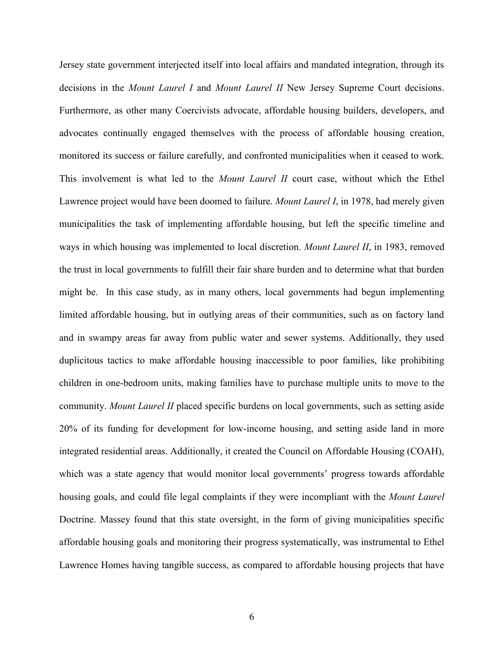Jersey state government interjected itself into local affairs and mandated integration, through its decisions in the *Mount Laurel I* and *Mount Laurel II* New Jersey Supreme Court decisions. Furthermore, as other many Coercivists advocate, affordable housing builders, developers, and advocates continually engaged themselves with the process of affordable housing creation, monitored its success or failure carefully, and confronted municipalities when it ceased to work. This involvement is what led to the *Mount Laurel II* court case, without which the Ethel Lawrence project would have been doomed to failure. *Mount Laurel I*, in 1978, had merely given municipalities the task of implementing affordable housing, but left the specific timeline and ways in which housing was implemented to local discretion. *Mount Laurel II*, in 1983, removed the trust in local governments to fulfill their fair share burden and to determine what that burden might be. In this case study, as in many others, local governments had begun implementing limited affordable housing, but in outlying areas of their communities, such as on factory land and in swampy areas far away from public water and sewer systems. Additionally, they used duplicitous tactics to make affordable housing inaccessible to poor families, like prohibiting children in one-bedroom units, making families have to purchase multiple units to move to the community. *Mount Laurel II* placed specific burdens on local governments, such as setting aside 20% of its funding for development for low-income housing, and setting aside land in more integrated residential areas. Additionally, it created the Council on Affordable Housing (COAH), which was a state agency that would monitor local governments' progress towards affordable housing goals, and could file legal complaints if they were incompliant with the *Mount Laurel* Doctrine. Massey found that this state oversight, in the form of giving municipalities specific affordable housing goals and monitoring their progress systematically, was instrumental to Ethel Lawrence Homes having tangible success, as compared to affordable housing projects that have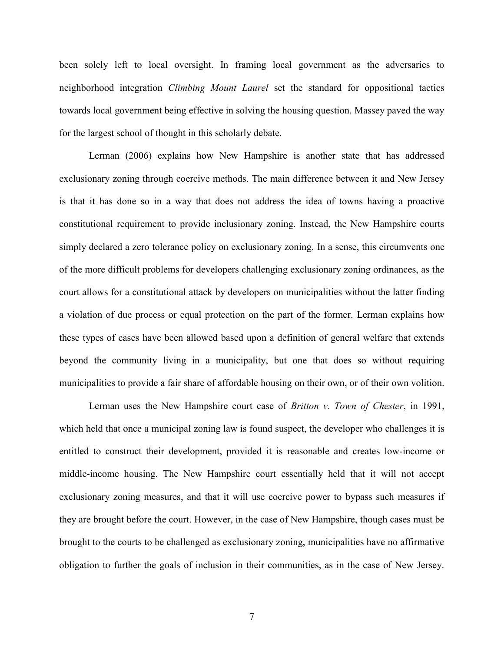been solely left to local oversight. In framing local government as the adversaries to neighborhood integration *Climbing Mount Laurel* set the standard for oppositional tactics towards local government being effective in solving the housing question. Massey paved the way for the largest school of thought in this scholarly debate.

Lerman (2006) explains how New Hampshire is another state that has addressed exclusionary zoning through coercive methods. The main difference between it and New Jersey is that it has done so in a way that does not address the idea of towns having a proactive constitutional requirement to provide inclusionary zoning. Instead, the New Hampshire courts simply declared a zero tolerance policy on exclusionary zoning. In a sense, this circumvents one of the more difficult problems for developers challenging exclusionary zoning ordinances, as the court allows for a constitutional attack by developers on municipalities without the latter finding a violation of due process or equal protection on the part of the former. Lerman explains how these types of cases have been allowed based upon a definition of general welfare that extends beyond the community living in a municipality, but one that does so without requiring municipalities to provide a fair share of affordable housing on their own, or of their own volition.

Lerman uses the New Hampshire court case of *Britton v. Town of Chester*, in 1991, which held that once a municipal zoning law is found suspect, the developer who challenges it is entitled to construct their development, provided it is reasonable and creates low-income or middle-income housing. The New Hampshire court essentially held that it will not accept exclusionary zoning measures, and that it will use coercive power to bypass such measures if they are brought before the court. However, in the case of New Hampshire, though cases must be brought to the courts to be challenged as exclusionary zoning, municipalities have no affirmative obligation to further the goals of inclusion in their communities, as in the case of New Jersey.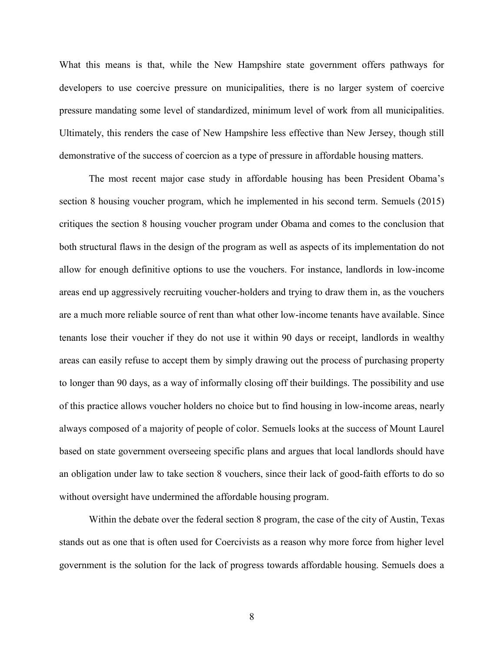What this means is that, while the New Hampshire state government offers pathways for developers to use coercive pressure on municipalities, there is no larger system of coercive pressure mandating some level of standardized, minimum level of work from all municipalities. Ultimately, this renders the case of New Hampshire less effective than New Jersey, though still demonstrative of the success of coercion as a type of pressure in affordable housing matters.

The most recent major case study in affordable housing has been President Obama's section 8 housing voucher program, which he implemented in his second term. Semuels (2015) critiques the section 8 housing voucher program under Obama and comes to the conclusion that both structural flaws in the design of the program as well as aspects of its implementation do not allow for enough definitive options to use the vouchers. For instance, landlords in low-income areas end up aggressively recruiting voucher-holders and trying to draw them in, as the vouchers are a much more reliable source of rent than what other low-income tenants have available. Since tenants lose their voucher if they do not use it within 90 days or receipt, landlords in wealthy areas can easily refuse to accept them by simply drawing out the process of purchasing property to longer than 90 days, as a way of informally closing off their buildings. The possibility and use of this practice allows voucher holders no choice but to find housing in low-income areas, nearly always composed of a majority of people of color. Semuels looks at the success of Mount Laurel based on state government overseeing specific plans and argues that local landlords should have an obligation under law to take section 8 vouchers, since their lack of good-faith efforts to do so without oversight have undermined the affordable housing program.

Within the debate over the federal section 8 program, the case of the city of Austin, Texas stands out as one that is often used for Coercivists as a reason why more force from higher level government is the solution for the lack of progress towards affordable housing. Semuels does a

8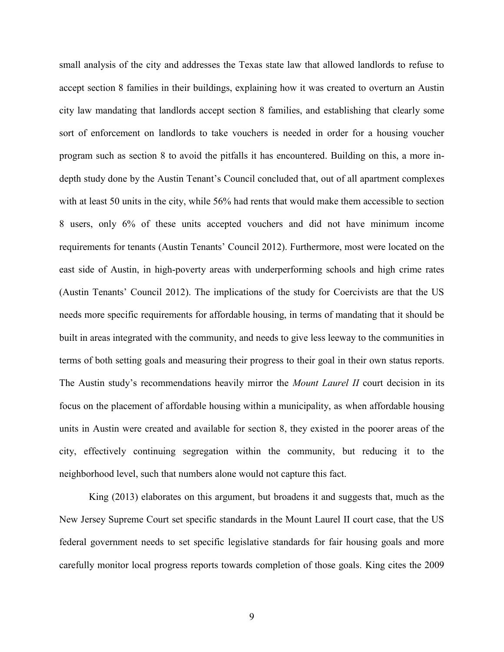small analysis of the city and addresses the Texas state law that allowed landlords to refuse to accept section 8 families in their buildings, explaining how it was created to overturn an Austin city law mandating that landlords accept section 8 families, and establishing that clearly some sort of enforcement on landlords to take vouchers is needed in order for a housing voucher program such as section 8 to avoid the pitfalls it has encountered. Building on this, a more indepth study done by the Austin Tenant's Council concluded that, out of all apartment complexes with at least 50 units in the city, while 56% had rents that would make them accessible to section 8 users, only 6% of these units accepted vouchers and did not have minimum income requirements for tenants (Austin Tenants' Council 2012). Furthermore, most were located on the east side of Austin, in high-poverty areas with underperforming schools and high crime rates (Austin Tenants' Council 2012). The implications of the study for Coercivists are that the US needs more specific requirements for affordable housing, in terms of mandating that it should be built in areas integrated with the community, and needs to give less leeway to the communities in terms of both setting goals and measuring their progress to their goal in their own status reports. The Austin study's recommendations heavily mirror the *Mount Laurel II* court decision in its focus on the placement of affordable housing within a municipality, as when affordable housing units in Austin were created and available for section 8, they existed in the poorer areas of the city, effectively continuing segregation within the community, but reducing it to the neighborhood level, such that numbers alone would not capture this fact.

King (2013) elaborates on this argument, but broadens it and suggests that, much as the New Jersey Supreme Court set specific standards in the Mount Laurel II court case, that the US federal government needs to set specific legislative standards for fair housing goals and more carefully monitor local progress reports towards completion of those goals. King cites the 2009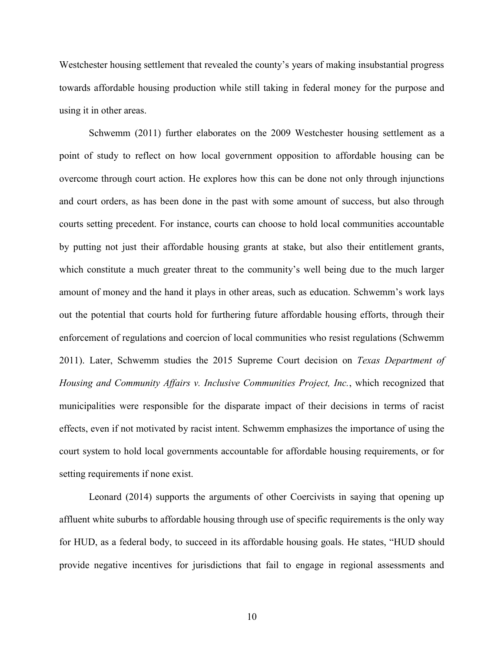Westchester housing settlement that revealed the county's years of making insubstantial progress towards affordable housing production while still taking in federal money for the purpose and using it in other areas.

Schwemm (2011) further elaborates on the 2009 Westchester housing settlement as a point of study to reflect on how local government opposition to affordable housing can be overcome through court action. He explores how this can be done not only through injunctions and court orders, as has been done in the past with some amount of success, but also through courts setting precedent. For instance, courts can choose to hold local communities accountable by putting not just their affordable housing grants at stake, but also their entitlement grants, which constitute a much greater threat to the community's well being due to the much larger amount of money and the hand it plays in other areas, such as education. Schwemm's work lays out the potential that courts hold for furthering future affordable housing efforts, through their enforcement of regulations and coercion of local communities who resist regulations (Schwemm 2011). Later, Schwemm studies the 2015 Supreme Court decision on *Texas Department of Housing and Community Affairs v. Inclusive Communities Project, Inc.*, which recognized that municipalities were responsible for the disparate impact of their decisions in terms of racist effects, even if not motivated by racist intent. Schwemm emphasizes the importance of using the court system to hold local governments accountable for affordable housing requirements, or for setting requirements if none exist.

Leonard (2014) supports the arguments of other Coercivists in saying that opening up affluent white suburbs to affordable housing through use of specific requirements is the only way for HUD, as a federal body, to succeed in its affordable housing goals. He states, "HUD should provide negative incentives for jurisdictions that fail to engage in regional assessments and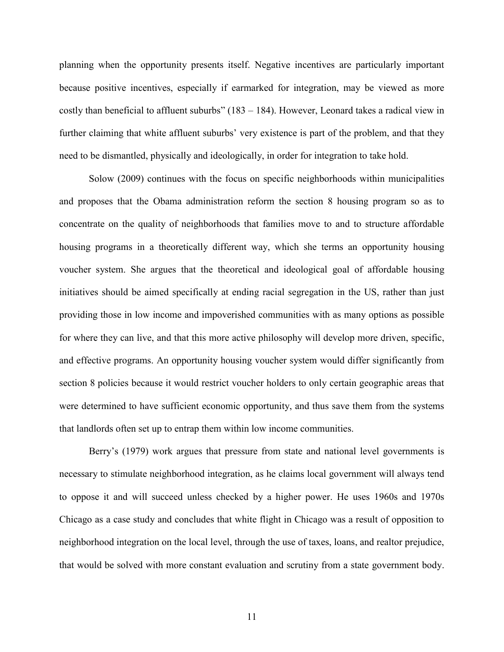planning when the opportunity presents itself. Negative incentives are particularly important because positive incentives, especially if earmarked for integration, may be viewed as more costly than beneficial to affluent suburbs"  $(183 - 184)$ . However, Leonard takes a radical view in further claiming that white affluent suburbs' very existence is part of the problem, and that they need to be dismantled, physically and ideologically, in order for integration to take hold.

Solow (2009) continues with the focus on specific neighborhoods within municipalities and proposes that the Obama administration reform the section 8 housing program so as to concentrate on the quality of neighborhoods that families move to and to structure affordable housing programs in a theoretically different way, which she terms an opportunity housing voucher system. She argues that the theoretical and ideological goal of affordable housing initiatives should be aimed specifically at ending racial segregation in the US, rather than just providing those in low income and impoverished communities with as many options as possible for where they can live, and that this more active philosophy will develop more driven, specific, and effective programs. An opportunity housing voucher system would differ significantly from section 8 policies because it would restrict voucher holders to only certain geographic areas that were determined to have sufficient economic opportunity, and thus save them from the systems that landlords often set up to entrap them within low income communities.

Berry's (1979) work argues that pressure from state and national level governments is necessary to stimulate neighborhood integration, as he claims local government will always tend to oppose it and will succeed unless checked by a higher power. He uses 1960s and 1970s Chicago as a case study and concludes that white flight in Chicago was a result of opposition to neighborhood integration on the local level, through the use of taxes, loans, and realtor prejudice, that would be solved with more constant evaluation and scrutiny from a state government body.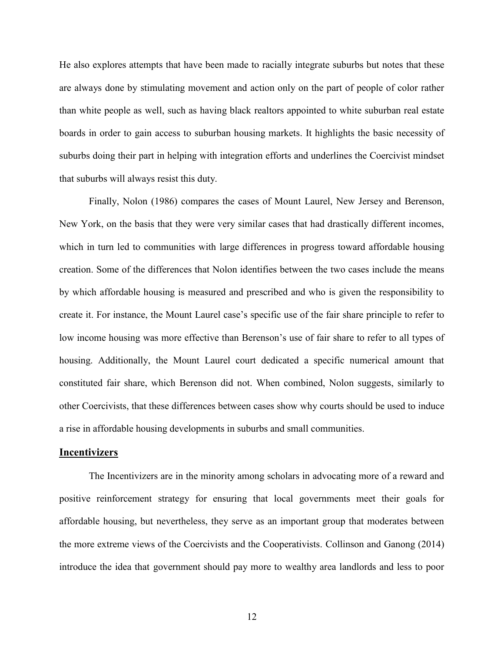He also explores attempts that have been made to racially integrate suburbs but notes that these are always done by stimulating movement and action only on the part of people of color rather than white people as well, such as having black realtors appointed to white suburban real estate boards in order to gain access to suburban housing markets. It highlights the basic necessity of suburbs doing their part in helping with integration efforts and underlines the Coercivist mindset that suburbs will always resist this duty.

Finally, Nolon (1986) compares the cases of Mount Laurel, New Jersey and Berenson, New York, on the basis that they were very similar cases that had drastically different incomes, which in turn led to communities with large differences in progress toward affordable housing creation. Some of the differences that Nolon identifies between the two cases include the means by which affordable housing is measured and prescribed and who is given the responsibility to create it. For instance, the Mount Laurel case's specific use of the fair share principle to refer to low income housing was more effective than Berenson's use of fair share to refer to all types of housing. Additionally, the Mount Laurel court dedicated a specific numerical amount that constituted fair share, which Berenson did not. When combined, Nolon suggests, similarly to other Coercivists, that these differences between cases show why courts should be used to induce a rise in affordable housing developments in suburbs and small communities.

# **Incentivizers**

The Incentivizers are in the minority among scholars in advocating more of a reward and positive reinforcement strategy for ensuring that local governments meet their goals for affordable housing, but nevertheless, they serve as an important group that moderates between the more extreme views of the Coercivists and the Cooperativists. Collinson and Ganong (2014) introduce the idea that government should pay more to wealthy area landlords and less to poor

12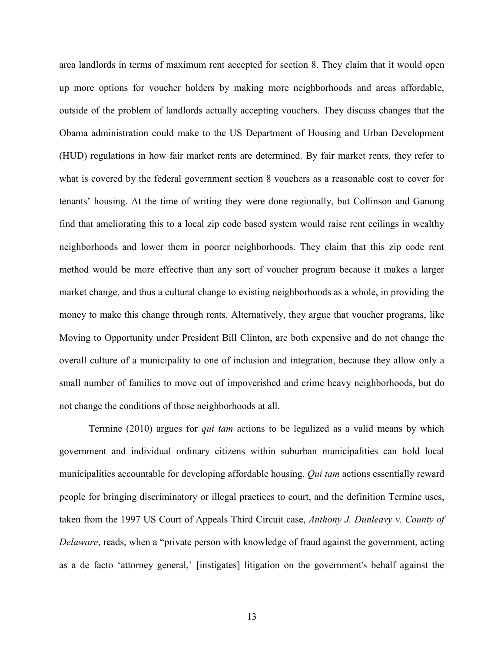area landlords in terms of maximum rent accepted for section 8. They claim that it would open up more options for voucher holders by making more neighborhoods and areas affordable, outside of the problem of landlords actually accepting vouchers. They discuss changes that the Obama administration could make to the US Department of Housing and Urban Development (HUD) regulations in how fair market rents are determined. By fair market rents, they refer to what is covered by the federal government section 8 vouchers as a reasonable cost to cover for tenants' housing. At the time of writing they were done regionally, but Collinson and Ganong find that ameliorating this to a local zip code based system would raise rent ceilings in wealthy neighborhoods and lower them in poorer neighborhoods. They claim that this zip code rent method would be more effective than any sort of voucher program because it makes a larger market change, and thus a cultural change to existing neighborhoods as a whole, in providing the money to make this change through rents. Alternatively, they argue that voucher programs, like Moving to Opportunity under President Bill Clinton, are both expensive and do not change the overall culture of a municipality to one of inclusion and integration, because they allow only a small number of families to move out of impoverished and crime heavy neighborhoods, but do not change the conditions of those neighborhoods at all.

Termine (2010) argues for *qui tam* actions to be legalized as a valid means by which government and individual ordinary citizens within suburban municipalities can hold local municipalities accountable for developing affordable housing. *Qui tam* actions essentially reward people for bringing discriminatory or illegal practices to court, and the definition Termine uses, taken from the 1997 US Court of Appeals Third Circuit case, *Anthony J. Dunleavy v. County of Delaware*, reads, when a "private person with knowledge of fraud against the government, acting as a de facto 'attorney general,' [instigates] litigation on the government's behalf against the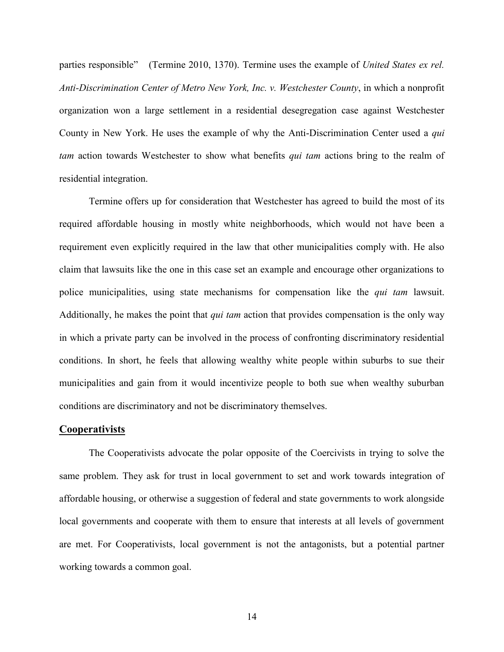parties responsible" (Termine 2010, 1370). Termine uses the example of *United States ex rel. Anti-Discrimination Center of Metro New York, Inc. v. Westchester County*, in which a nonprofit organization won a large settlement in a residential desegregation case against Westchester County in New York. He uses the example of why the Anti-Discrimination Center used a *qui tam* action towards Westchester to show what benefits *qui tam* actions bring to the realm of residential integration.

Termine offers up for consideration that Westchester has agreed to build the most of its required affordable housing in mostly white neighborhoods, which would not have been a requirement even explicitly required in the law that other municipalities comply with. He also claim that lawsuits like the one in this case set an example and encourage other organizations to police municipalities, using state mechanisms for compensation like the *qui tam* lawsuit. Additionally, he makes the point that *qui tam* action that provides compensation is the only way in which a private party can be involved in the process of confronting discriminatory residential conditions. In short, he feels that allowing wealthy white people within suburbs to sue their municipalities and gain from it would incentivize people to both sue when wealthy suburban conditions are discriminatory and not be discriminatory themselves.

#### **Cooperativists**

The Cooperativists advocate the polar opposite of the Coercivists in trying to solve the same problem. They ask for trust in local government to set and work towards integration of affordable housing, or otherwise a suggestion of federal and state governments to work alongside local governments and cooperate with them to ensure that interests at all levels of government are met. For Cooperativists, local government is not the antagonists, but a potential partner working towards a common goal.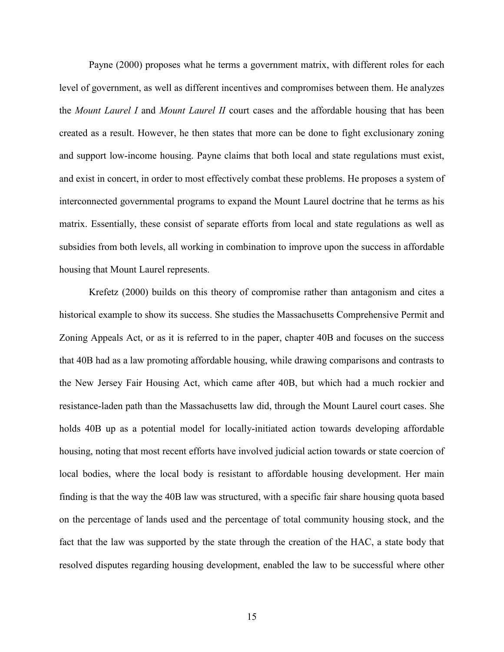Payne (2000) proposes what he terms a government matrix, with different roles for each level of government, as well as different incentives and compromises between them. He analyzes the *Mount Laurel I* and *Mount Laurel II* court cases and the affordable housing that has been created as a result. However, he then states that more can be done to fight exclusionary zoning and support low-income housing. Payne claims that both local and state regulations must exist, and exist in concert, in order to most effectively combat these problems. He proposes a system of interconnected governmental programs to expand the Mount Laurel doctrine that he terms as his matrix. Essentially, these consist of separate efforts from local and state regulations as well as subsidies from both levels, all working in combination to improve upon the success in affordable housing that Mount Laurel represents.

Krefetz (2000) builds on this theory of compromise rather than antagonism and cites a historical example to show its success. She studies the Massachusetts Comprehensive Permit and Zoning Appeals Act, or as it is referred to in the paper, chapter 40B and focuses on the success that 40B had as a law promoting affordable housing, while drawing comparisons and contrasts to the New Jersey Fair Housing Act, which came after 40B, but which had a much rockier and resistance-laden path than the Massachusetts law did, through the Mount Laurel court cases. She holds 40B up as a potential model for locally-initiated action towards developing affordable housing, noting that most recent efforts have involved judicial action towards or state coercion of local bodies, where the local body is resistant to affordable housing development. Her main finding is that the way the 40B law was structured, with a specific fair share housing quota based on the percentage of lands used and the percentage of total community housing stock, and the fact that the law was supported by the state through the creation of the HAC, a state body that resolved disputes regarding housing development, enabled the law to be successful where other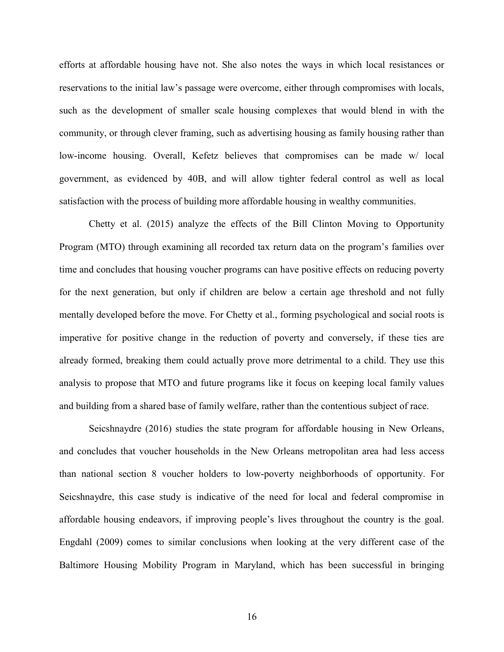efforts at affordable housing have not. She also notes the ways in which local resistances or reservations to the initial law's passage were overcome, either through compromises with locals, such as the development of smaller scale housing complexes that would blend in with the community, or through clever framing, such as advertising housing as family housing rather than low-income housing. Overall, Kefetz believes that compromises can be made w/ local government, as evidenced by 40B, and will allow tighter federal control as well as local satisfaction with the process of building more affordable housing in wealthy communities.

Chetty et al. (2015) analyze the effects of the Bill Clinton Moving to Opportunity Program (MTO) through examining all recorded tax return data on the program's families over time and concludes that housing voucher programs can have positive effects on reducing poverty for the next generation, but only if children are below a certain age threshold and not fully mentally developed before the move. For Chetty et al., forming psychological and social roots is imperative for positive change in the reduction of poverty and conversely, if these ties are already formed, breaking them could actually prove more detrimental to a child. They use this analysis to propose that MTO and future programs like it focus on keeping local family values and building from a shared base of family welfare, rather than the contentious subject of race.

Seicshnaydre (2016) studies the state program for affordable housing in New Orleans, and concludes that voucher households in the New Orleans metropolitan area had less access than national section 8 voucher holders to low-poverty neighborhoods of opportunity. For Seicshnaydre, this case study is indicative of the need for local and federal compromise in affordable housing endeavors, if improving people's lives throughout the country is the goal. Engdahl (2009) comes to similar conclusions when looking at the very different case of the Baltimore Housing Mobility Program in Maryland, which has been successful in bringing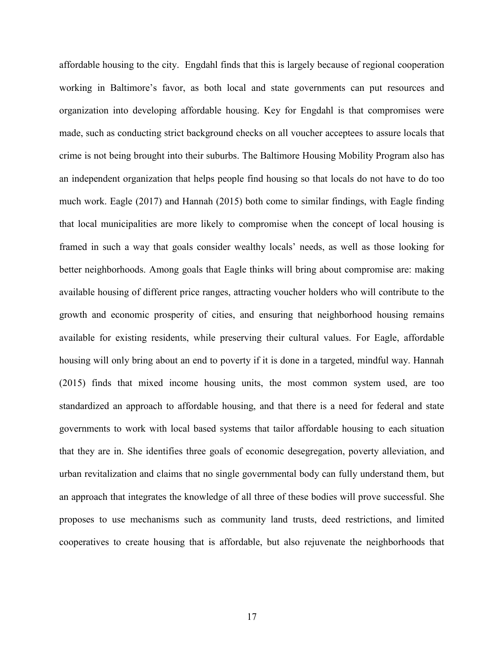affordable housing to the city. Engdahl finds that this is largely because of regional cooperation working in Baltimore's favor, as both local and state governments can put resources and organization into developing affordable housing. Key for Engdahl is that compromises were made, such as conducting strict background checks on all voucher acceptees to assure locals that crime is not being brought into their suburbs. The Baltimore Housing Mobility Program also has an independent organization that helps people find housing so that locals do not have to do too much work. Eagle (2017) and Hannah (2015) both come to similar findings, with Eagle finding that local municipalities are more likely to compromise when the concept of local housing is framed in such a way that goals consider wealthy locals' needs, as well as those looking for better neighborhoods. Among goals that Eagle thinks will bring about compromise are: making available housing of different price ranges, attracting voucher holders who will contribute to the growth and economic prosperity of cities, and ensuring that neighborhood housing remains available for existing residents, while preserving their cultural values. For Eagle, affordable housing will only bring about an end to poverty if it is done in a targeted, mindful way. Hannah (2015) finds that mixed income housing units, the most common system used, are too standardized an approach to affordable housing, and that there is a need for federal and state governments to work with local based systems that tailor affordable housing to each situation that they are in. She identifies three goals of economic desegregation, poverty alleviation, and urban revitalization and claims that no single governmental body can fully understand them, but an approach that integrates the knowledge of all three of these bodies will prove successful. She proposes to use mechanisms such as community land trusts, deed restrictions, and limited cooperatives to create housing that is affordable, but also rejuvenate the neighborhoods that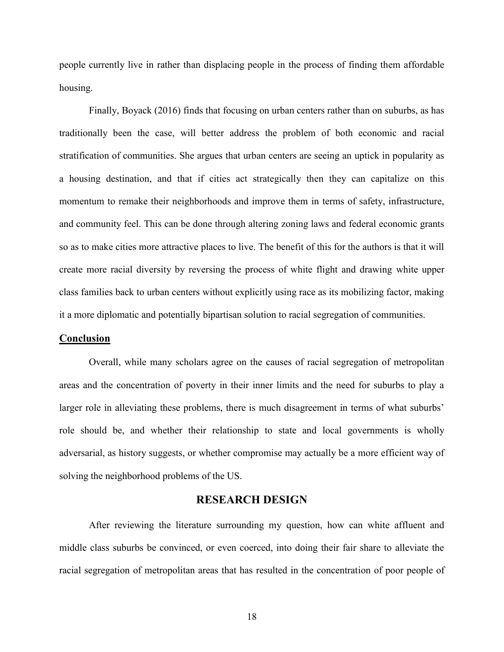people currently live in rather than displacing people in the process of finding them affordable housing.

Finally, Boyack (2016) finds that focusing on urban centers rather than on suburbs, as has traditionally been the case, will better address the problem of both economic and racial stratification of communities. She argues that urban centers are seeing an uptick in popularity as a housing destination, and that if cities act strategically then they can capitalize on this momentum to remake their neighborhoods and improve them in terms of safety, infrastructure, and community feel. This can be done through altering zoning laws and federal economic grants so as to make cities more attractive places to live. The benefit of this for the authors is that it will create more racial diversity by reversing the process of white flight and drawing white upper class families back to urban centers without explicitly using race as its mobilizing factor, making it a more diplomatic and potentially bipartisan solution to racial segregation of communities.

#### **Conclusion**

Overall, while many scholars agree on the causes of racial segregation of metropolitan areas and the concentration of poverty in their inner limits and the need for suburbs to play a larger role in alleviating these problems, there is much disagreement in terms of what suburbs' role should be, and whether their relationship to state and local governments is wholly adversarial, as history suggests, or whether compromise may actually be a more efficient way of solving the neighborhood problems of the US.

# **RESEARCH DESIGN**

After reviewing the literature surrounding my question, how can white affluent and middle class suburbs be convinced, or even coerced, into doing their fair share to alleviate the racial segregation of metropolitan areas that has resulted in the concentration of poor people of

18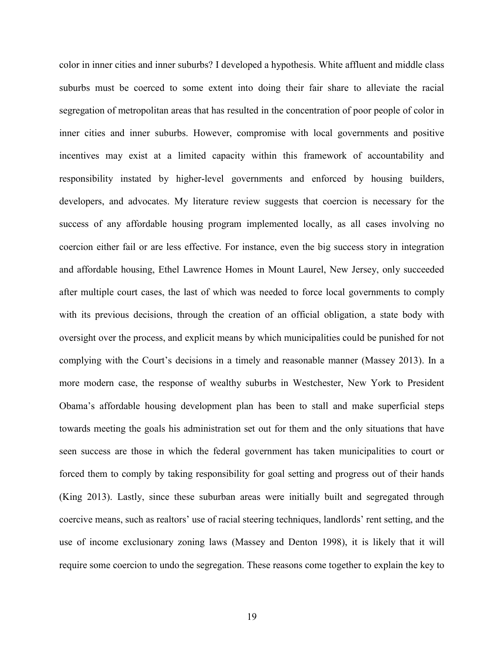color in inner cities and inner suburbs? I developed a hypothesis. White affluent and middle class suburbs must be coerced to some extent into doing their fair share to alleviate the racial segregation of metropolitan areas that has resulted in the concentration of poor people of color in inner cities and inner suburbs. However, compromise with local governments and positive incentives may exist at a limited capacity within this framework of accountability and responsibility instated by higher-level governments and enforced by housing builders, developers, and advocates. My literature review suggests that coercion is necessary for the success of any affordable housing program implemented locally, as all cases involving no coercion either fail or are less effective. For instance, even the big success story in integration and affordable housing, Ethel Lawrence Homes in Mount Laurel, New Jersey, only succeeded after multiple court cases, the last of which was needed to force local governments to comply with its previous decisions, through the creation of an official obligation, a state body with oversight over the process, and explicit means by which municipalities could be punished for not complying with the Court's decisions in a timely and reasonable manner (Massey 2013). In a more modern case, the response of wealthy suburbs in Westchester, New York to President Obama's affordable housing development plan has been to stall and make superficial steps towards meeting the goals his administration set out for them and the only situations that have seen success are those in which the federal government has taken municipalities to court or forced them to comply by taking responsibility for goal setting and progress out of their hands (King 2013). Lastly, since these suburban areas were initially built and segregated through coercive means, such as realtors' use of racial steering techniques, landlords' rent setting, and the use of income exclusionary zoning laws (Massey and Denton 1998), it is likely that it will require some coercion to undo the segregation. These reasons come together to explain the key to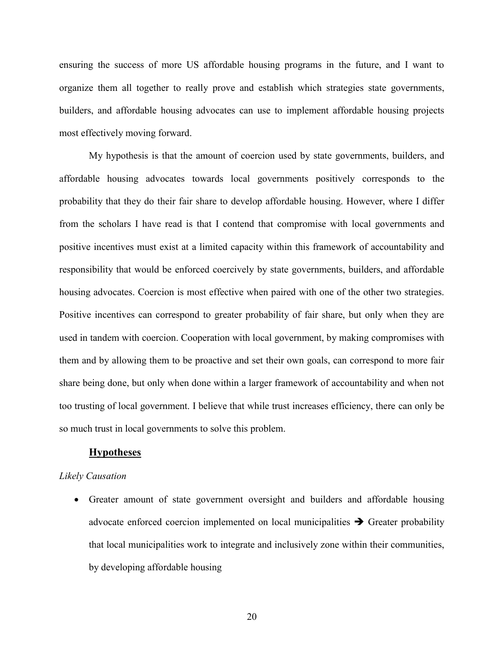ensuring the success of more US affordable housing programs in the future, and I want to organize them all together to really prove and establish which strategies state governments, builders, and affordable housing advocates can use to implement affordable housing projects most effectively moving forward.

My hypothesis is that the amount of coercion used by state governments, builders, and affordable housing advocates towards local governments positively corresponds to the probability that they do their fair share to develop affordable housing. However, where I differ from the scholars I have read is that I contend that compromise with local governments and positive incentives must exist at a limited capacity within this framework of accountability and responsibility that would be enforced coercively by state governments, builders, and affordable housing advocates. Coercion is most effective when paired with one of the other two strategies. Positive incentives can correspond to greater probability of fair share, but only when they are used in tandem with coercion. Cooperation with local government, by making compromises with them and by allowing them to be proactive and set their own goals, can correspond to more fair share being done, but only when done within a larger framework of accountability and when not too trusting of local government. I believe that while trust increases efficiency, there can only be so much trust in local governments to solve this problem.

# **Hypotheses**

#### *Likely Causation*

 Greater amount of state government oversight and builders and affordable housing advocate enforced coercion implemented on local municipalities  $\rightarrow$  Greater probability that local municipalities work to integrate and inclusively zone within their communities, by developing affordable housing

20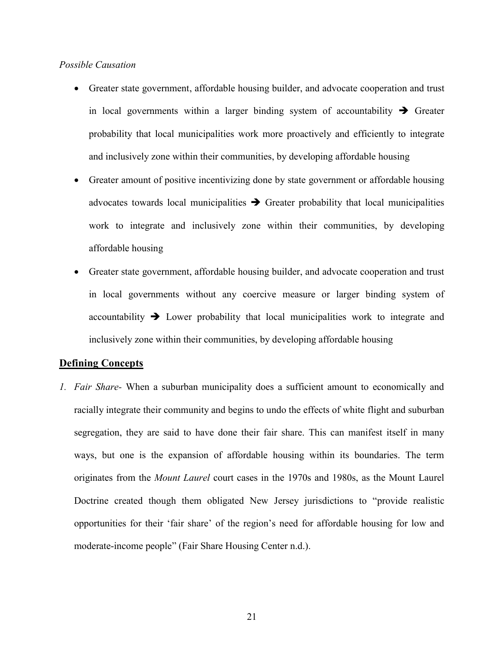# *Possible Causation*

- Greater state government, affordable housing builder, and advocate cooperation and trust in local governments within a larger binding system of accountability  $\rightarrow$  Greater probability that local municipalities work more proactively and efficiently to integrate and inclusively zone within their communities, by developing affordable housing
- Greater amount of positive incentivizing done by state government or affordable housing advocates towards local municipalities  $\rightarrow$  Greater probability that local municipalities work to integrate and inclusively zone within their communities, by developing affordable housing
- Greater state government, affordable housing builder, and advocate cooperation and trust in local governments without any coercive measure or larger binding system of accountability  $\rightarrow$  Lower probability that local municipalities work to integrate and inclusively zone within their communities, by developing affordable housing

# **Defining Concepts**

*1. Fair Share-* When a suburban municipality does a sufficient amount to economically and racially integrate their community and begins to undo the effects of white flight and suburban segregation, they are said to have done their fair share. This can manifest itself in many ways, but one is the expansion of affordable housing within its boundaries. The term originates from the *Mount Laurel* court cases in the 1970s and 1980s, as the Mount Laurel Doctrine created though them obligated New Jersey jurisdictions to "provide realistic opportunities for their 'fair share' of the region's need for affordable housing for low and moderate-income people" (Fair Share Housing Center n.d.).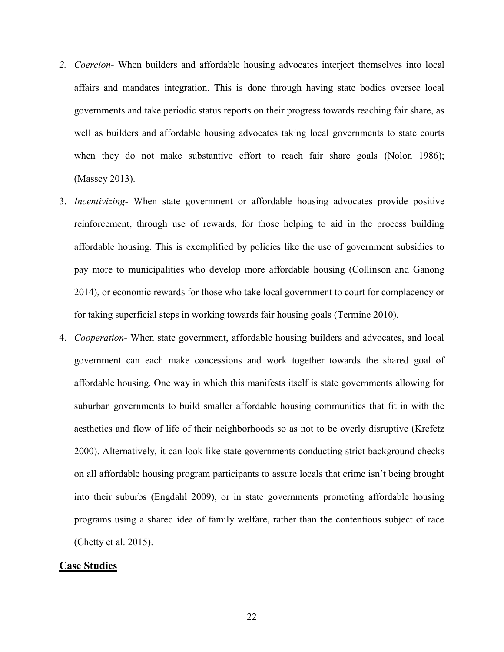- *2. Coercion-* When builders and affordable housing advocates interject themselves into local affairs and mandates integration. This is done through having state bodies oversee local governments and take periodic status reports on their progress towards reaching fair share, as well as builders and affordable housing advocates taking local governments to state courts when they do not make substantive effort to reach fair share goals (Nolon 1986); (Massey 2013).
- 3. *Incentivizing-* When state government or affordable housing advocates provide positive reinforcement, through use of rewards, for those helping to aid in the process building affordable housing. This is exemplified by policies like the use of government subsidies to pay more to municipalities who develop more affordable housing (Collinson and Ganong 2014), or economic rewards for those who take local government to court for complacency or for taking superficial steps in working towards fair housing goals (Termine 2010).
- 4. *Cooperation-* When state government, affordable housing builders and advocates, and local government can each make concessions and work together towards the shared goal of affordable housing. One way in which this manifests itself is state governments allowing for suburban governments to build smaller affordable housing communities that fit in with the aesthetics and flow of life of their neighborhoods so as not to be overly disruptive (Krefetz 2000). Alternatively, it can look like state governments conducting strict background checks on all affordable housing program participants to assure locals that crime isn't being brought into their suburbs (Engdahl 2009), or in state governments promoting affordable housing programs using a shared idea of family welfare, rather than the contentious subject of race (Chetty et al. 2015).

# **Case Studies**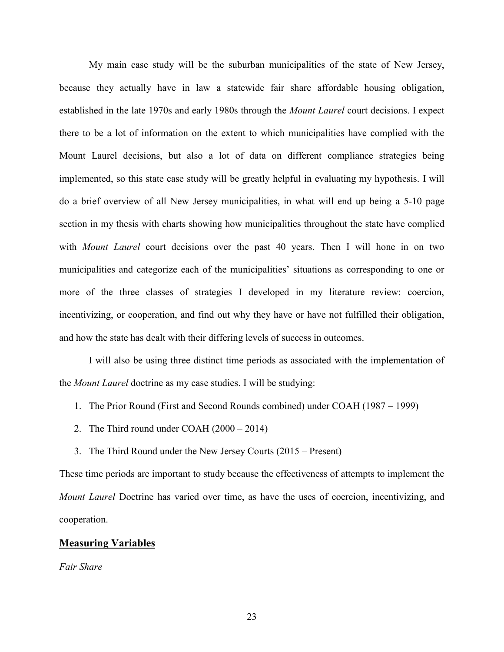My main case study will be the suburban municipalities of the state of New Jersey, because they actually have in law a statewide fair share affordable housing obligation, established in the late 1970s and early 1980s through the *Mount Laurel* court decisions. I expect there to be a lot of information on the extent to which municipalities have complied with the Mount Laurel decisions, but also a lot of data on different compliance strategies being implemented, so this state case study will be greatly helpful in evaluating my hypothesis. I will do a brief overview of all New Jersey municipalities, in what will end up being a 5-10 page section in my thesis with charts showing how municipalities throughout the state have complied with *Mount Laurel* court decisions over the past 40 years. Then I will hone in on two municipalities and categorize each of the municipalities' situations as corresponding to one or more of the three classes of strategies I developed in my literature review: coercion, incentivizing, or cooperation, and find out why they have or have not fulfilled their obligation, and how the state has dealt with their differing levels of success in outcomes.

I will also be using three distinct time periods as associated with the implementation of the *Mount Laurel* doctrine as my case studies. I will be studying:

- 1. The Prior Round (First and Second Rounds combined) under COAH (1987 1999)
- 2. The Third round under COAH (2000 2014)
- 3. The Third Round under the New Jersey Courts (2015 Present)

These time periods are important to study because the effectiveness of attempts to implement the *Mount Laurel* Doctrine has varied over time, as have the uses of coercion, incentivizing, and cooperation.

# **Measuring Variables**

*Fair Share*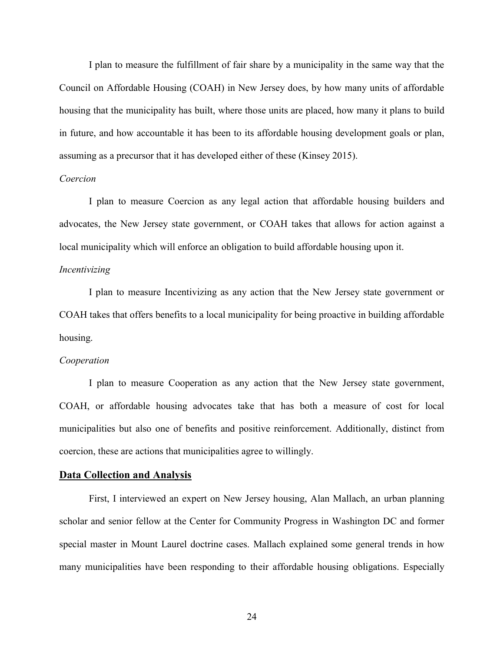I plan to measure the fulfillment of fair share by a municipality in the same way that the Council on Affordable Housing (COAH) in New Jersey does, by how many units of affordable housing that the municipality has built, where those units are placed, how many it plans to build in future, and how accountable it has been to its affordable housing development goals or plan, assuming as a precursor that it has developed either of these (Kinsey 2015).

#### *Coercion*

I plan to measure Coercion as any legal action that affordable housing builders and advocates, the New Jersey state government, or COAH takes that allows for action against a local municipality which will enforce an obligation to build affordable housing upon it.

# *Incentivizing*

I plan to measure Incentivizing as any action that the New Jersey state government or COAH takes that offers benefits to a local municipality for being proactive in building affordable housing.

#### *Cooperation*

I plan to measure Cooperation as any action that the New Jersey state government, COAH, or affordable housing advocates take that has both a measure of cost for local municipalities but also one of benefits and positive reinforcement. Additionally, distinct from coercion, these are actions that municipalities agree to willingly.

# **Data Collection and Analysis**

First, I interviewed an expert on New Jersey housing, Alan Mallach, an urban planning scholar and senior fellow at the Center for Community Progress in Washington DC and former special master in Mount Laurel doctrine cases. Mallach explained some general trends in how many municipalities have been responding to their affordable housing obligations. Especially

24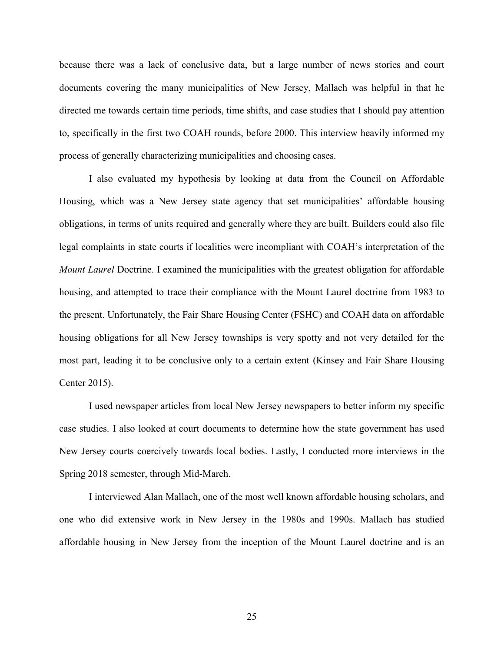because there was a lack of conclusive data, but a large number of news stories and court documents covering the many municipalities of New Jersey, Mallach was helpful in that he directed me towards certain time periods, time shifts, and case studies that I should pay attention to, specifically in the first two COAH rounds, before 2000. This interview heavily informed my process of generally characterizing municipalities and choosing cases.

I also evaluated my hypothesis by looking at data from the Council on Affordable Housing, which was a New Jersey state agency that set municipalities' affordable housing obligations, in terms of units required and generally where they are built. Builders could also file legal complaints in state courts if localities were incompliant with COAH's interpretation of the *Mount Laurel* Doctrine. I examined the municipalities with the greatest obligation for affordable housing, and attempted to trace their compliance with the Mount Laurel doctrine from 1983 to the present. Unfortunately, the Fair Share Housing Center (FSHC) and COAH data on affordable housing obligations for all New Jersey townships is very spotty and not very detailed for the most part, leading it to be conclusive only to a certain extent (Kinsey and Fair Share Housing Center 2015).

I used newspaper articles from local New Jersey newspapers to better inform my specific case studies. I also looked at court documents to determine how the state government has used New Jersey courts coercively towards local bodies. Lastly, I conducted more interviews in the Spring 2018 semester, through Mid-March.

I interviewed Alan Mallach, one of the most well known affordable housing scholars, and one who did extensive work in New Jersey in the 1980s and 1990s. Mallach has studied affordable housing in New Jersey from the inception of the Mount Laurel doctrine and is an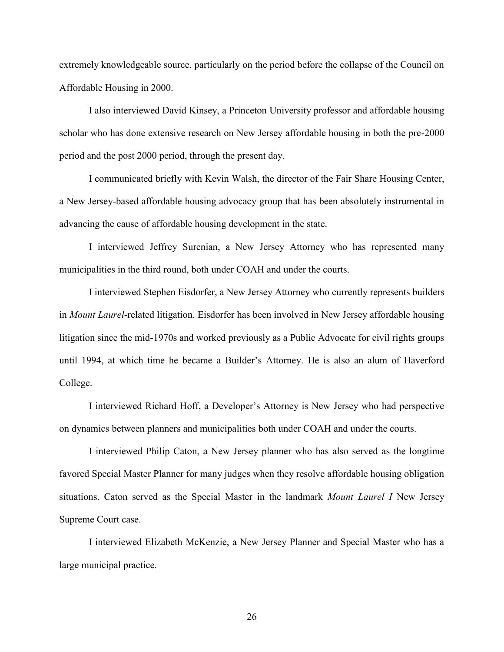extremely knowledgeable source, particularly on the period before the collapse of the Council on Affordable Housing in 2000.

I also interviewed David Kinsey, a Princeton University professor and affordable housing scholar who has done extensive research on New Jersey affordable housing in both the pre-2000 period and the post 2000 period, through the present day.

I communicated briefly with Kevin Walsh, the director of the Fair Share Housing Center, a New Jersey-based affordable housing advocacy group that has been absolutely instrumental in advancing the cause of affordable housing development in the state.

I interviewed Jeffrey Surenian, a New Jersey Attorney who has represented many municipalities in the third round, both under COAH and under the courts.

I interviewed Stephen Eisdorfer, a New Jersey Attorney who currently represents builders in *Mount Laurel*-related litigation. Eisdorfer has been involved in New Jersey affordable housing litigation since the mid-1970s and worked previously as a Public Advocate for civil rights groups until 1994, at which time he became a Builder's Attorney. He is also an alum of Haverford College.

I interviewed Richard Hoff, a Developer's Attorney is New Jersey who had perspective on dynamics between planners and municipalities both under COAH and under the courts.

I interviewed Philip Caton, a New Jersey planner who has also served as the longtime favored Special Master Planner for many judges when they resolve affordable housing obligation situations. Caton served as the Special Master in the landmark *Mount Laurel I* New Jersey Supreme Court case.

I interviewed Elizabeth McKenzie, a New Jersey Planner and Special Master who has a large municipal practice.

26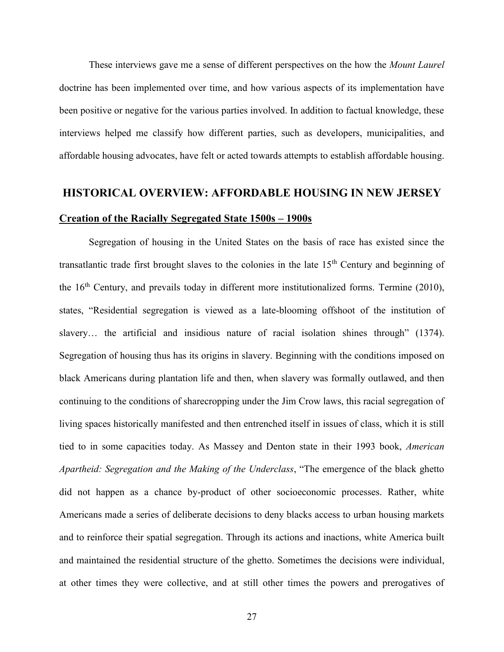These interviews gave me a sense of different perspectives on the how the *Mount Laurel*  doctrine has been implemented over time, and how various aspects of its implementation have been positive or negative for the various parties involved. In addition to factual knowledge, these interviews helped me classify how different parties, such as developers, municipalities, and affordable housing advocates, have felt or acted towards attempts to establish affordable housing.

# **HISTORICAL OVERVIEW: AFFORDABLE HOUSING IN NEW JERSEY Creation of the Racially Segregated State 1500s – 1900s**

Segregation of housing in the United States on the basis of race has existed since the transatlantic trade first brought slaves to the colonies in the late 15th Century and beginning of the  $16<sup>th</sup>$  Century, and prevails today in different more institutionalized forms. Termine (2010), states, "Residential segregation is viewed as a late-blooming offshoot of the institution of slavery... the artificial and insidious nature of racial isolation shines through" (1374). Segregation of housing thus has its origins in slavery. Beginning with the conditions imposed on black Americans during plantation life and then, when slavery was formally outlawed, and then continuing to the conditions of sharecropping under the Jim Crow laws, this racial segregation of living spaces historically manifested and then entrenched itself in issues of class, which it is still tied to in some capacities today. As Massey and Denton state in their 1993 book, *American Apartheid: Segregation and the Making of the Underclass*, "The emergence of the black ghetto did not happen as a chance by-product of other socioeconomic processes. Rather, white Americans made a series of deliberate decisions to deny blacks access to urban housing markets and to reinforce their spatial segregation. Through its actions and inactions, white America built and maintained the residential structure of the ghetto. Sometimes the decisions were individual, at other times they were collective, and at still other times the powers and prerogatives of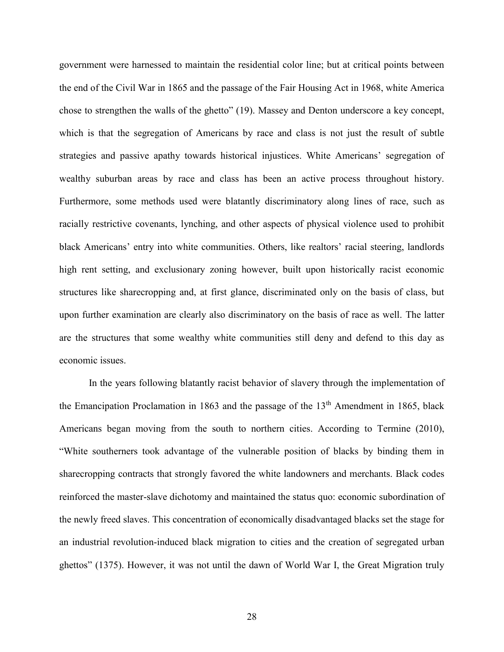government were harnessed to maintain the residential color line; but at critical points between the end of the Civil War in 1865 and the passage of the Fair Housing Act in 1968, white America chose to strengthen the walls of the ghetto" (19). Massey and Denton underscore a key concept, which is that the segregation of Americans by race and class is not just the result of subtle strategies and passive apathy towards historical injustices. White Americans' segregation of wealthy suburban areas by race and class has been an active process throughout history. Furthermore, some methods used were blatantly discriminatory along lines of race, such as racially restrictive covenants, lynching, and other aspects of physical violence used to prohibit black Americans' entry into white communities. Others, like realtors' racial steering, landlords high rent setting, and exclusionary zoning however, built upon historically racist economic structures like sharecropping and, at first glance, discriminated only on the basis of class, but upon further examination are clearly also discriminatory on the basis of race as well. The latter are the structures that some wealthy white communities still deny and defend to this day as economic issues.

In the years following blatantly racist behavior of slavery through the implementation of the Emancipation Proclamation in 1863 and the passage of the  $13<sup>th</sup>$  Amendment in 1865, black Americans began moving from the south to northern cities. According to Termine (2010), "White southerners took advantage of the vulnerable position of blacks by binding them in sharecropping contracts that strongly favored the white landowners and merchants. Black codes reinforced the master-slave dichotomy and maintained the status quo: economic subordination of the newly freed slaves. This concentration of economically disadvantaged blacks set the stage for an industrial revolution-induced black migration to cities and the creation of segregated urban ghettos" (1375). However, it was not until the dawn of World War I, the Great Migration truly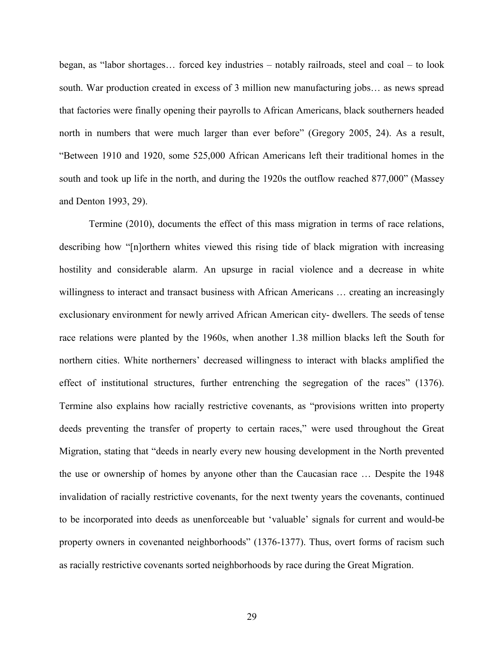began, as "labor shortages… forced key industries – notably railroads, steel and coal – to look south. War production created in excess of 3 million new manufacturing jobs… as news spread that factories were finally opening their payrolls to African Americans, black southerners headed north in numbers that were much larger than ever before" (Gregory 2005, 24). As a result, "Between 1910 and 1920, some 525,000 African Americans left their traditional homes in the south and took up life in the north, and during the 1920s the outflow reached 877,000" (Massey and Denton 1993, 29).

Termine (2010), documents the effect of this mass migration in terms of race relations, describing how "[n]orthern whites viewed this rising tide of black migration with increasing hostility and considerable alarm. An upsurge in racial violence and a decrease in white willingness to interact and transact business with African Americans ... creating an increasingly exclusionary environment for newly arrived African American city- dwellers. The seeds of tense race relations were planted by the 1960s, when another 1.38 million blacks left the South for northern cities. White northerners' decreased willingness to interact with blacks amplified the effect of institutional structures, further entrenching the segregation of the races" (1376). Termine also explains how racially restrictive covenants, as "provisions written into property deeds preventing the transfer of property to certain races," were used throughout the Great Migration, stating that "deeds in nearly every new housing development in the North prevented the use or ownership of homes by anyone other than the Caucasian race … Despite the 1948 invalidation of racially restrictive covenants, for the next twenty years the covenants, continued to be incorporated into deeds as unenforceable but 'valuable' signals for current and would-be property owners in covenanted neighborhoods" (1376-1377). Thus, overt forms of racism such as racially restrictive covenants sorted neighborhoods by race during the Great Migration.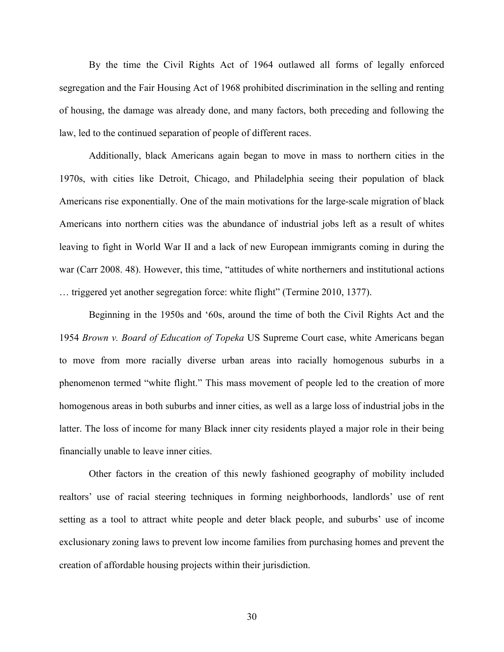By the time the Civil Rights Act of 1964 outlawed all forms of legally enforced segregation and the Fair Housing Act of 1968 prohibited discrimination in the selling and renting of housing, the damage was already done, and many factors, both preceding and following the law, led to the continued separation of people of different races.

Additionally, black Americans again began to move in mass to northern cities in the 1970s, with cities like Detroit, Chicago, and Philadelphia seeing their population of black Americans rise exponentially. One of the main motivations for the large-scale migration of black Americans into northern cities was the abundance of industrial jobs left as a result of whites leaving to fight in World War II and a lack of new European immigrants coming in during the war (Carr 2008. 48). However, this time, "attitudes of white northerners and institutional actions … triggered yet another segregation force: white flight" (Termine 2010, 1377).

Beginning in the 1950s and '60s, around the time of both the Civil Rights Act and the 1954 *Brown v. Board of Education of Topeka* US Supreme Court case, white Americans began to move from more racially diverse urban areas into racially homogenous suburbs in a phenomenon termed "white flight." This mass movement of people led to the creation of more homogenous areas in both suburbs and inner cities, as well as a large loss of industrial jobs in the latter. The loss of income for many Black inner city residents played a major role in their being financially unable to leave inner cities.

Other factors in the creation of this newly fashioned geography of mobility included realtors' use of racial steering techniques in forming neighborhoods, landlords' use of rent setting as a tool to attract white people and deter black people, and suburbs' use of income exclusionary zoning laws to prevent low income families from purchasing homes and prevent the creation of affordable housing projects within their jurisdiction.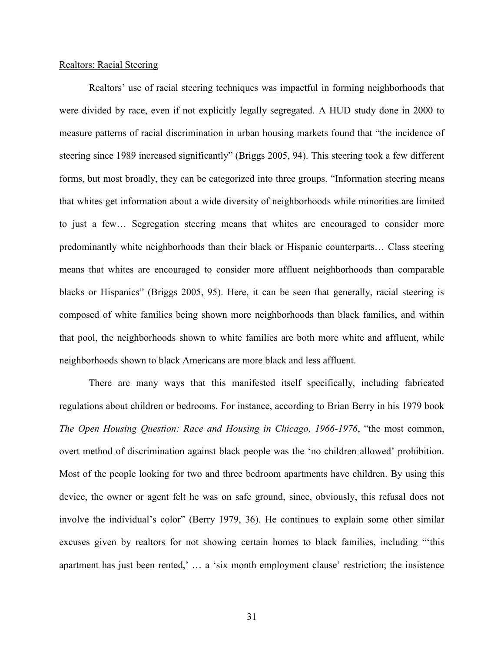#### Realtors: Racial Steering

Realtors' use of racial steering techniques was impactful in forming neighborhoods that were divided by race, even if not explicitly legally segregated. A HUD study done in 2000 to measure patterns of racial discrimination in urban housing markets found that "the incidence of steering since 1989 increased significantly" (Briggs 2005, 94). This steering took a few different forms, but most broadly, they can be categorized into three groups. "Information steering means that whites get information about a wide diversity of neighborhoods while minorities are limited to just a few… Segregation steering means that whites are encouraged to consider more predominantly white neighborhoods than their black or Hispanic counterparts… Class steering means that whites are encouraged to consider more affluent neighborhoods than comparable blacks or Hispanics" (Briggs 2005, 95). Here, it can be seen that generally, racial steering is composed of white families being shown more neighborhoods than black families, and within that pool, the neighborhoods shown to white families are both more white and affluent, while neighborhoods shown to black Americans are more black and less affluent.

There are many ways that this manifested itself specifically, including fabricated regulations about children or bedrooms. For instance, according to Brian Berry in his 1979 book *The Open Housing Question: Race and Housing in Chicago, 1966-1976*, "the most common, overt method of discrimination against black people was the 'no children allowed' prohibition. Most of the people looking for two and three bedroom apartments have children. By using this device, the owner or agent felt he was on safe ground, since, obviously, this refusal does not involve the individual's color" (Berry 1979, 36). He continues to explain some other similar excuses given by realtors for not showing certain homes to black families, including "'this apartment has just been rented,' … a 'six month employment clause' restriction; the insistence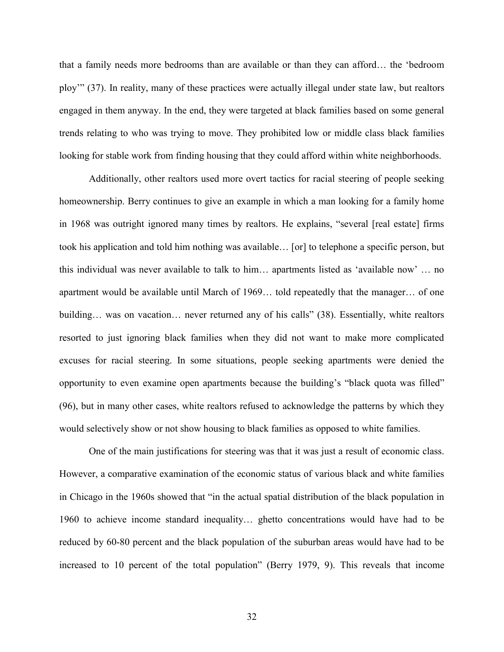that a family needs more bedrooms than are available or than they can afford… the 'bedroom ploy'" (37). In reality, many of these practices were actually illegal under state law, but realtors engaged in them anyway. In the end, they were targeted at black families based on some general trends relating to who was trying to move. They prohibited low or middle class black families looking for stable work from finding housing that they could afford within white neighborhoods.

Additionally, other realtors used more overt tactics for racial steering of people seeking homeownership. Berry continues to give an example in which a man looking for a family home in 1968 was outright ignored many times by realtors. He explains, "several [real estate] firms took his application and told him nothing was available… [or] to telephone a specific person, but this individual was never available to talk to him… apartments listed as 'available now' … no apartment would be available until March of 1969… told repeatedly that the manager… of one building... was on vacation... never returned any of his calls" (38). Essentially, white realtors resorted to just ignoring black families when they did not want to make more complicated excuses for racial steering. In some situations, people seeking apartments were denied the opportunity to even examine open apartments because the building's "black quota was filled" (96), but in many other cases, white realtors refused to acknowledge the patterns by which they would selectively show or not show housing to black families as opposed to white families.

One of the main justifications for steering was that it was just a result of economic class. However, a comparative examination of the economic status of various black and white families in Chicago in the 1960s showed that "in the actual spatial distribution of the black population in 1960 to achieve income standard inequality… ghetto concentrations would have had to be reduced by 60-80 percent and the black population of the suburban areas would have had to be increased to 10 percent of the total population" (Berry 1979, 9). This reveals that income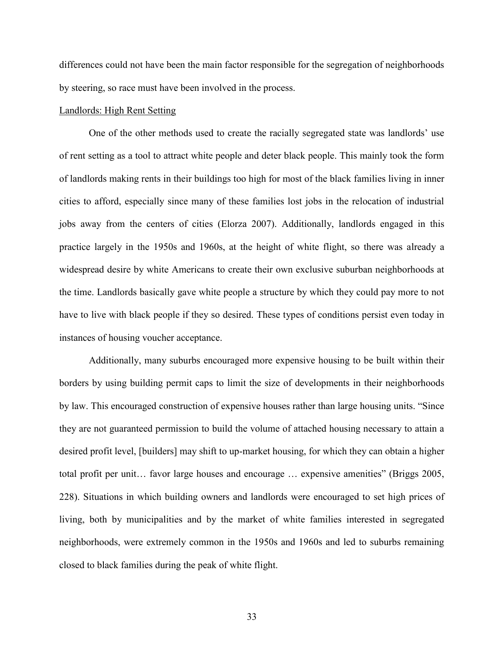differences could not have been the main factor responsible for the segregation of neighborhoods by steering, so race must have been involved in the process.

### Landlords: High Rent Setting

One of the other methods used to create the racially segregated state was landlords' use of rent setting as a tool to attract white people and deter black people. This mainly took the form of landlords making rents in their buildings too high for most of the black families living in inner cities to afford, especially since many of these families lost jobs in the relocation of industrial jobs away from the centers of cities (Elorza 2007). Additionally, landlords engaged in this practice largely in the 1950s and 1960s, at the height of white flight, so there was already a widespread desire by white Americans to create their own exclusive suburban neighborhoods at the time. Landlords basically gave white people a structure by which they could pay more to not have to live with black people if they so desired. These types of conditions persist even today in instances of housing voucher acceptance.

Additionally, many suburbs encouraged more expensive housing to be built within their borders by using building permit caps to limit the size of developments in their neighborhoods by law. This encouraged construction of expensive houses rather than large housing units. "Since they are not guaranteed permission to build the volume of attached housing necessary to attain a desired profit level, [builders] may shift to up-market housing, for which they can obtain a higher total profit per unit… favor large houses and encourage … expensive amenities" (Briggs 2005, 228). Situations in which building owners and landlords were encouraged to set high prices of living, both by municipalities and by the market of white families interested in segregated neighborhoods, were extremely common in the 1950s and 1960s and led to suburbs remaining closed to black families during the peak of white flight.

33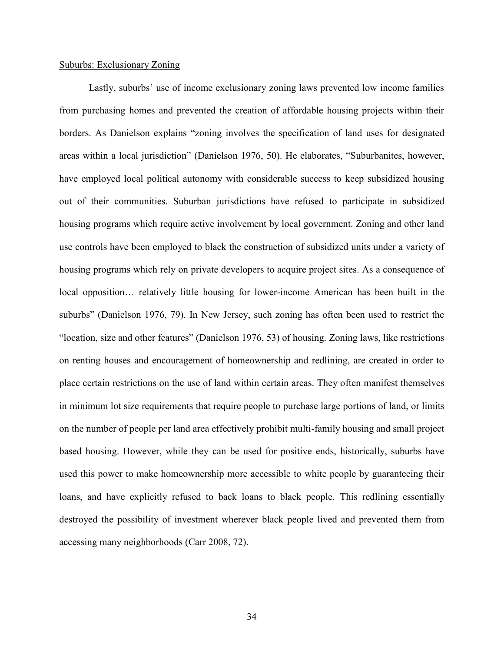#### Suburbs: Exclusionary Zoning

Lastly, suburbs' use of income exclusionary zoning laws prevented low income families from purchasing homes and prevented the creation of affordable housing projects within their borders. As Danielson explains "zoning involves the specification of land uses for designated areas within a local jurisdiction" (Danielson 1976, 50). He elaborates, "Suburbanites, however, have employed local political autonomy with considerable success to keep subsidized housing out of their communities. Suburban jurisdictions have refused to participate in subsidized housing programs which require active involvement by local government. Zoning and other land use controls have been employed to black the construction of subsidized units under a variety of housing programs which rely on private developers to acquire project sites. As a consequence of local opposition… relatively little housing for lower-income American has been built in the suburbs" (Danielson 1976, 79). In New Jersey, such zoning has often been used to restrict the "location, size and other features" (Danielson 1976, 53) of housing. Zoning laws, like restrictions on renting houses and encouragement of homeownership and redlining, are created in order to place certain restrictions on the use of land within certain areas. They often manifest themselves in minimum lot size requirements that require people to purchase large portions of land, or limits on the number of people per land area effectively prohibit multi-family housing and small project based housing. However, while they can be used for positive ends, historically, suburbs have used this power to make homeownership more accessible to white people by guaranteeing their loans, and have explicitly refused to back loans to black people. This redlining essentially destroyed the possibility of investment wherever black people lived and prevented them from accessing many neighborhoods (Carr 2008, 72).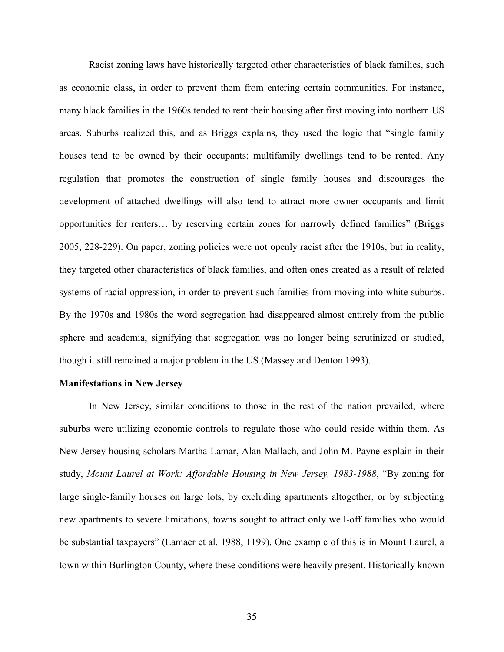Racist zoning laws have historically targeted other characteristics of black families, such as economic class, in order to prevent them from entering certain communities. For instance, many black families in the 1960s tended to rent their housing after first moving into northern US areas. Suburbs realized this, and as Briggs explains, they used the logic that "single family houses tend to be owned by their occupants; multifamily dwellings tend to be rented. Any regulation that promotes the construction of single family houses and discourages the development of attached dwellings will also tend to attract more owner occupants and limit opportunities for renters… by reserving certain zones for narrowly defined families" (Briggs 2005, 228-229). On paper, zoning policies were not openly racist after the 1910s, but in reality, they targeted other characteristics of black families, and often ones created as a result of related systems of racial oppression, in order to prevent such families from moving into white suburbs. By the 1970s and 1980s the word segregation had disappeared almost entirely from the public sphere and academia, signifying that segregation was no longer being scrutinized or studied, though it still remained a major problem in the US (Massey and Denton 1993).

#### **Manifestations in New Jersey**

In New Jersey, similar conditions to those in the rest of the nation prevailed, where suburbs were utilizing economic controls to regulate those who could reside within them. As New Jersey housing scholars Martha Lamar, Alan Mallach, and John M. Payne explain in their study, *Mount Laurel at Work: Affordable Housing in New Jersey, 1983-1988*, "By zoning for large single-family houses on large lots, by excluding apartments altogether, or by subjecting new apartments to severe limitations, towns sought to attract only well-off families who would be substantial taxpayers" (Lamaer et al. 1988, 1199). One example of this is in Mount Laurel, a town within Burlington County, where these conditions were heavily present. Historically known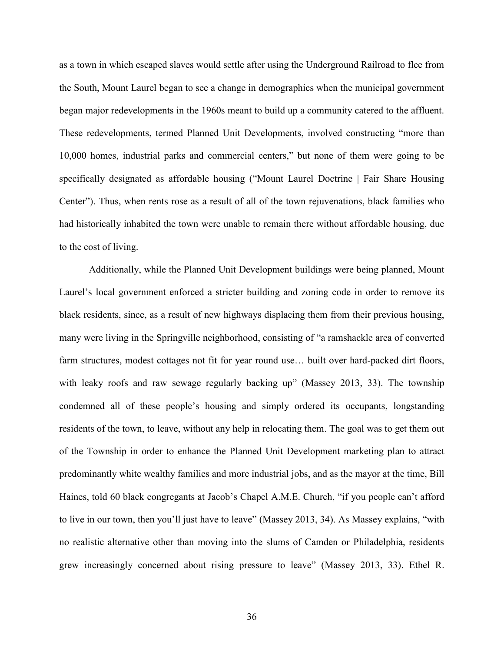as a town in which escaped slaves would settle after using the Underground Railroad to flee from the South, Mount Laurel began to see a change in demographics when the municipal government began major redevelopments in the 1960s meant to build up a community catered to the affluent. These redevelopments, termed Planned Unit Developments, involved constructing "more than 10,000 homes, industrial parks and commercial centers," but none of them were going to be specifically designated as affordable housing ("Mount Laurel Doctrine | Fair Share Housing Center"). Thus, when rents rose as a result of all of the town rejuvenations, black families who had historically inhabited the town were unable to remain there without affordable housing, due to the cost of living.

Additionally, while the Planned Unit Development buildings were being planned, Mount Laurel's local government enforced a stricter building and zoning code in order to remove its black residents, since, as a result of new highways displacing them from their previous housing, many were living in the Springville neighborhood, consisting of "a ramshackle area of converted farm structures, modest cottages not fit for year round use... built over hard-packed dirt floors, with leaky roofs and raw sewage regularly backing up" (Massey 2013, 33). The township condemned all of these people's housing and simply ordered its occupants, longstanding residents of the town, to leave, without any help in relocating them. The goal was to get them out of the Township in order to enhance the Planned Unit Development marketing plan to attract predominantly white wealthy families and more industrial jobs, and as the mayor at the time, Bill Haines, told 60 black congregants at Jacob's Chapel A.M.E. Church, "if you people can't afford to live in our town, then you'll just have to leave" (Massey 2013, 34). As Massey explains, "with no realistic alternative other than moving into the slums of Camden or Philadelphia, residents grew increasingly concerned about rising pressure to leave" (Massey 2013, 33). Ethel R.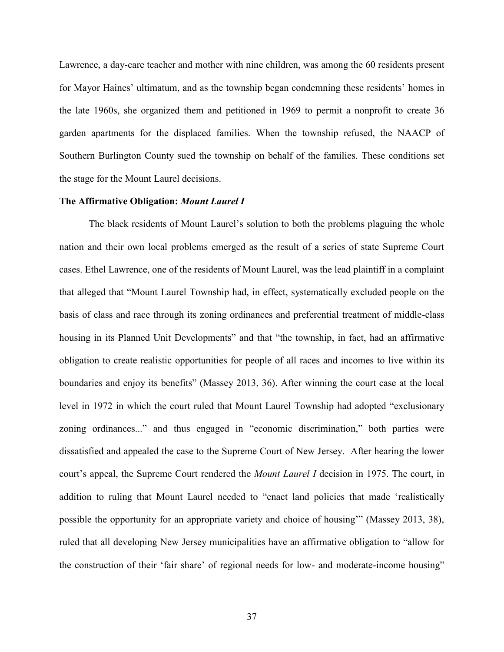Lawrence, a day-care teacher and mother with nine children, was among the 60 residents present for Mayor Haines' ultimatum, and as the township began condemning these residents' homes in the late 1960s, she organized them and petitioned in 1969 to permit a nonprofit to create 36 garden apartments for the displaced families. When the township refused, the NAACP of Southern Burlington County sued the township on behalf of the families. These conditions set the stage for the Mount Laurel decisions.

#### **The Affirmative Obligation:** *Mount Laurel I*

The black residents of Mount Laurel's solution to both the problems plaguing the whole nation and their own local problems emerged as the result of a series of state Supreme Court cases. Ethel Lawrence, one of the residents of Mount Laurel, was the lead plaintiff in a complaint that alleged that "Mount Laurel Township had, in effect, systematically excluded people on the basis of class and race through its zoning ordinances and preferential treatment of middle-class housing in its Planned Unit Developments" and that "the township, in fact, had an affirmative obligation to create realistic opportunities for people of all races and incomes to live within its boundaries and enjoy its benefits" (Massey 2013, 36). After winning the court case at the local level in 1972 in which the court ruled that Mount Laurel Township had adopted "exclusionary zoning ordinances..." and thus engaged in "economic discrimination," both parties were dissatisfied and appealed the case to the Supreme Court of New Jersey. After hearing the lower court's appeal, the Supreme Court rendered the *Mount Laurel I* decision in 1975. The court, in addition to ruling that Mount Laurel needed to "enact land policies that made 'realistically possible the opportunity for an appropriate variety and choice of housing'" (Massey 2013, 38), ruled that all developing New Jersey municipalities have an affirmative obligation to "allow for the construction of their 'fair share' of regional needs for low- and moderate-income housing"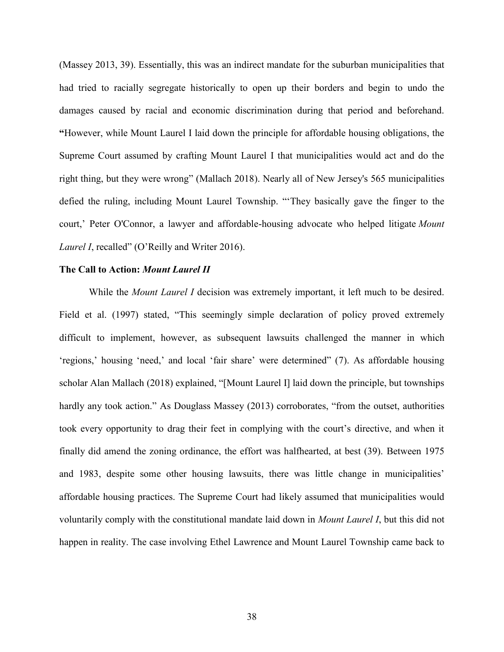(Massey 2013, 39). Essentially, this was an indirect mandate for the suburban municipalities that had tried to racially segregate historically to open up their borders and begin to undo the damages caused by racial and economic discrimination during that period and beforehand. **"**However, while Mount Laurel I laid down the principle for affordable housing obligations, the Supreme Court assumed by crafting Mount Laurel I that municipalities would act and do the right thing, but they were wrong" (Mallach 2018). Nearly all of New Jersey's 565 municipalities defied the ruling, including Mount Laurel Township. "'They basically gave the finger to the court,' Peter O'Connor, a lawyer and affordable-housing advocate who helped litigate *Mount Laurel I*, recalled" (O'Reilly and Writer 2016).

## **The Call to Action:** *Mount Laurel II*

While the *Mount Laurel I* decision was extremely important, it left much to be desired. Field et al. (1997) stated, "This seemingly simple declaration of policy proved extremely difficult to implement, however, as subsequent lawsuits challenged the manner in which 'regions,' housing 'need,' and local 'fair share' were determined" (7). As affordable housing scholar Alan Mallach (2018) explained, "[Mount Laurel I] laid down the principle, but townships hardly any took action." As Douglass Massey (2013) corroborates, "from the outset, authorities took every opportunity to drag their feet in complying with the court's directive, and when it finally did amend the zoning ordinance, the effort was halfhearted, at best (39). Between 1975 and 1983, despite some other housing lawsuits, there was little change in municipalities' affordable housing practices. The Supreme Court had likely assumed that municipalities would voluntarily comply with the constitutional mandate laid down in *Mount Laurel I*, but this did not happen in reality. The case involving Ethel Lawrence and Mount Laurel Township came back to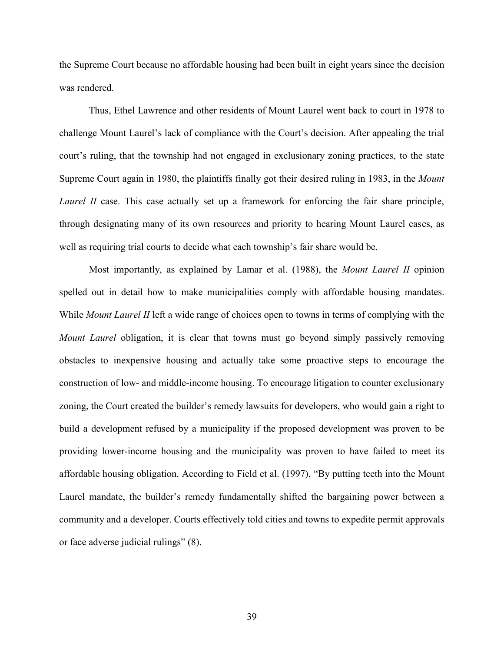the Supreme Court because no affordable housing had been built in eight years since the decision was rendered.

Thus, Ethel Lawrence and other residents of Mount Laurel went back to court in 1978 to challenge Mount Laurel's lack of compliance with the Court's decision. After appealing the trial court's ruling, that the township had not engaged in exclusionary zoning practices, to the state Supreme Court again in 1980, the plaintiffs finally got their desired ruling in 1983, in the *Mount Laurel II* case. This case actually set up a framework for enforcing the fair share principle, through designating many of its own resources and priority to hearing Mount Laurel cases, as well as requiring trial courts to decide what each township's fair share would be.

Most importantly, as explained by Lamar et al. (1988), the *Mount Laurel II* opinion spelled out in detail how to make municipalities comply with affordable housing mandates. While *Mount Laurel II* left a wide range of choices open to towns in terms of complying with the *Mount Laurel* obligation, it is clear that towns must go beyond simply passively removing obstacles to inexpensive housing and actually take some proactive steps to encourage the construction of low- and middle-income housing. To encourage litigation to counter exclusionary zoning, the Court created the builder's remedy lawsuits for developers, who would gain a right to build a development refused by a municipality if the proposed development was proven to be providing lower-income housing and the municipality was proven to have failed to meet its affordable housing obligation. According to Field et al. (1997), "By putting teeth into the Mount Laurel mandate, the builder's remedy fundamentally shifted the bargaining power between a community and a developer. Courts effectively told cities and towns to expedite permit approvals or face adverse judicial rulings" (8).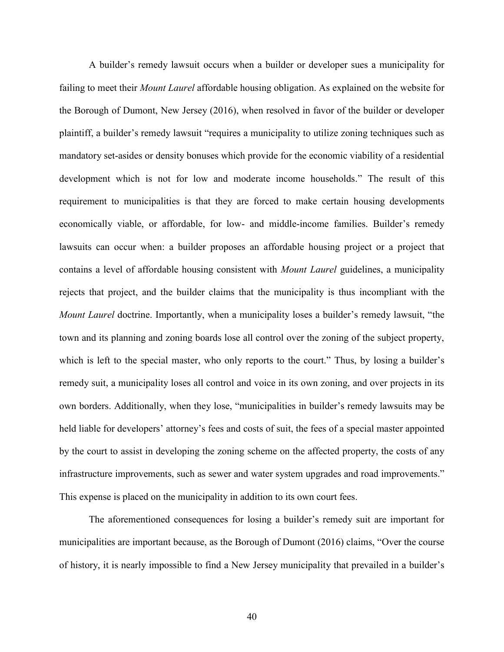A builder's remedy lawsuit occurs when a builder or developer sues a municipality for failing to meet their *Mount Laurel* affordable housing obligation. As explained on the website for the Borough of Dumont, New Jersey (2016), when resolved in favor of the builder or developer plaintiff, a builder's remedy lawsuit "requires a municipality to utilize zoning techniques such as mandatory set-asides or density bonuses which provide for the economic viability of a residential development which is not for low and moderate income households." The result of this requirement to municipalities is that they are forced to make certain housing developments economically viable, or affordable, for low- and middle-income families. Builder's remedy lawsuits can occur when: a builder proposes an affordable housing project or a project that contains a level of affordable housing consistent with *Mount Laurel* guidelines, a municipality rejects that project, and the builder claims that the municipality is thus incompliant with the *Mount Laurel* doctrine. Importantly, when a municipality loses a builder's remedy lawsuit, "the town and its planning and zoning boards lose all control over the zoning of the subject property, which is left to the special master, who only reports to the court." Thus, by losing a builder's remedy suit, a municipality loses all control and voice in its own zoning, and over projects in its own borders. Additionally, when they lose, "municipalities in builder's remedy lawsuits may be held liable for developers' attorney's fees and costs of suit, the fees of a special master appointed by the court to assist in developing the zoning scheme on the affected property, the costs of any infrastructure improvements, such as sewer and water system upgrades and road improvements." This expense is placed on the municipality in addition to its own court fees.

The aforementioned consequences for losing a builder's remedy suit are important for municipalities are important because, as the Borough of Dumont (2016) claims, "Over the course of history, it is nearly impossible to find a New Jersey municipality that prevailed in a builder's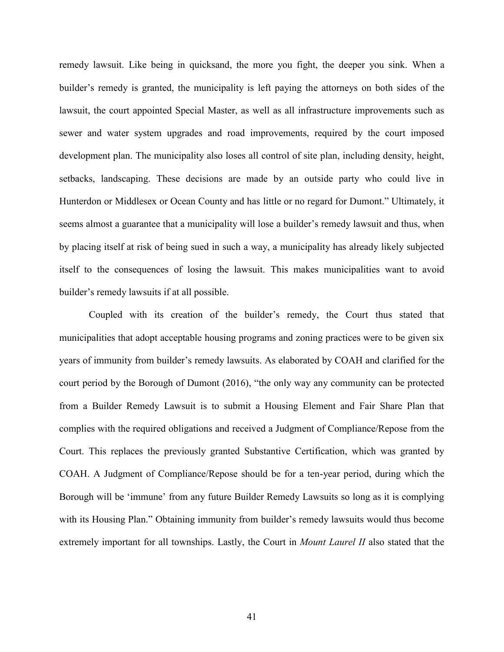remedy lawsuit. Like being in quicksand, the more you fight, the deeper you sink. When a builder's remedy is granted, the municipality is left paying the attorneys on both sides of the lawsuit, the court appointed Special Master, as well as all infrastructure improvements such as sewer and water system upgrades and road improvements, required by the court imposed development plan. The municipality also loses all control of site plan, including density, height, setbacks, landscaping. These decisions are made by an outside party who could live in Hunterdon or Middlesex or Ocean County and has little or no regard for Dumont." Ultimately, it seems almost a guarantee that a municipality will lose a builder's remedy lawsuit and thus, when by placing itself at risk of being sued in such a way, a municipality has already likely subjected itself to the consequences of losing the lawsuit. This makes municipalities want to avoid builder's remedy lawsuits if at all possible.

Coupled with its creation of the builder's remedy, the Court thus stated that municipalities that adopt acceptable housing programs and zoning practices were to be given six years of immunity from builder's remedy lawsuits. As elaborated by COAH and clarified for the court period by the Borough of Dumont (2016), "the only way any community can be protected from a Builder Remedy Lawsuit is to submit a Housing Element and Fair Share Plan that complies with the required obligations and received a Judgment of Compliance/Repose from the Court. This replaces the previously granted Substantive Certification, which was granted by COAH. A Judgment of Compliance/Repose should be for a ten-year period, during which the Borough will be 'immune' from any future Builder Remedy Lawsuits so long as it is complying with its Housing Plan." Obtaining immunity from builder's remedy lawsuits would thus become extremely important for all townships. Lastly, the Court in *Mount Laurel II* also stated that the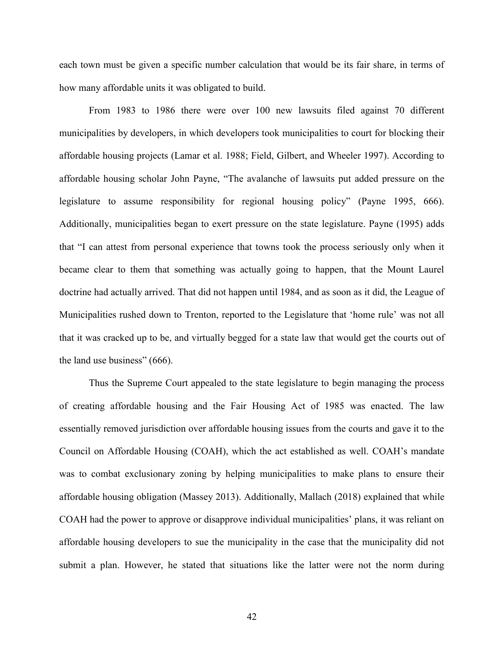each town must be given a specific number calculation that would be its fair share, in terms of how many affordable units it was obligated to build.

From 1983 to 1986 there were over 100 new lawsuits filed against 70 different municipalities by developers, in which developers took municipalities to court for blocking their affordable housing projects (Lamar et al. 1988; Field, Gilbert, and Wheeler 1997). According to affordable housing scholar John Payne, "The avalanche of lawsuits put added pressure on the legislature to assume responsibility for regional housing policy" (Payne 1995, 666). Additionally, municipalities began to exert pressure on the state legislature. Payne (1995) adds that "I can attest from personal experience that towns took the process seriously only when it became clear to them that something was actually going to happen, that the Mount Laurel doctrine had actually arrived. That did not happen until 1984, and as soon as it did, the League of Municipalities rushed down to Trenton, reported to the Legislature that 'home rule' was not all that it was cracked up to be, and virtually begged for a state law that would get the courts out of the land use business" (666).

Thus the Supreme Court appealed to the state legislature to begin managing the process of creating affordable housing and the Fair Housing Act of 1985 was enacted. The law essentially removed jurisdiction over affordable housing issues from the courts and gave it to the Council on Affordable Housing (COAH), which the act established as well. COAH's mandate was to combat exclusionary zoning by helping municipalities to make plans to ensure their affordable housing obligation (Massey 2013). Additionally, Mallach (2018) explained that while COAH had the power to approve or disapprove individual municipalities' plans, it was reliant on affordable housing developers to sue the municipality in the case that the municipality did not submit a plan. However, he stated that situations like the latter were not the norm during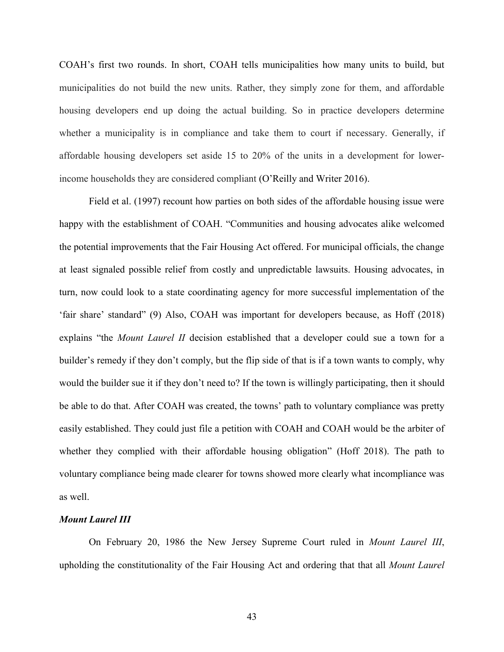COAH's first two rounds. In short, COAH tells municipalities how many units to build, but municipalities do not build the new units. Rather, they simply zone for them, and affordable housing developers end up doing the actual building. So in practice developers determine whether a municipality is in compliance and take them to court if necessary. Generally, if affordable housing developers set aside 15 to 20% of the units in a development for lowerincome households they are considered compliant (O'Reilly and Writer 2016).

Field et al. (1997) recount how parties on both sides of the affordable housing issue were happy with the establishment of COAH. "Communities and housing advocates alike welcomed the potential improvements that the Fair Housing Act offered. For municipal officials, the change at least signaled possible relief from costly and unpredictable lawsuits. Housing advocates, in turn, now could look to a state coordinating agency for more successful implementation of the 'fair share' standard" (9) Also, COAH was important for developers because, as Hoff (2018) explains "the *Mount Laurel II* decision established that a developer could sue a town for a builder's remedy if they don't comply, but the flip side of that is if a town wants to comply, why would the builder sue it if they don't need to? If the town is willingly participating, then it should be able to do that. After COAH was created, the towns' path to voluntary compliance was pretty easily established. They could just file a petition with COAH and COAH would be the arbiter of whether they complied with their affordable housing obligation" (Hoff 2018). The path to voluntary compliance being made clearer for towns showed more clearly what incompliance was as well.

# *Mount Laurel III*

On February 20, 1986 the New Jersey Supreme Court ruled in *Mount Laurel III*, upholding the constitutionality of the Fair Housing Act and ordering that that all *Mount Laurel*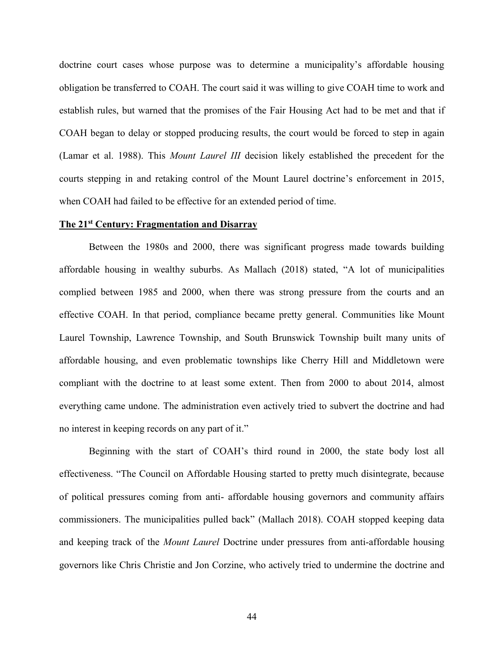doctrine court cases whose purpose was to determine a municipality's affordable housing obligation be transferred to COAH. The court said it was willing to give COAH time to work and establish rules, but warned that the promises of the Fair Housing Act had to be met and that if COAH began to delay or stopped producing results, the court would be forced to step in again (Lamar et al. 1988). This *Mount Laurel III* decision likely established the precedent for the courts stepping in and retaking control of the Mount Laurel doctrine's enforcement in 2015, when COAH had failed to be effective for an extended period of time.

#### **The 21st Century: Fragmentation and Disarray**

Between the 1980s and 2000, there was significant progress made towards building affordable housing in wealthy suburbs. As Mallach (2018) stated, "A lot of municipalities complied between 1985 and 2000, when there was strong pressure from the courts and an effective COAH. In that period, compliance became pretty general. Communities like Mount Laurel Township, Lawrence Township, and South Brunswick Township built many units of affordable housing, and even problematic townships like Cherry Hill and Middletown were compliant with the doctrine to at least some extent. Then from 2000 to about 2014, almost everything came undone. The administration even actively tried to subvert the doctrine and had no interest in keeping records on any part of it."

Beginning with the start of COAH's third round in 2000, the state body lost all effectiveness. "The Council on Affordable Housing started to pretty much disintegrate, because of political pressures coming from anti- affordable housing governors and community affairs commissioners. The municipalities pulled back" (Mallach 2018). COAH stopped keeping data and keeping track of the *Mount Laurel* Doctrine under pressures from anti-affordable housing governors like Chris Christie and Jon Corzine, who actively tried to undermine the doctrine and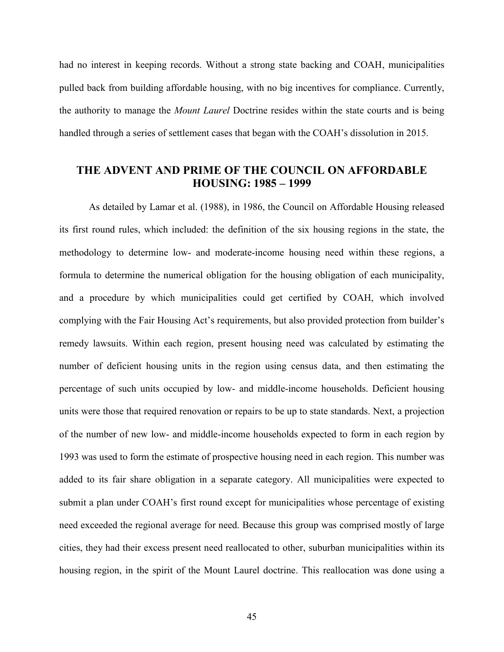had no interest in keeping records. Without a strong state backing and COAH, municipalities pulled back from building affordable housing, with no big incentives for compliance. Currently, the authority to manage the *Mount Laurel* Doctrine resides within the state courts and is being handled through a series of settlement cases that began with the COAH's dissolution in 2015.

# **THE ADVENT AND PRIME OF THE COUNCIL ON AFFORDABLE HOUSING: 1985 – 1999**

As detailed by Lamar et al. (1988), in 1986, the Council on Affordable Housing released its first round rules, which included: the definition of the six housing regions in the state, the methodology to determine low- and moderate-income housing need within these regions, a formula to determine the numerical obligation for the housing obligation of each municipality, and a procedure by which municipalities could get certified by COAH, which involved complying with the Fair Housing Act's requirements, but also provided protection from builder's remedy lawsuits. Within each region, present housing need was calculated by estimating the number of deficient housing units in the region using census data, and then estimating the percentage of such units occupied by low- and middle-income households. Deficient housing units were those that required renovation or repairs to be up to state standards. Next, a projection of the number of new low- and middle-income households expected to form in each region by 1993 was used to form the estimate of prospective housing need in each region. This number was added to its fair share obligation in a separate category. All municipalities were expected to submit a plan under COAH's first round except for municipalities whose percentage of existing need exceeded the regional average for need. Because this group was comprised mostly of large cities, they had their excess present need reallocated to other, suburban municipalities within its housing region, in the spirit of the Mount Laurel doctrine. This reallocation was done using a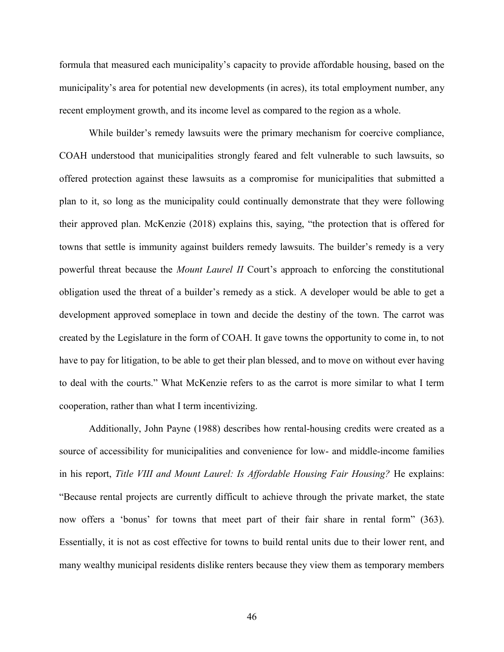formula that measured each municipality's capacity to provide affordable housing, based on the municipality's area for potential new developments (in acres), its total employment number, any recent employment growth, and its income level as compared to the region as a whole.

While builder's remedy lawsuits were the primary mechanism for coercive compliance, COAH understood that municipalities strongly feared and felt vulnerable to such lawsuits, so offered protection against these lawsuits as a compromise for municipalities that submitted a plan to it, so long as the municipality could continually demonstrate that they were following their approved plan. McKenzie (2018) explains this, saying, "the protection that is offered for towns that settle is immunity against builders remedy lawsuits. The builder's remedy is a very powerful threat because the *Mount Laurel II* Court's approach to enforcing the constitutional obligation used the threat of a builder's remedy as a stick. A developer would be able to get a development approved someplace in town and decide the destiny of the town. The carrot was created by the Legislature in the form of COAH. It gave towns the opportunity to come in, to not have to pay for litigation, to be able to get their plan blessed, and to move on without ever having to deal with the courts." What McKenzie refers to as the carrot is more similar to what I term cooperation, rather than what I term incentivizing.

Additionally, John Payne (1988) describes how rental-housing credits were created as a source of accessibility for municipalities and convenience for low- and middle-income families in his report, *Title VIII and Mount Laurel: Is Affordable Housing Fair Housing?* He explains: "Because rental projects are currently difficult to achieve through the private market, the state now offers a 'bonus' for towns that meet part of their fair share in rental form" (363). Essentially, it is not as cost effective for towns to build rental units due to their lower rent, and many wealthy municipal residents dislike renters because they view them as temporary members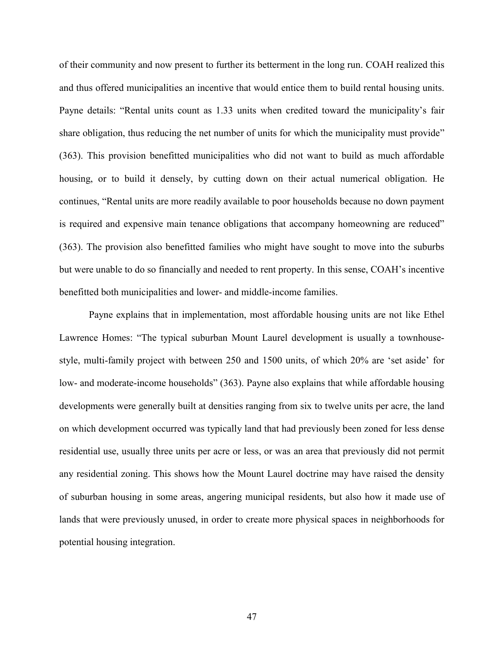of their community and now present to further its betterment in the long run. COAH realized this and thus offered municipalities an incentive that would entice them to build rental housing units. Payne details: "Rental units count as 1.33 units when credited toward the municipality's fair share obligation, thus reducing the net number of units for which the municipality must provide" (363). This provision benefitted municipalities who did not want to build as much affordable housing, or to build it densely, by cutting down on their actual numerical obligation. He continues, "Rental units are more readily available to poor households because no down payment is required and expensive main tenance obligations that accompany homeowning are reduced" (363). The provision also benefitted families who might have sought to move into the suburbs but were unable to do so financially and needed to rent property. In this sense, COAH's incentive benefitted both municipalities and lower- and middle-income families.

Payne explains that in implementation, most affordable housing units are not like Ethel Lawrence Homes: "The typical suburban Mount Laurel development is usually a townhousestyle, multi-family project with between 250 and 1500 units, of which 20% are 'set aside' for low- and moderate-income households" (363). Payne also explains that while affordable housing developments were generally built at densities ranging from six to twelve units per acre, the land on which development occurred was typically land that had previously been zoned for less dense residential use, usually three units per acre or less, or was an area that previously did not permit any residential zoning. This shows how the Mount Laurel doctrine may have raised the density of suburban housing in some areas, angering municipal residents, but also how it made use of lands that were previously unused, in order to create more physical spaces in neighborhoods for potential housing integration.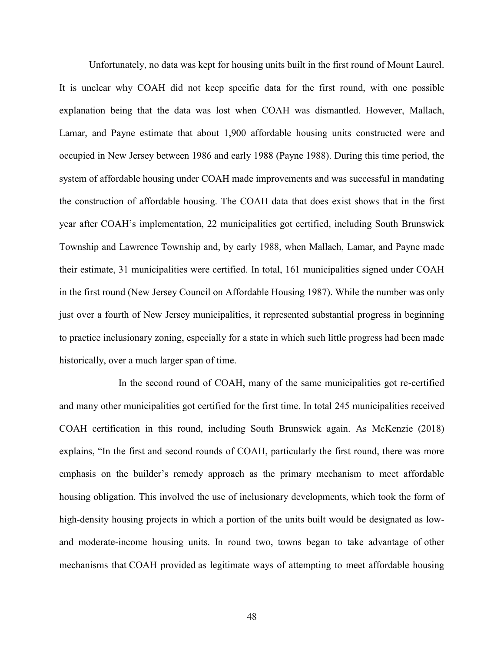Unfortunately, no data was kept for housing units built in the first round of Mount Laurel. It is unclear why COAH did not keep specific data for the first round, with one possible explanation being that the data was lost when COAH was dismantled. However, Mallach, Lamar, and Payne estimate that about 1,900 affordable housing units constructed were and occupied in New Jersey between 1986 and early 1988 (Payne 1988). During this time period, the system of affordable housing under COAH made improvements and was successful in mandating the construction of affordable housing. The COAH data that does exist shows that in the first year after COAH's implementation, 22 municipalities got certified, including South Brunswick Township and Lawrence Township and, by early 1988, when Mallach, Lamar, and Payne made their estimate, 31 municipalities were certified. In total, 161 municipalities signed under COAH in the first round (New Jersey Council on Affordable Housing 1987). While the number was only just over a fourth of New Jersey municipalities, it represented substantial progress in beginning to practice inclusionary zoning, especially for a state in which such little progress had been made historically, over a much larger span of time.

In the second round of COAH, many of the same municipalities got re-certified and many other municipalities got certified for the first time. In total 245 municipalities received COAH certification in this round, including South Brunswick again. As McKenzie (2018) explains, "In the first and second rounds of COAH, particularly the first round, there was more emphasis on the builder's remedy approach as the primary mechanism to meet affordable housing obligation. This involved the use of inclusionary developments, which took the form of high-density housing projects in which a portion of the units built would be designated as lowand moderate-income housing units. In round two, towns began to take advantage of other mechanisms that COAH provided as legitimate ways of attempting to meet affordable housing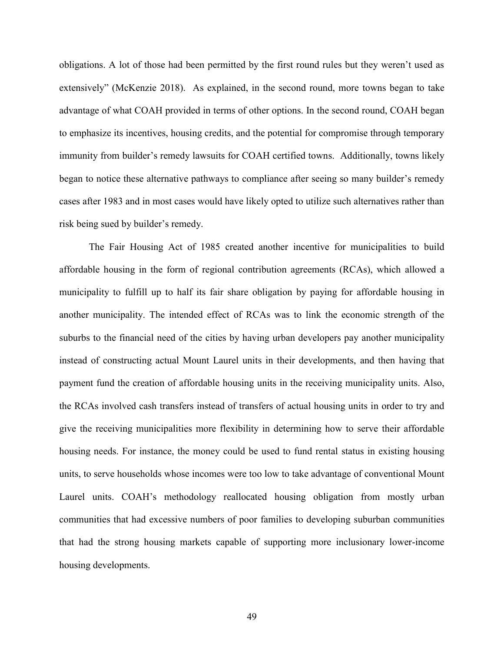obligations. A lot of those had been permitted by the first round rules but they weren't used as extensively" (McKenzie 2018). As explained, in the second round, more towns began to take advantage of what COAH provided in terms of other options. In the second round, COAH began to emphasize its incentives, housing credits, and the potential for compromise through temporary immunity from builder's remedy lawsuits for COAH certified towns. Additionally, towns likely began to notice these alternative pathways to compliance after seeing so many builder's remedy cases after 1983 and in most cases would have likely opted to utilize such alternatives rather than risk being sued by builder's remedy.

The Fair Housing Act of 1985 created another incentive for municipalities to build affordable housing in the form of regional contribution agreements (RCAs), which allowed a municipality to fulfill up to half its fair share obligation by paying for affordable housing in another municipality. The intended effect of RCAs was to link the economic strength of the suburbs to the financial need of the cities by having urban developers pay another municipality instead of constructing actual Mount Laurel units in their developments, and then having that payment fund the creation of affordable housing units in the receiving municipality units. Also, the RCAs involved cash transfers instead of transfers of actual housing units in order to try and give the receiving municipalities more flexibility in determining how to serve their affordable housing needs. For instance, the money could be used to fund rental status in existing housing units, to serve households whose incomes were too low to take advantage of conventional Mount Laurel units. COAH's methodology reallocated housing obligation from mostly urban communities that had excessive numbers of poor families to developing suburban communities that had the strong housing markets capable of supporting more inclusionary lower-income housing developments.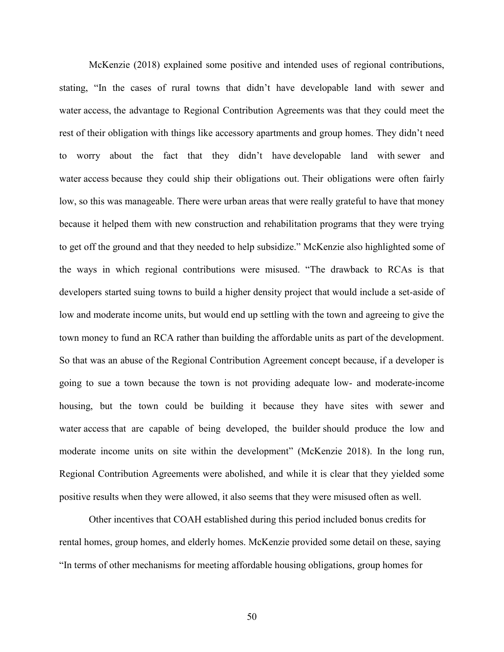McKenzie (2018) explained some positive and intended uses of regional contributions, stating, "In the cases of rural towns that didn't have developable land with sewer and water access, the advantage to Regional Contribution Agreements was that they could meet the rest of their obligation with things like accessory apartments and group homes. They didn't need to worry about the fact that they didn't have developable land with sewer and water access because they could ship their obligations out. Their obligations were often fairly low, so this was manageable. There were urban areas that were really grateful to have that money because it helped them with new construction and rehabilitation programs that they were trying to get off the ground and that they needed to help subsidize." McKenzie also highlighted some of the ways in which regional contributions were misused. "The drawback to RCAs is that developers started suing towns to build a higher density project that would include a set-aside of low and moderate income units, but would end up settling with the town and agreeing to give the town money to fund an RCA rather than building the affordable units as part of the development. So that was an abuse of the Regional Contribution Agreement concept because, if a developer is going to sue a town because the town is not providing adequate low- and moderate-income housing, but the town could be building it because they have sites with sewer and water access that are capable of being developed, the builder should produce the low and moderate income units on site within the development" (McKenzie 2018). In the long run, Regional Contribution Agreements were abolished, and while it is clear that they yielded some positive results when they were allowed, it also seems that they were misused often as well.

Other incentives that COAH established during this period included bonus credits for rental homes, group homes, and elderly homes. McKenzie provided some detail on these, saying "In terms of other mechanisms for meeting affordable housing obligations, group homes for

50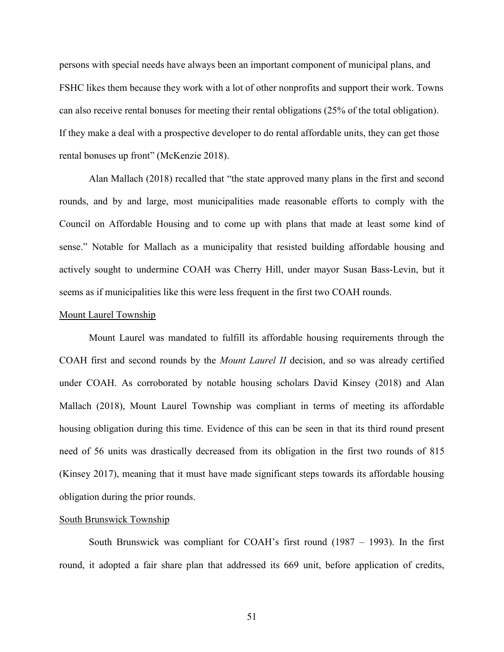persons with special needs have always been an important component of municipal plans, and FSHC likes them because they work with a lot of other nonprofits and support their work. Towns can also receive rental bonuses for meeting their rental obligations (25% of the total obligation). If they make a deal with a prospective developer to do rental affordable units, they can get those rental bonuses up front" (McKenzie 2018).

Alan Mallach (2018) recalled that "the state approved many plans in the first and second rounds, and by and large, most municipalities made reasonable efforts to comply with the Council on Affordable Housing and to come up with plans that made at least some kind of sense." Notable for Mallach as a municipality that resisted building affordable housing and actively sought to undermine COAH was Cherry Hill, under mayor Susan Bass-Levin, but it seems as if municipalities like this were less frequent in the first two COAH rounds.

#### Mount Laurel Township

Mount Laurel was mandated to fulfill its affordable housing requirements through the COAH first and second rounds by the *Mount Laurel II* decision, and so was already certified under COAH. As corroborated by notable housing scholars David Kinsey (2018) and Alan Mallach (2018), Mount Laurel Township was compliant in terms of meeting its affordable housing obligation during this time. Evidence of this can be seen in that its third round present need of 56 units was drastically decreased from its obligation in the first two rounds of 815 (Kinsey 2017), meaning that it must have made significant steps towards its affordable housing obligation during the prior rounds.

#### South Brunswick Township

South Brunswick was compliant for COAH's first round (1987 – 1993). In the first round, it adopted a fair share plan that addressed its 669 unit, before application of credits,

51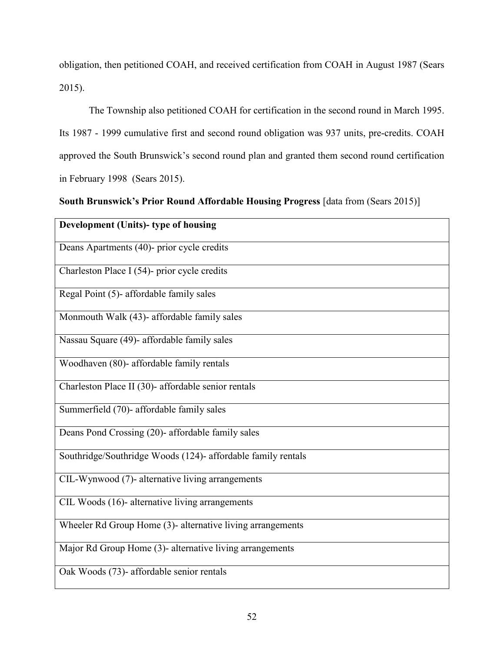obligation, then petitioned COAH, and received certification from COAH in August 1987 (Sears 2015).

The Township also petitioned COAH for certification in the second round in March 1995. Its 1987 - 1999 cumulative first and second round obligation was 937 units, pre-credits. COAH approved the South Brunswick's second round plan and granted them second round certification in February 1998 (Sears 2015).

**South Brunswick's Prior Round Affordable Housing Progress** [data from (Sears 2015)]

| Development (Units)- type of housing                         |
|--------------------------------------------------------------|
| Deans Apartments (40)- prior cycle credits                   |
| Charleston Place I (54)- prior cycle credits                 |
| Regal Point (5)- affordable family sales                     |
| Monmouth Walk (43)- affordable family sales                  |
| Nassau Square (49)- affordable family sales                  |
| Woodhaven (80)- affordable family rentals                    |
| Charleston Place II (30)- affordable senior rentals          |
| Summerfield (70)- affordable family sales                    |
| Deans Pond Crossing (20)- affordable family sales            |
| Southridge/Southridge Woods (124)- affordable family rentals |
| CIL-Wynwood (7)- alternative living arrangements             |
| CIL Woods (16)- alternative living arrangements              |
| Wheeler Rd Group Home (3)- alternative living arrangements   |
| Major Rd Group Home (3)- alternative living arrangements     |
| Oak Woods (73)- affordable senior rentals                    |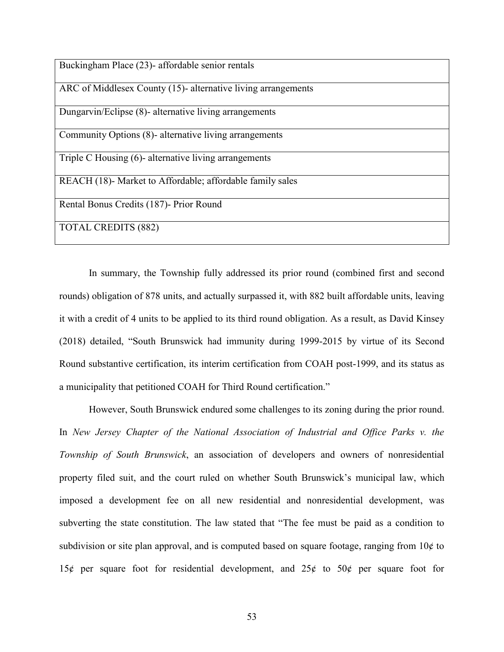| Buckingham Place (23)- affordable senior rentals              |
|---------------------------------------------------------------|
| ARC of Middlesex County (15)- alternative living arrangements |
| Dungarvin/Eclipse (8)- alternative living arrangements        |
| Community Options (8)- alternative living arrangements        |
| Triple C Housing (6)- alternative living arrangements         |
| REACH (18)- Market to Affordable; affordable family sales     |
| Rental Bonus Credits (187)- Prior Round                       |
| <b>TOTAL CREDITS (882)</b>                                    |

In summary, the Township fully addressed its prior round (combined first and second rounds) obligation of 878 units, and actually surpassed it, with 882 built affordable units, leaving it with a credit of 4 units to be applied to its third round obligation. As a result, as David Kinsey (2018) detailed, "South Brunswick had immunity during 1999-2015 by virtue of its Second Round substantive certification, its interim certification from COAH post-1999, and its status as a municipality that petitioned COAH for Third Round certification."

However, South Brunswick endured some challenges to its zoning during the prior round. In *New Jersey Chapter of the National Association of Industrial and Office Parks v. the Township of South Brunswick*, an association of developers and owners of nonresidential property filed suit, and the court ruled on whether South Brunswick's municipal law, which imposed a development fee on all new residential and nonresidential development, was subverting the state constitution. The law stated that "The fee must be paid as a condition to subdivision or site plan approval, and is computed based on square footage, ranging from  $10¢$  to 15¢ per square foot for residential development, and 25¢ to 50¢ per square foot for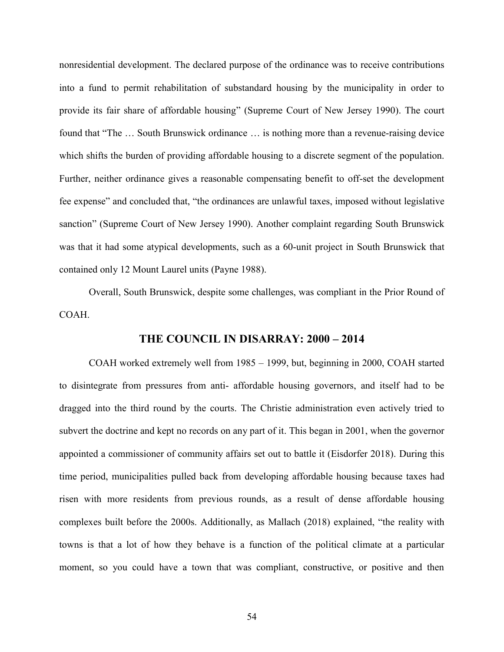nonresidential development. The declared purpose of the ordinance was to receive contributions into a fund to permit rehabilitation of substandard housing by the municipality in order to provide its fair share of affordable housing" (Supreme Court of New Jersey 1990). The court found that "The … South Brunswick ordinance … is nothing more than a revenue-raising device which shifts the burden of providing affordable housing to a discrete segment of the population. Further, neither ordinance gives a reasonable compensating benefit to off-set the development fee expense" and concluded that, "the ordinances are unlawful taxes, imposed without legislative sanction" (Supreme Court of New Jersey 1990). Another complaint regarding South Brunswick was that it had some atypical developments, such as a 60-unit project in South Brunswick that contained only 12 Mount Laurel units (Payne 1988).

Overall, South Brunswick, despite some challenges, was compliant in the Prior Round of COAH.

# **THE COUNCIL IN DISARRAY: 2000 – 2014**

COAH worked extremely well from 1985 – 1999, but, beginning in 2000, COAH started to disintegrate from pressures from anti- affordable housing governors, and itself had to be dragged into the third round by the courts. The Christie administration even actively tried to subvert the doctrine and kept no records on any part of it. This began in 2001, when the governor appointed a commissioner of community affairs set out to battle it (Eisdorfer 2018). During this time period, municipalities pulled back from developing affordable housing because taxes had risen with more residents from previous rounds, as a result of dense affordable housing complexes built before the 2000s. Additionally, as Mallach (2018) explained, "the reality with towns is that a lot of how they behave is a function of the political climate at a particular moment, so you could have a town that was compliant, constructive, or positive and then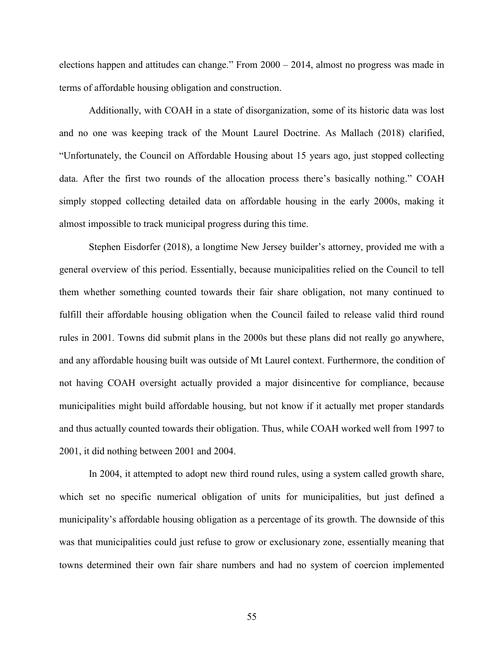elections happen and attitudes can change." From 2000 – 2014, almost no progress was made in terms of affordable housing obligation and construction.

Additionally, with COAH in a state of disorganization, some of its historic data was lost and no one was keeping track of the Mount Laurel Doctrine. As Mallach (2018) clarified, "Unfortunately, the Council on Affordable Housing about 15 years ago, just stopped collecting data. After the first two rounds of the allocation process there's basically nothing." COAH simply stopped collecting detailed data on affordable housing in the early 2000s, making it almost impossible to track municipal progress during this time.

Stephen Eisdorfer (2018), a longtime New Jersey builder's attorney, provided me with a general overview of this period. Essentially, because municipalities relied on the Council to tell them whether something counted towards their fair share obligation, not many continued to fulfill their affordable housing obligation when the Council failed to release valid third round rules in 2001. Towns did submit plans in the 2000s but these plans did not really go anywhere, and any affordable housing built was outside of Mt Laurel context. Furthermore, the condition of not having COAH oversight actually provided a major disincentive for compliance, because municipalities might build affordable housing, but not know if it actually met proper standards and thus actually counted towards their obligation. Thus, while COAH worked well from 1997 to 2001, it did nothing between 2001 and 2004.

In 2004, it attempted to adopt new third round rules, using a system called growth share, which set no specific numerical obligation of units for municipalities, but just defined a municipality's affordable housing obligation as a percentage of its growth. The downside of this was that municipalities could just refuse to grow or exclusionary zone, essentially meaning that towns determined their own fair share numbers and had no system of coercion implemented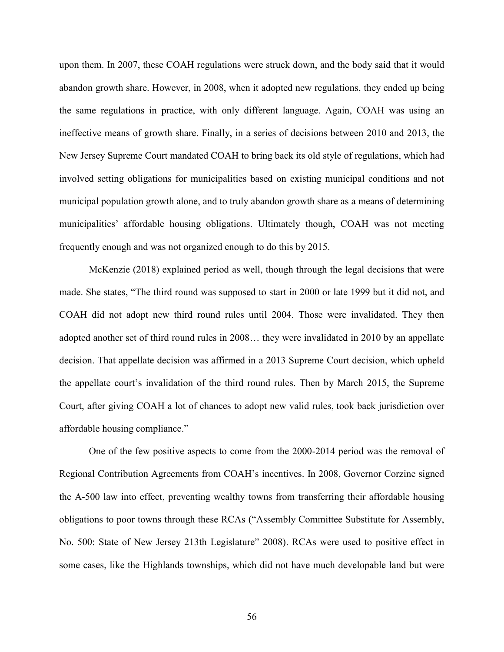upon them. In 2007, these COAH regulations were struck down, and the body said that it would abandon growth share. However, in 2008, when it adopted new regulations, they ended up being the same regulations in practice, with only different language. Again, COAH was using an ineffective means of growth share. Finally, in a series of decisions between 2010 and 2013, the New Jersey Supreme Court mandated COAH to bring back its old style of regulations, which had involved setting obligations for municipalities based on existing municipal conditions and not municipal population growth alone, and to truly abandon growth share as a means of determining municipalities' affordable housing obligations. Ultimately though, COAH was not meeting frequently enough and was not organized enough to do this by 2015.

McKenzie (2018) explained period as well, though through the legal decisions that were made. She states, "The third round was supposed to start in 2000 or late 1999 but it did not, and COAH did not adopt new third round rules until 2004. Those were invalidated. They then adopted another set of third round rules in 2008… they were invalidated in 2010 by an appellate decision. That appellate decision was affirmed in a 2013 Supreme Court decision, which upheld the appellate court's invalidation of the third round rules. Then by March 2015, the Supreme Court, after giving COAH a lot of chances to adopt new valid rules, took back jurisdiction over affordable housing compliance."

One of the few positive aspects to come from the 2000-2014 period was the removal of Regional Contribution Agreements from COAH's incentives. In 2008, Governor Corzine signed the A-500 law into effect, preventing wealthy towns from transferring their affordable housing obligations to poor towns through these RCAs ("Assembly Committee Substitute for Assembly, No. 500: State of New Jersey 213th Legislature" 2008). RCAs were used to positive effect in some cases, like the Highlands townships, which did not have much developable land but were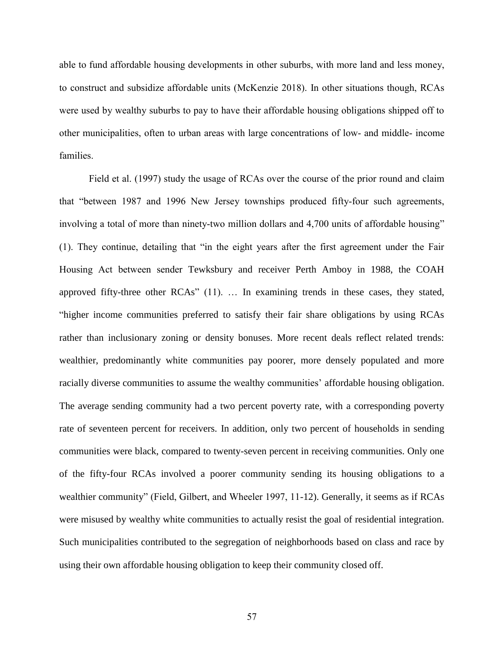able to fund affordable housing developments in other suburbs, with more land and less money, to construct and subsidize affordable units (McKenzie 2018). In other situations though, RCAs were used by wealthy suburbs to pay to have their affordable housing obligations shipped off to other municipalities, often to urban areas with large concentrations of low- and middle- income families.

Field et al. (1997) study the usage of RCAs over the course of the prior round and claim that "between 1987 and 1996 New Jersey townships produced fifty-four such agreements, involving a total of more than ninety-two million dollars and 4,700 units of affordable housing" (1). They continue, detailing that "in the eight years after the first agreement under the Fair Housing Act between sender Tewksbury and receiver Perth Amboy in 1988, the COAH approved fifty-three other RCAs" (11). … In examining trends in these cases, they stated, "higher income communities preferred to satisfy their fair share obligations by using RCAs rather than inclusionary zoning or density bonuses. More recent deals reflect related trends: wealthier, predominantly white communities pay poorer, more densely populated and more racially diverse communities to assume the wealthy communities' affordable housing obligation. The average sending community had a two percent poverty rate, with a corresponding poverty rate of seventeen percent for receivers. In addition, only two percent of households in sending communities were black, compared to twenty-seven percent in receiving communities. Only one of the fifty-four RCAs involved a poorer community sending its housing obligations to a wealthier community" (Field, Gilbert, and Wheeler 1997, 11-12). Generally, it seems as if RCAs were misused by wealthy white communities to actually resist the goal of residential integration. Such municipalities contributed to the segregation of neighborhoods based on class and race by using their own affordable housing obligation to keep their community closed off.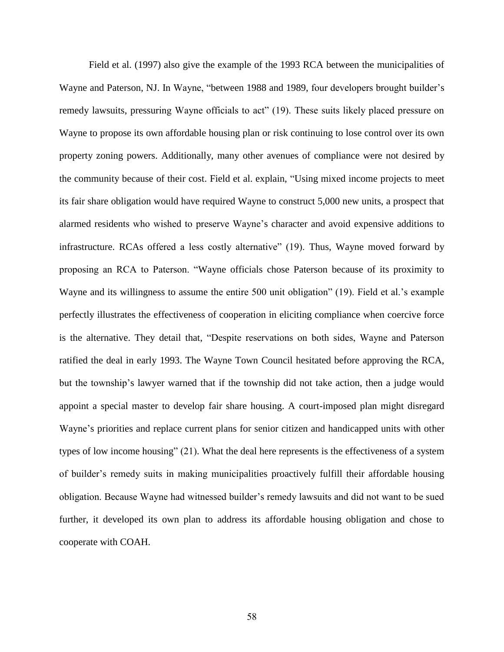Field et al. (1997) also give the example of the 1993 RCA between the municipalities of Wayne and Paterson, NJ. In Wayne, "between 1988 and 1989, four developers brought builder's remedy lawsuits, pressuring Wayne officials to act" (19). These suits likely placed pressure on Wayne to propose its own affordable housing plan or risk continuing to lose control over its own property zoning powers. Additionally, many other avenues of compliance were not desired by the community because of their cost. Field et al. explain, "Using mixed income projects to meet its fair share obligation would have required Wayne to construct 5,000 new units, a prospect that alarmed residents who wished to preserve Wayne's character and avoid expensive additions to infrastructure. RCAs offered a less costly alternative" (19). Thus, Wayne moved forward by proposing an RCA to Paterson. "Wayne officials chose Paterson because of its proximity to Wayne and its willingness to assume the entire 500 unit obligation" (19). Field et al.'s example perfectly illustrates the effectiveness of cooperation in eliciting compliance when coercive force is the alternative. They detail that, "Despite reservations on both sides, Wayne and Paterson ratified the deal in early 1993. The Wayne Town Council hesitated before approving the RCA, but the township's lawyer warned that if the township did not take action, then a judge would appoint a special master to develop fair share housing. A court-imposed plan might disregard Wayne's priorities and replace current plans for senior citizen and handicapped units with other types of low income housing" (21). What the deal here represents is the effectiveness of a system of builder's remedy suits in making municipalities proactively fulfill their affordable housing obligation. Because Wayne had witnessed builder's remedy lawsuits and did not want to be sued further, it developed its own plan to address its affordable housing obligation and chose to cooperate with COAH.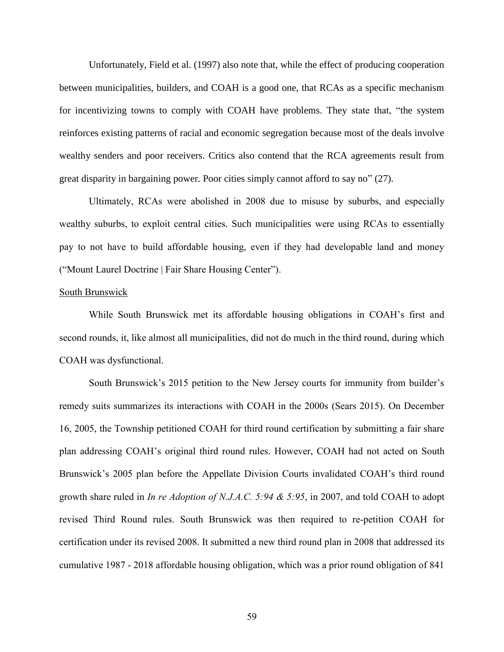Unfortunately, Field et al. (1997) also note that, while the effect of producing cooperation between municipalities, builders, and COAH is a good one, that RCAs as a specific mechanism for incentivizing towns to comply with COAH have problems. They state that, "the system reinforces existing patterns of racial and economic segregation because most of the deals involve wealthy senders and poor receivers. Critics also contend that the RCA agreements result from great disparity in bargaining power. Poor cities simply cannot afford to say no" (27).

Ultimately, RCAs were abolished in 2008 due to misuse by suburbs, and especially wealthy suburbs, to exploit central cities. Such municipalities were using RCAs to essentially pay to not have to build affordable housing, even if they had developable land and money ("Mount Laurel Doctrine | Fair Share Housing Center").

#### South Brunswick

While South Brunswick met its affordable housing obligations in COAH's first and second rounds, it, like almost all municipalities, did not do much in the third round, during which COAH was dysfunctional.

South Brunswick's 2015 petition to the New Jersey courts for immunity from builder's remedy suits summarizes its interactions with COAH in the 2000s (Sears 2015). On December 16, 2005, the Township petitioned COAH for third round certification by submitting a fair share plan addressing COAH's original third round rules. However, COAH had not acted on South Brunswick's 2005 plan before the Appellate Division Courts invalidated COAH's third round growth share ruled in *In re Adoption of N.J.A.C. 5:94 & 5:95*, in 2007, and told COAH to adopt revised Third Round rules. South Brunswick was then required to re-petition COAH for certification under its revised 2008. It submitted a new third round plan in 2008 that addressed its cumulative 1987 - 2018 affordable housing obligation, which was a prior round obligation of 841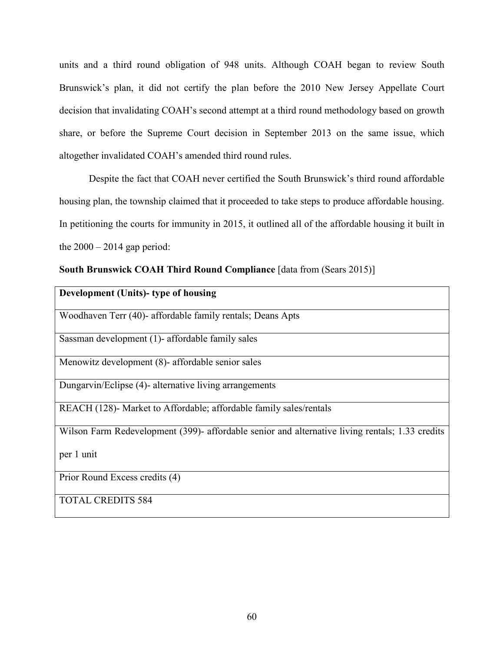units and a third round obligation of 948 units. Although COAH began to review South Brunswick's plan, it did not certify the plan before the 2010 New Jersey Appellate Court decision that invalidating COAH's second attempt at a third round methodology based on growth share, or before the Supreme Court decision in September 2013 on the same issue, which altogether invalidated COAH's amended third round rules.

Despite the fact that COAH never certified the South Brunswick's third round affordable housing plan, the township claimed that it proceeded to take steps to produce affordable housing. In petitioning the courts for immunity in 2015, it outlined all of the affordable housing it built in the  $2000 - 2014$  gap period:

**South Brunswick COAH Third Round Compliance** [data from (Sears 2015)]

| Development (Units)- type of housing                                                            |
|-------------------------------------------------------------------------------------------------|
| Woodhaven Terr (40)- affordable family rentals; Deans Apts                                      |
| Sassman development (1)- affordable family sales                                                |
| Menowitz development (8)- affordable senior sales                                               |
| Dungarvin/Eclipse (4)- alternative living arrangements                                          |
| REACH (128)- Market to Affordable; affordable family sales/rentals                              |
| Wilson Farm Redevelopment (399)- affordable senior and alternative living rentals; 1.33 credits |
| per 1 unit                                                                                      |
| Prior Round Excess credits (4)                                                                  |
| <b>TOTAL CREDITS 584</b>                                                                        |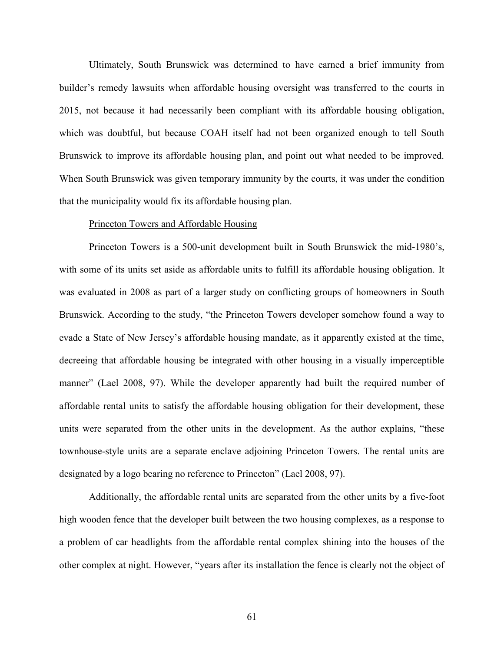Ultimately, South Brunswick was determined to have earned a brief immunity from builder's remedy lawsuits when affordable housing oversight was transferred to the courts in 2015, not because it had necessarily been compliant with its affordable housing obligation, which was doubtful, but because COAH itself had not been organized enough to tell South Brunswick to improve its affordable housing plan, and point out what needed to be improved. When South Brunswick was given temporary immunity by the courts, it was under the condition that the municipality would fix its affordable housing plan.

#### Princeton Towers and Affordable Housing

Princeton Towers is a 500-unit development built in South Brunswick the mid-1980's, with some of its units set aside as affordable units to fulfill its affordable housing obligation. It was evaluated in 2008 as part of a larger study on conflicting groups of homeowners in South Brunswick. According to the study, "the Princeton Towers developer somehow found a way to evade a State of New Jersey's affordable housing mandate, as it apparently existed at the time, decreeing that affordable housing be integrated with other housing in a visually imperceptible manner" (Lael 2008, 97). While the developer apparently had built the required number of affordable rental units to satisfy the affordable housing obligation for their development, these units were separated from the other units in the development. As the author explains, "these townhouse-style units are a separate enclave adjoining Princeton Towers. The rental units are designated by a logo bearing no reference to Princeton" (Lael 2008, 97).

Additionally, the affordable rental units are separated from the other units by a five-foot high wooden fence that the developer built between the two housing complexes, as a response to a problem of car headlights from the affordable rental complex shining into the houses of the other complex at night. However, "years after its installation the fence is clearly not the object of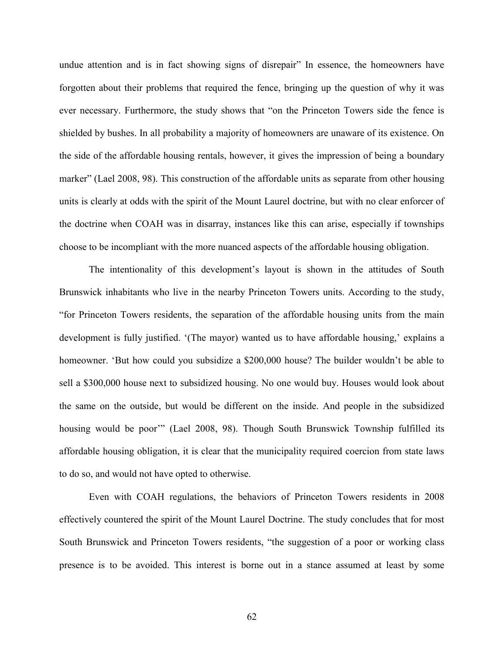undue attention and is in fact showing signs of disrepair" In essence, the homeowners have forgotten about their problems that required the fence, bringing up the question of why it was ever necessary. Furthermore, the study shows that "on the Princeton Towers side the fence is shielded by bushes. In all probability a majority of homeowners are unaware of its existence. On the side of the affordable housing rentals, however, it gives the impression of being a boundary marker" (Lael 2008, 98). This construction of the affordable units as separate from other housing units is clearly at odds with the spirit of the Mount Laurel doctrine, but with no clear enforcer of the doctrine when COAH was in disarray, instances like this can arise, especially if townships choose to be incompliant with the more nuanced aspects of the affordable housing obligation.

The intentionality of this development's layout is shown in the attitudes of South Brunswick inhabitants who live in the nearby Princeton Towers units. According to the study, "for Princeton Towers residents, the separation of the affordable housing units from the main development is fully justified. '(The mayor) wanted us to have affordable housing,' explains a homeowner. 'But how could you subsidize a \$200,000 house? The builder wouldn't be able to sell a \$300,000 house next to subsidized housing. No one would buy. Houses would look about the same on the outside, but would be different on the inside. And people in the subsidized housing would be poor" (Lael 2008, 98). Though South Brunswick Township fulfilled its affordable housing obligation, it is clear that the municipality required coercion from state laws to do so, and would not have opted to otherwise.

Even with COAH regulations, the behaviors of Princeton Towers residents in 2008 effectively countered the spirit of the Mount Laurel Doctrine. The study concludes that for most South Brunswick and Princeton Towers residents, "the suggestion of a poor or working class presence is to be avoided. This interest is borne out in a stance assumed at least by some

62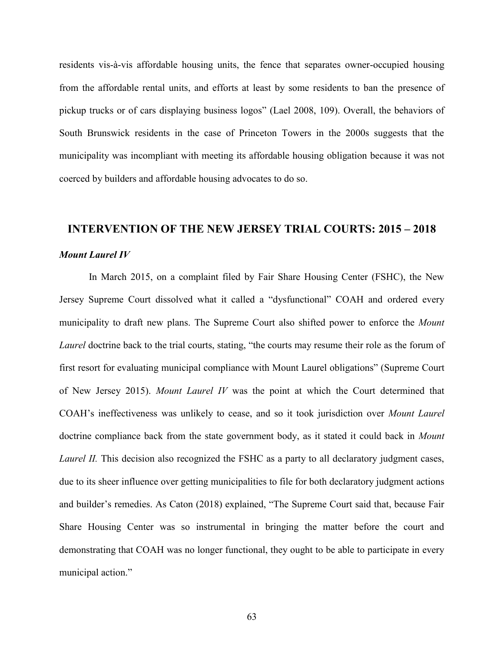residents vis-à-vis affordable housing units, the fence that separates owner-occupied housing from the affordable rental units, and efforts at least by some residents to ban the presence of pickup trucks or of cars displaying business logos" (Lael 2008, 109). Overall, the behaviors of South Brunswick residents in the case of Princeton Towers in the 2000s suggests that the municipality was incompliant with meeting its affordable housing obligation because it was not coerced by builders and affordable housing advocates to do so.

# **INTERVENTION OF THE NEW JERSEY TRIAL COURTS: 2015 - 2018** *Mount Laurel IV*

In March 2015, on a complaint filed by Fair Share Housing Center (FSHC), the New Jersey Supreme Court dissolved what it called a "dysfunctional" COAH and ordered every municipality to draft new plans. The Supreme Court also shifted power to enforce the *Mount Laurel* doctrine back to the trial courts, stating, "the courts may resume their role as the forum of first resort for evaluating municipal compliance with Mount Laurel obligations" (Supreme Court of New Jersey 2015). *Mount Laurel IV* was the point at which the Court determined that COAH's ineffectiveness was unlikely to cease, and so it took jurisdiction over *Mount Laurel*  doctrine compliance back from the state government body, as it stated it could back in *Mount Laurel II.* This decision also recognized the FSHC as a party to all declaratory judgment cases, due to its sheer influence over getting municipalities to file for both declaratory judgment actions and builder's remedies. As Caton (2018) explained, "The Supreme Court said that, because Fair Share Housing Center was so instrumental in bringing the matter before the court and demonstrating that COAH was no longer functional, they ought to be able to participate in every municipal action."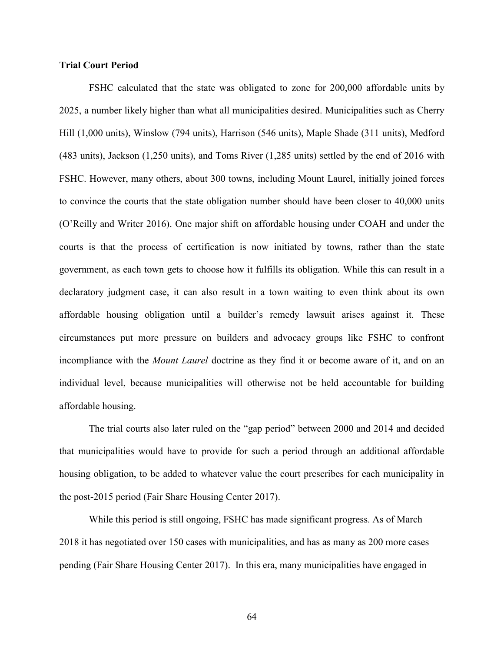## **Trial Court Period**

FSHC calculated that the state was obligated to zone for 200,000 affordable units by 2025, a number likely higher than what all municipalities desired. Municipalities such as Cherry Hill (1,000 units), Winslow (794 units), Harrison (546 units), Maple Shade (311 units), Medford (483 units), Jackson (1,250 units), and Toms River (1,285 units) settled by the end of 2016 with FSHC. However, many others, about 300 towns, including Mount Laurel, initially joined forces to convince the courts that the state obligation number should have been closer to 40,000 units (O'Reilly and Writer 2016). One major shift on affordable housing under COAH and under the courts is that the process of certification is now initiated by towns, rather than the state government, as each town gets to choose how it fulfills its obligation. While this can result in a declaratory judgment case, it can also result in a town waiting to even think about its own affordable housing obligation until a builder's remedy lawsuit arises against it. These circumstances put more pressure on builders and advocacy groups like FSHC to confront incompliance with the *Mount Laurel* doctrine as they find it or become aware of it, and on an individual level, because municipalities will otherwise not be held accountable for building affordable housing.

The trial courts also later ruled on the "gap period" between 2000 and 2014 and decided that municipalities would have to provide for such a period through an additional affordable housing obligation, to be added to whatever value the court prescribes for each municipality in the post-2015 period (Fair Share Housing Center 2017).

While this period is still ongoing, FSHC has made significant progress. As of March 2018 it has negotiated over 150 cases with municipalities, and has as many as 200 more cases pending (Fair Share Housing Center 2017). In this era, many municipalities have engaged in

64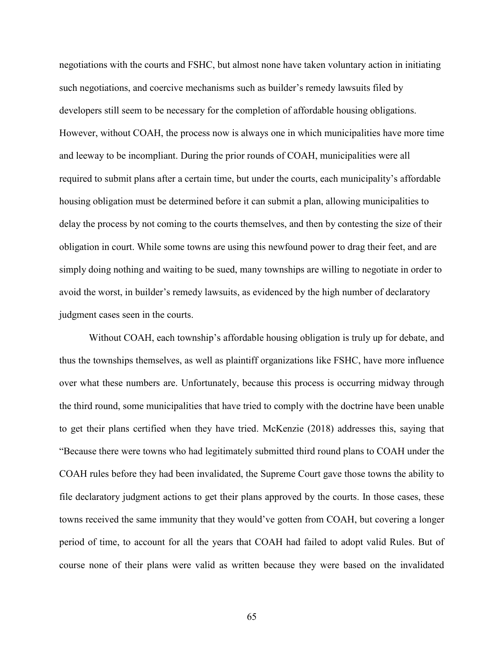negotiations with the courts and FSHC, but almost none have taken voluntary action in initiating such negotiations, and coercive mechanisms such as builder's remedy lawsuits filed by developers still seem to be necessary for the completion of affordable housing obligations. However, without COAH, the process now is always one in which municipalities have more time and leeway to be incompliant. During the prior rounds of COAH, municipalities were all required to submit plans after a certain time, but under the courts, each municipality's affordable housing obligation must be determined before it can submit a plan, allowing municipalities to delay the process by not coming to the courts themselves, and then by contesting the size of their obligation in court. While some towns are using this newfound power to drag their feet, and are simply doing nothing and waiting to be sued, many townships are willing to negotiate in order to avoid the worst, in builder's remedy lawsuits, as evidenced by the high number of declaratory judgment cases seen in the courts.

Without COAH, each township's affordable housing obligation is truly up for debate, and thus the townships themselves, as well as plaintiff organizations like FSHC, have more influence over what these numbers are. Unfortunately, because this process is occurring midway through the third round, some municipalities that have tried to comply with the doctrine have been unable to get their plans certified when they have tried. McKenzie (2018) addresses this, saying that "Because there were towns who had legitimately submitted third round plans to COAH under the COAH rules before they had been invalidated, the Supreme Court gave those towns the ability to file declaratory judgment actions to get their plans approved by the courts. In those cases, these towns received the same immunity that they would've gotten from COAH, but covering a longer period of time, to account for all the years that COAH had failed to adopt valid Rules. But of course none of their plans were valid as written because they were based on the invalidated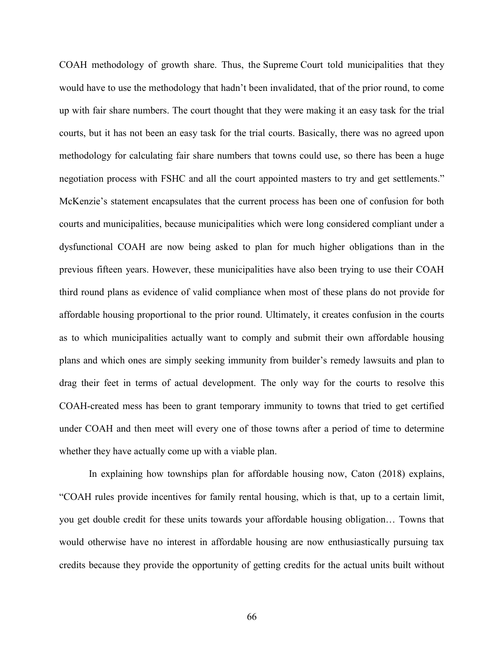COAH methodology of growth share. Thus, the Supreme Court told municipalities that they would have to use the methodology that hadn't been invalidated, that of the prior round, to come up with fair share numbers. The court thought that they were making it an easy task for the trial courts, but it has not been an easy task for the trial courts. Basically, there was no agreed upon methodology for calculating fair share numbers that towns could use, so there has been a huge negotiation process with FSHC and all the court appointed masters to try and get settlements." McKenzie's statement encapsulates that the current process has been one of confusion for both courts and municipalities, because municipalities which were long considered compliant under a dysfunctional COAH are now being asked to plan for much higher obligations than in the previous fifteen years. However, these municipalities have also been trying to use their COAH third round plans as evidence of valid compliance when most of these plans do not provide for affordable housing proportional to the prior round. Ultimately, it creates confusion in the courts as to which municipalities actually want to comply and submit their own affordable housing plans and which ones are simply seeking immunity from builder's remedy lawsuits and plan to drag their feet in terms of actual development. The only way for the courts to resolve this COAH-created mess has been to grant temporary immunity to towns that tried to get certified under COAH and then meet will every one of those towns after a period of time to determine whether they have actually come up with a viable plan.

In explaining how townships plan for affordable housing now, Caton (2018) explains, "COAH rules provide incentives for family rental housing, which is that, up to a certain limit, you get double credit for these units towards your affordable housing obligation… Towns that would otherwise have no interest in affordable housing are now enthusiastically pursuing tax credits because they provide the opportunity of getting credits for the actual units built without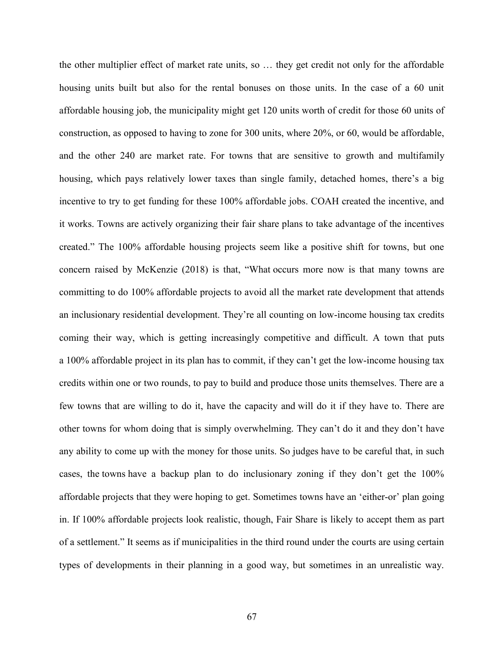the other multiplier effect of market rate units, so … they get credit not only for the affordable housing units built but also for the rental bonuses on those units. In the case of a 60 unit affordable housing job, the municipality might get 120 units worth of credit for those 60 units of construction, as opposed to having to zone for 300 units, where 20%, or 60, would be affordable, and the other 240 are market rate. For towns that are sensitive to growth and multifamily housing, which pays relatively lower taxes than single family, detached homes, there's a big incentive to try to get funding for these 100% affordable jobs. COAH created the incentive, and it works. Towns are actively organizing their fair share plans to take advantage of the incentives created." The 100% affordable housing projects seem like a positive shift for towns, but one concern raised by McKenzie (2018) is that, "What occurs more now is that many towns are committing to do 100% affordable projects to avoid all the market rate development that attends an inclusionary residential development. They're all counting on low-income housing tax credits coming their way, which is getting increasingly competitive and difficult. A town that puts a 100% affordable project in its plan has to commit, if they can't get the low-income housing tax credits within one or two rounds, to pay to build and produce those units themselves. There are a few towns that are willing to do it, have the capacity and will do it if they have to. There are other towns for whom doing that is simply overwhelming. They can't do it and they don't have any ability to come up with the money for those units. So judges have to be careful that, in such cases, the towns have a backup plan to do inclusionary zoning if they don't get the 100% affordable projects that they were hoping to get. Sometimes towns have an 'either-or' plan going in. If 100% affordable projects look realistic, though, Fair Share is likely to accept them as part of a settlement." It seems as if municipalities in the third round under the courts are using certain types of developments in their planning in a good way, but sometimes in an unrealistic way.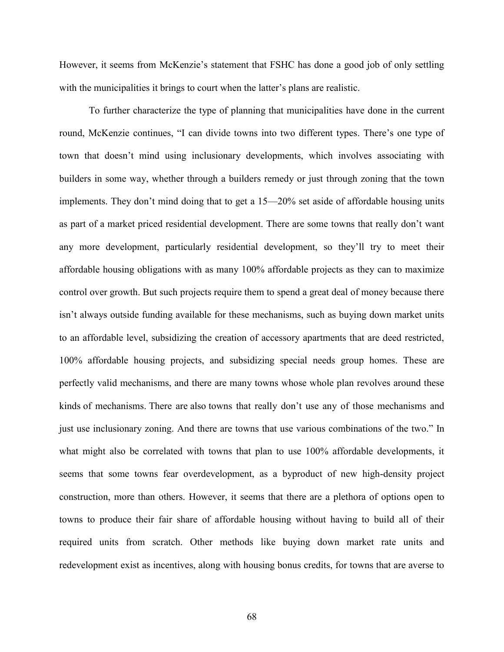However, it seems from McKenzie's statement that FSHC has done a good job of only settling with the municipalities it brings to court when the latter's plans are realistic.

To further characterize the type of planning that municipalities have done in the current round, McKenzie continues, "I can divide towns into two different types. There's one type of town that doesn't mind using inclusionary developments, which involves associating with builders in some way, whether through a builders remedy or just through zoning that the town implements. They don't mind doing that to get a 15—20% set aside of affordable housing units as part of a market priced residential development. There are some towns that really don't want any more development, particularly residential development, so they'll try to meet their affordable housing obligations with as many 100% affordable projects as they can to maximize control over growth. But such projects require them to spend a great deal of money because there isn't always outside funding available for these mechanisms, such as buying down market units to an affordable level, subsidizing the creation of accessory apartments that are deed restricted, 100% affordable housing projects, and subsidizing special needs group homes. These are perfectly valid mechanisms, and there are many towns whose whole plan revolves around these kinds of mechanisms. There are also towns that really don't use any of those mechanisms and just use inclusionary zoning. And there are towns that use various combinations of the two." In what might also be correlated with towns that plan to use 100% affordable developments, it seems that some towns fear overdevelopment, as a byproduct of new high-density project construction, more than others. However, it seems that there are a plethora of options open to towns to produce their fair share of affordable housing without having to build all of their required units from scratch. Other methods like buying down market rate units and redevelopment exist as incentives, along with housing bonus credits, for towns that are averse to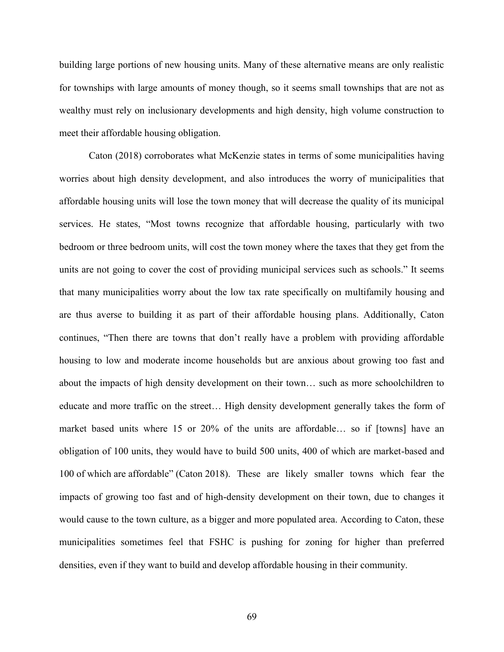building large portions of new housing units. Many of these alternative means are only realistic for townships with large amounts of money though, so it seems small townships that are not as wealthy must rely on inclusionary developments and high density, high volume construction to meet their affordable housing obligation.

Caton (2018) corroborates what McKenzie states in terms of some municipalities having worries about high density development, and also introduces the worry of municipalities that affordable housing units will lose the town money that will decrease the quality of its municipal services. He states, "Most towns recognize that affordable housing, particularly with two bedroom or three bedroom units, will cost the town money where the taxes that they get from the units are not going to cover the cost of providing municipal services such as schools." It seems that many municipalities worry about the low tax rate specifically on multifamily housing and are thus averse to building it as part of their affordable housing plans. Additionally, Caton continues, "Then there are towns that don't really have a problem with providing affordable housing to low and moderate income households but are anxious about growing too fast and about the impacts of high density development on their town… such as more schoolchildren to educate and more traffic on the street… High density development generally takes the form of market based units where 15 or 20% of the units are affordable… so if [towns] have an obligation of 100 units, they would have to build 500 units, 400 of which are market-based and 100 of which are affordable" (Caton 2018). These are likely smaller towns which fear the impacts of growing too fast and of high-density development on their town, due to changes it would cause to the town culture, as a bigger and more populated area. According to Caton, these municipalities sometimes feel that FSHC is pushing for zoning for higher than preferred densities, even if they want to build and develop affordable housing in their community.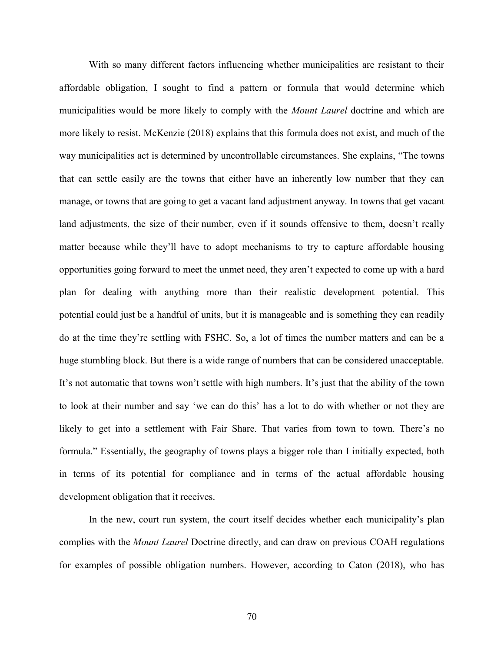With so many different factors influencing whether municipalities are resistant to their affordable obligation, I sought to find a pattern or formula that would determine which municipalities would be more likely to comply with the *Mount Laurel* doctrine and which are more likely to resist. McKenzie (2018) explains that this formula does not exist, and much of the way municipalities act is determined by uncontrollable circumstances. She explains, "The towns that can settle easily are the towns that either have an inherently low number that they can manage, or towns that are going to get a vacant land adjustment anyway. In towns that get vacant land adjustments, the size of their number, even if it sounds offensive to them, doesn't really matter because while they'll have to adopt mechanisms to try to capture affordable housing opportunities going forward to meet the unmet need, they aren't expected to come up with a hard plan for dealing with anything more than their realistic development potential. This potential could just be a handful of units, but it is manageable and is something they can readily do at the time they're settling with FSHC. So, a lot of times the number matters and can be a huge stumbling block. But there is a wide range of numbers that can be considered unacceptable. It's not automatic that towns won't settle with high numbers. It's just that the ability of the town to look at their number and say 'we can do this' has a lot to do with whether or not they are likely to get into a settlement with Fair Share. That varies from town to town. There's no formula." Essentially, the geography of towns plays a bigger role than I initially expected, both in terms of its potential for compliance and in terms of the actual affordable housing development obligation that it receives.

In the new, court run system, the court itself decides whether each municipality's plan complies with the *Mount Laurel* Doctrine directly, and can draw on previous COAH regulations for examples of possible obligation numbers. However, according to Caton (2018), who has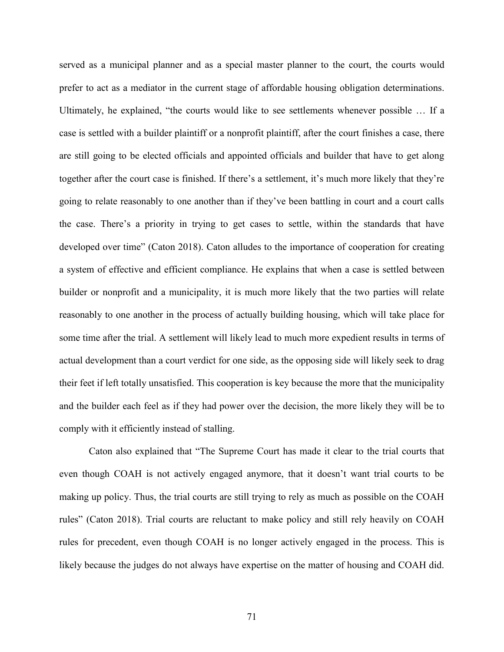served as a municipal planner and as a special master planner to the court, the courts would prefer to act as a mediator in the current stage of affordable housing obligation determinations. Ultimately, he explained, "the courts would like to see settlements whenever possible … If a case is settled with a builder plaintiff or a nonprofit plaintiff, after the court finishes a case, there are still going to be elected officials and appointed officials and builder that have to get along together after the court case is finished. If there's a settlement, it's much more likely that they're going to relate reasonably to one another than if they've been battling in court and a court calls the case. There's a priority in trying to get cases to settle, within the standards that have developed over time" (Caton 2018). Caton alludes to the importance of cooperation for creating a system of effective and efficient compliance. He explains that when a case is settled between builder or nonprofit and a municipality, it is much more likely that the two parties will relate reasonably to one another in the process of actually building housing, which will take place for some time after the trial. A settlement will likely lead to much more expedient results in terms of actual development than a court verdict for one side, as the opposing side will likely seek to drag their feet if left totally unsatisfied. This cooperation is key because the more that the municipality and the builder each feel as if they had power over the decision, the more likely they will be to comply with it efficiently instead of stalling.

Caton also explained that "The Supreme Court has made it clear to the trial courts that even though COAH is not actively engaged anymore, that it doesn't want trial courts to be making up policy. Thus, the trial courts are still trying to rely as much as possible on the COAH rules" (Caton 2018). Trial courts are reluctant to make policy and still rely heavily on COAH rules for precedent, even though COAH is no longer actively engaged in the process. This is likely because the judges do not always have expertise on the matter of housing and COAH did.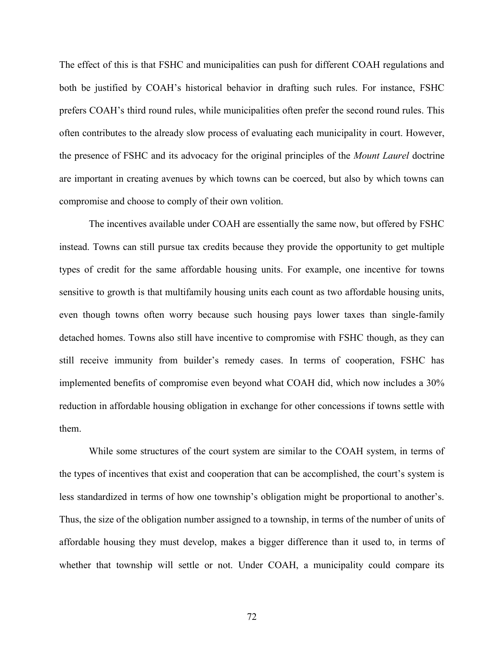The effect of this is that FSHC and municipalities can push for different COAH regulations and both be justified by COAH's historical behavior in drafting such rules. For instance, FSHC prefers COAH's third round rules, while municipalities often prefer the second round rules. This often contributes to the already slow process of evaluating each municipality in court. However, the presence of FSHC and its advocacy for the original principles of the *Mount Laurel* doctrine are important in creating avenues by which towns can be coerced, but also by which towns can compromise and choose to comply of their own volition.

The incentives available under COAH are essentially the same now, but offered by FSHC instead. Towns can still pursue tax credits because they provide the opportunity to get multiple types of credit for the same affordable housing units. For example, one incentive for towns sensitive to growth is that multifamily housing units each count as two affordable housing units, even though towns often worry because such housing pays lower taxes than single-family detached homes. Towns also still have incentive to compromise with FSHC though, as they can still receive immunity from builder's remedy cases. In terms of cooperation, FSHC has implemented benefits of compromise even beyond what COAH did, which now includes a 30% reduction in affordable housing obligation in exchange for other concessions if towns settle with them.

While some structures of the court system are similar to the COAH system, in terms of the types of incentives that exist and cooperation that can be accomplished, the court's system is less standardized in terms of how one township's obligation might be proportional to another's. Thus, the size of the obligation number assigned to a township, in terms of the number of units of affordable housing they must develop, makes a bigger difference than it used to, in terms of whether that township will settle or not. Under COAH, a municipality could compare its

72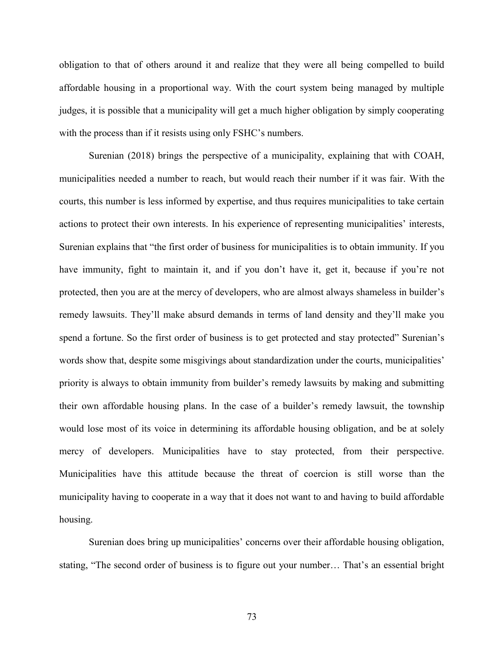obligation to that of others around it and realize that they were all being compelled to build affordable housing in a proportional way. With the court system being managed by multiple judges, it is possible that a municipality will get a much higher obligation by simply cooperating with the process than if it resists using only FSHC's numbers.

Surenian (2018) brings the perspective of a municipality, explaining that with COAH, municipalities needed a number to reach, but would reach their number if it was fair. With the courts, this number is less informed by expertise, and thus requires municipalities to take certain actions to protect their own interests. In his experience of representing municipalities' interests, Surenian explains that "the first order of business for municipalities is to obtain immunity. If you have immunity, fight to maintain it, and if you don't have it, get it, because if you're not protected, then you are at the mercy of developers, who are almost always shameless in builder's remedy lawsuits. They'll make absurd demands in terms of land density and they'll make you spend a fortune. So the first order of business is to get protected and stay protected" Surenian's words show that, despite some misgivings about standardization under the courts, municipalities' priority is always to obtain immunity from builder's remedy lawsuits by making and submitting their own affordable housing plans. In the case of a builder's remedy lawsuit, the township would lose most of its voice in determining its affordable housing obligation, and be at solely mercy of developers. Municipalities have to stay protected, from their perspective. Municipalities have this attitude because the threat of coercion is still worse than the municipality having to cooperate in a way that it does not want to and having to build affordable housing.

Surenian does bring up municipalities' concerns over their affordable housing obligation, stating, "The second order of business is to figure out your number… That's an essential bright

73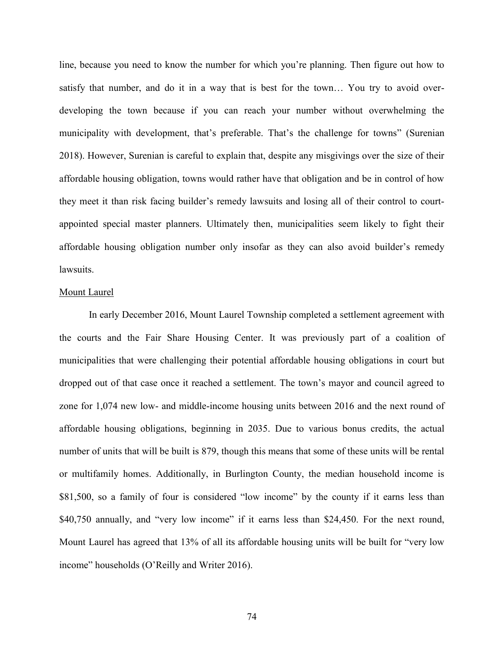line, because you need to know the number for which you're planning. Then figure out how to satisfy that number, and do it in a way that is best for the town… You try to avoid overdeveloping the town because if you can reach your number without overwhelming the municipality with development, that's preferable. That's the challenge for towns" (Surenian 2018). However, Surenian is careful to explain that, despite any misgivings over the size of their affordable housing obligation, towns would rather have that obligation and be in control of how they meet it than risk facing builder's remedy lawsuits and losing all of their control to courtappointed special master planners. Ultimately then, municipalities seem likely to fight their affordable housing obligation number only insofar as they can also avoid builder's remedy lawsuits.

## Mount Laurel

In early December 2016, Mount Laurel Township completed a settlement agreement with the courts and the Fair Share Housing Center. It was previously part of a coalition of municipalities that were challenging their potential affordable housing obligations in court but dropped out of that case once it reached a settlement. The town's mayor and council agreed to zone for 1,074 new low- and middle-income housing units between 2016 and the next round of affordable housing obligations, beginning in 2035. Due to various bonus credits, the actual number of units that will be built is 879, though this means that some of these units will be rental or multifamily homes. Additionally, in Burlington County, the median household income is \$81,500, so a family of four is considered "low income" by the county if it earns less than \$40,750 annually, and "very low income" if it earns less than \$24,450. For the next round, Mount Laurel has agreed that 13% of all its affordable housing units will be built for "very low income" households (O'Reilly and Writer 2016).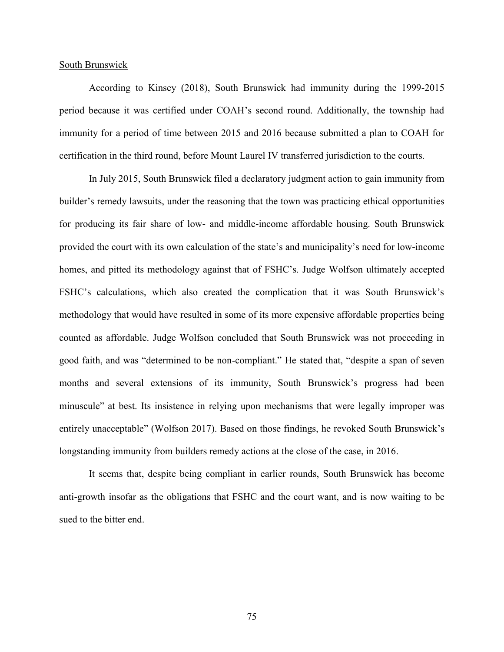### South Brunswick

According to Kinsey (2018), South Brunswick had immunity during the 1999-2015 period because it was certified under COAH's second round. Additionally, the township had immunity for a period of time between 2015 and 2016 because submitted a plan to COAH for certification in the third round, before Mount Laurel IV transferred jurisdiction to the courts.

In July 2015, South Brunswick filed a declaratory judgment action to gain immunity from builder's remedy lawsuits, under the reasoning that the town was practicing ethical opportunities for producing its fair share of low- and middle-income affordable housing. South Brunswick provided the court with its own calculation of the state's and municipality's need for low-income homes, and pitted its methodology against that of FSHC's. Judge Wolfson ultimately accepted FSHC's calculations, which also created the complication that it was South Brunswick's methodology that would have resulted in some of its more expensive affordable properties being counted as affordable. Judge Wolfson concluded that South Brunswick was not proceeding in good faith, and was "determined to be non-compliant." He stated that, "despite a span of seven months and several extensions of its immunity, South Brunswick's progress had been minuscule" at best. Its insistence in relying upon mechanisms that were legally improper was entirely unacceptable" (Wolfson 2017). Based on those findings, he revoked South Brunswick's longstanding immunity from builders remedy actions at the close of the case, in 2016.

It seems that, despite being compliant in earlier rounds, South Brunswick has become anti-growth insofar as the obligations that FSHC and the court want, and is now waiting to be sued to the bitter end.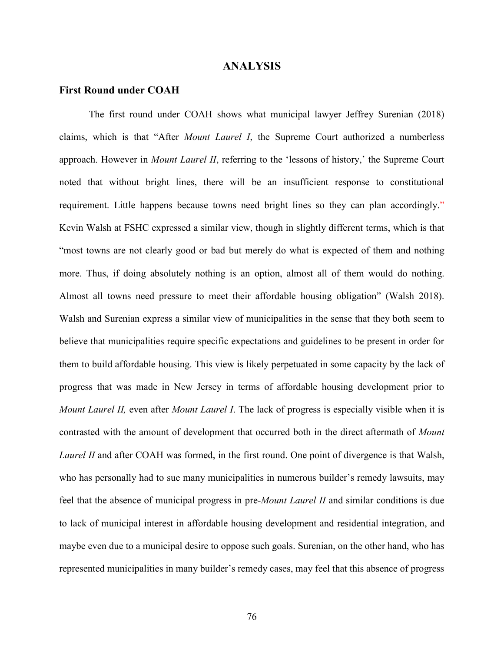## **ANALYSIS**

## **First Round under COAH**

The first round under COAH shows what municipal lawyer Jeffrey Surenian (2018) claims, which is that "After *Mount Laurel I*, the Supreme Court authorized a numberless approach. However in *Mount Laurel II*, referring to the 'lessons of history,' the Supreme Court noted that without bright lines, there will be an insufficient response to constitutional requirement. Little happens because towns need bright lines so they can plan accordingly." Kevin Walsh at FSHC expressed a similar view, though in slightly different terms, which is that "most towns are not clearly good or bad but merely do what is expected of them and nothing more. Thus, if doing absolutely nothing is an option, almost all of them would do nothing. Almost all towns need pressure to meet their affordable housing obligation" (Walsh 2018). Walsh and Surenian express a similar view of municipalities in the sense that they both seem to believe that municipalities require specific expectations and guidelines to be present in order for them to build affordable housing. This view is likely perpetuated in some capacity by the lack of progress that was made in New Jersey in terms of affordable housing development prior to *Mount Laurel II,* even after *Mount Laurel I*. The lack of progress is especially visible when it is contrasted with the amount of development that occurred both in the direct aftermath of *Mount Laurel II* and after COAH was formed, in the first round. One point of divergence is that Walsh, who has personally had to sue many municipalities in numerous builder's remedy lawsuits, may feel that the absence of municipal progress in pre-*Mount Laurel II* and similar conditions is due to lack of municipal interest in affordable housing development and residential integration, and maybe even due to a municipal desire to oppose such goals. Surenian, on the other hand, who has represented municipalities in many builder's remedy cases, may feel that this absence of progress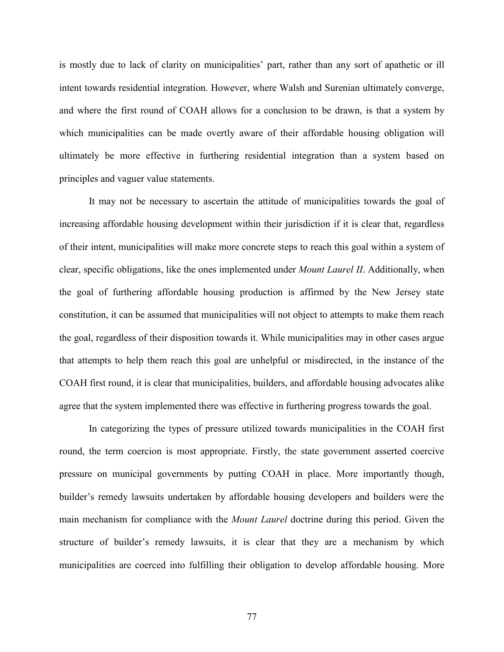is mostly due to lack of clarity on municipalities' part, rather than any sort of apathetic or ill intent towards residential integration. However, where Walsh and Surenian ultimately converge, and where the first round of COAH allows for a conclusion to be drawn, is that a system by which municipalities can be made overtly aware of their affordable housing obligation will ultimately be more effective in furthering residential integration than a system based on principles and vaguer value statements.

It may not be necessary to ascertain the attitude of municipalities towards the goal of increasing affordable housing development within their jurisdiction if it is clear that, regardless of their intent, municipalities will make more concrete steps to reach this goal within a system of clear, specific obligations, like the ones implemented under *Mount Laurel II*. Additionally, when the goal of furthering affordable housing production is affirmed by the New Jersey state constitution, it can be assumed that municipalities will not object to attempts to make them reach the goal, regardless of their disposition towards it. While municipalities may in other cases argue that attempts to help them reach this goal are unhelpful or misdirected, in the instance of the COAH first round, it is clear that municipalities, builders, and affordable housing advocates alike agree that the system implemented there was effective in furthering progress towards the goal.

In categorizing the types of pressure utilized towards municipalities in the COAH first round, the term coercion is most appropriate. Firstly, the state government asserted coercive pressure on municipal governments by putting COAH in place. More importantly though, builder's remedy lawsuits undertaken by affordable housing developers and builders were the main mechanism for compliance with the *Mount Laurel* doctrine during this period. Given the structure of builder's remedy lawsuits, it is clear that they are a mechanism by which municipalities are coerced into fulfilling their obligation to develop affordable housing. More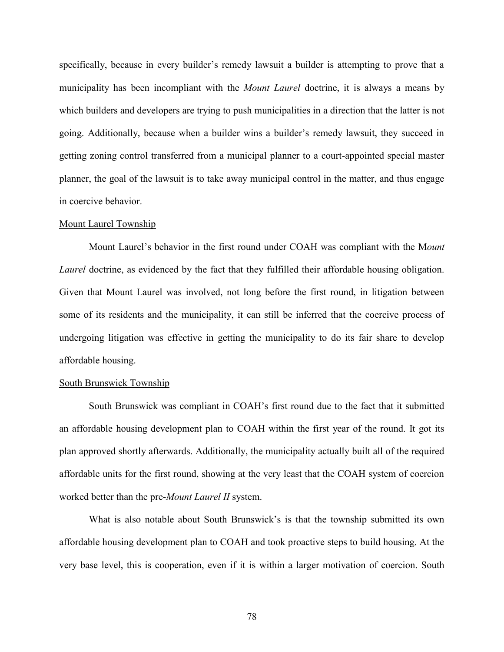specifically, because in every builder's remedy lawsuit a builder is attempting to prove that a municipality has been incompliant with the *Mount Laurel* doctrine, it is always a means by which builders and developers are trying to push municipalities in a direction that the latter is not going. Additionally, because when a builder wins a builder's remedy lawsuit, they succeed in getting zoning control transferred from a municipal planner to a court-appointed special master planner, the goal of the lawsuit is to take away municipal control in the matter, and thus engage in coercive behavior.

## Mount Laurel Township

Mount Laurel's behavior in the first round under COAH was compliant with the M*ount Laurel* doctrine, as evidenced by the fact that they fulfilled their affordable housing obligation. Given that Mount Laurel was involved, not long before the first round, in litigation between some of its residents and the municipality, it can still be inferred that the coercive process of undergoing litigation was effective in getting the municipality to do its fair share to develop affordable housing.

#### South Brunswick Township

South Brunswick was compliant in COAH's first round due to the fact that it submitted an affordable housing development plan to COAH within the first year of the round. It got its plan approved shortly afterwards. Additionally, the municipality actually built all of the required affordable units for the first round, showing at the very least that the COAH system of coercion worked better than the pre-*Mount Laurel II* system.

What is also notable about South Brunswick's is that the township submitted its own affordable housing development plan to COAH and took proactive steps to build housing. At the very base level, this is cooperation, even if it is within a larger motivation of coercion. South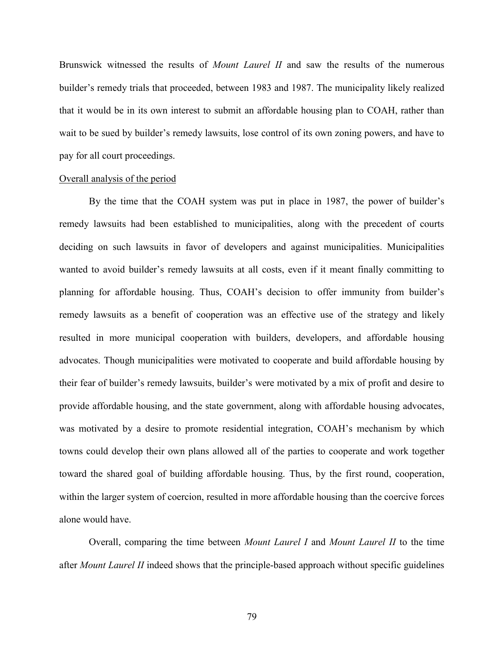Brunswick witnessed the results of *Mount Laurel II* and saw the results of the numerous builder's remedy trials that proceeded, between 1983 and 1987. The municipality likely realized that it would be in its own interest to submit an affordable housing plan to COAH, rather than wait to be sued by builder's remedy lawsuits, lose control of its own zoning powers, and have to pay for all court proceedings.

## Overall analysis of the period

By the time that the COAH system was put in place in 1987, the power of builder's remedy lawsuits had been established to municipalities, along with the precedent of courts deciding on such lawsuits in favor of developers and against municipalities. Municipalities wanted to avoid builder's remedy lawsuits at all costs, even if it meant finally committing to planning for affordable housing. Thus, COAH's decision to offer immunity from builder's remedy lawsuits as a benefit of cooperation was an effective use of the strategy and likely resulted in more municipal cooperation with builders, developers, and affordable housing advocates. Though municipalities were motivated to cooperate and build affordable housing by their fear of builder's remedy lawsuits, builder's were motivated by a mix of profit and desire to provide affordable housing, and the state government, along with affordable housing advocates, was motivated by a desire to promote residential integration, COAH's mechanism by which towns could develop their own plans allowed all of the parties to cooperate and work together toward the shared goal of building affordable housing. Thus, by the first round, cooperation, within the larger system of coercion, resulted in more affordable housing than the coercive forces alone would have.

Overall, comparing the time between *Mount Laurel I* and *Mount Laurel II* to the time after *Mount Laurel II* indeed shows that the principle-based approach without specific guidelines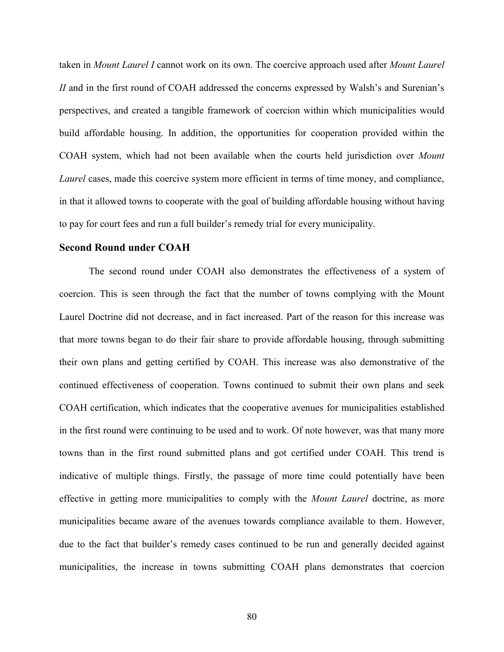taken in *Mount Laurel I* cannot work on its own. The coercive approach used after *Mount Laurel II* and in the first round of COAH addressed the concerns expressed by Walsh's and Surenian's perspectives, and created a tangible framework of coercion within which municipalities would build affordable housing. In addition, the opportunities for cooperation provided within the COAH system, which had not been available when the courts held jurisdiction over *Mount Laurel* cases, made this coercive system more efficient in terms of time money, and compliance, in that it allowed towns to cooperate with the goal of building affordable housing without having to pay for court fees and run a full builder's remedy trial for every municipality.

## **Second Round under COAH**

The second round under COAH also demonstrates the effectiveness of a system of coercion. This is seen through the fact that the number of towns complying with the Mount Laurel Doctrine did not decrease, and in fact increased. Part of the reason for this increase was that more towns began to do their fair share to provide affordable housing, through submitting their own plans and getting certified by COAH. This increase was also demonstrative of the continued effectiveness of cooperation. Towns continued to submit their own plans and seek COAH certification, which indicates that the cooperative avenues for municipalities established in the first round were continuing to be used and to work. Of note however, was that many more towns than in the first round submitted plans and got certified under COAH. This trend is indicative of multiple things. Firstly, the passage of more time could potentially have been effective in getting more municipalities to comply with the *Mount Laurel* doctrine, as more municipalities became aware of the avenues towards compliance available to them. However, due to the fact that builder's remedy cases continued to be run and generally decided against municipalities, the increase in towns submitting COAH plans demonstrates that coercion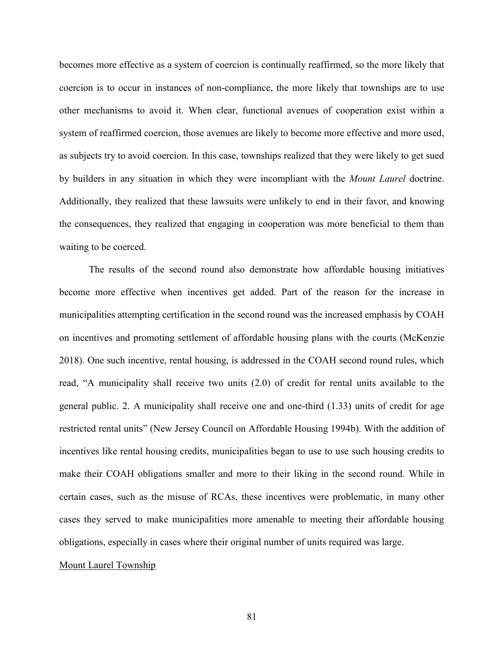becomes more effective as a system of coercion is continually reaffirmed, so the more likely that coercion is to occur in instances of non-compliance, the more likely that townships are to use other mechanisms to avoid it. When clear, functional avenues of cooperation exist within a system of reaffirmed coercion, those avenues are likely to become more effective and more used, as subjects try to avoid coercion. In this case, townships realized that they were likely to get sued by builders in any situation in which they were incompliant with the *Mount Laurel* doctrine. Additionally, they realized that these lawsuits were unlikely to end in their favor, and knowing the consequences, they realized that engaging in cooperation was more beneficial to them than waiting to be coerced.

The results of the second round also demonstrate how affordable housing initiatives become more effective when incentives get added. Part of the reason for the increase in municipalities attempting certification in the second round was the increased emphasis by COAH on incentives and promoting settlement of affordable housing plans with the courts (McKenzie 2018). One such incentive, rental housing, is addressed in the COAH second round rules, which read, "A municipality shall receive two units (2.0) of credit for rental units available to the general public. 2. A municipality shall receive one and one-third (1.33) units of credit for age restricted rental units" (New Jersey Council on Affordable Housing 1994b). With the addition of incentives like rental housing credits, municipalities began to use to use such housing credits to make their COAH obligations smaller and more to their liking in the second round. While in certain cases, such as the misuse of RCAs, these incentives were problematic, in many other cases they served to make municipalities more amenable to meeting their affordable housing obligations, especially in cases where their original number of units required was large.

#### Mount Laurel Township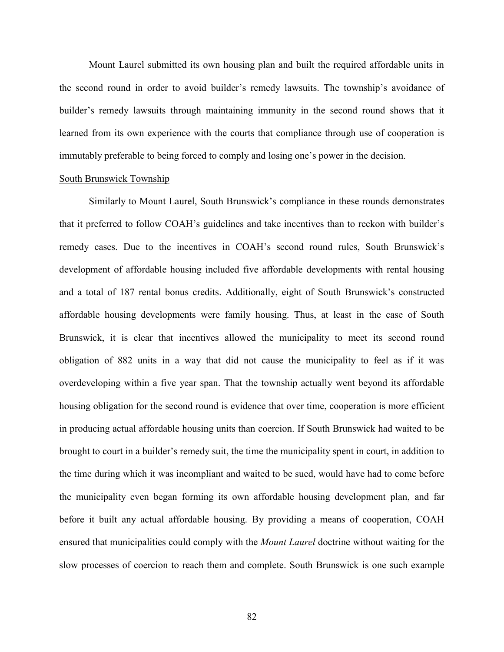Mount Laurel submitted its own housing plan and built the required affordable units in the second round in order to avoid builder's remedy lawsuits. The township's avoidance of builder's remedy lawsuits through maintaining immunity in the second round shows that it learned from its own experience with the courts that compliance through use of cooperation is immutably preferable to being forced to comply and losing one's power in the decision.

## South Brunswick Township

Similarly to Mount Laurel, South Brunswick's compliance in these rounds demonstrates that it preferred to follow COAH's guidelines and take incentives than to reckon with builder's remedy cases. Due to the incentives in COAH's second round rules, South Brunswick's development of affordable housing included five affordable developments with rental housing and a total of 187 rental bonus credits. Additionally, eight of South Brunswick's constructed affordable housing developments were family housing. Thus, at least in the case of South Brunswick, it is clear that incentives allowed the municipality to meet its second round obligation of 882 units in a way that did not cause the municipality to feel as if it was overdeveloping within a five year span. That the township actually went beyond its affordable housing obligation for the second round is evidence that over time, cooperation is more efficient in producing actual affordable housing units than coercion. If South Brunswick had waited to be brought to court in a builder's remedy suit, the time the municipality spent in court, in addition to the time during which it was incompliant and waited to be sued, would have had to come before the municipality even began forming its own affordable housing development plan, and far before it built any actual affordable housing. By providing a means of cooperation, COAH ensured that municipalities could comply with the *Mount Laurel* doctrine without waiting for the slow processes of coercion to reach them and complete. South Brunswick is one such example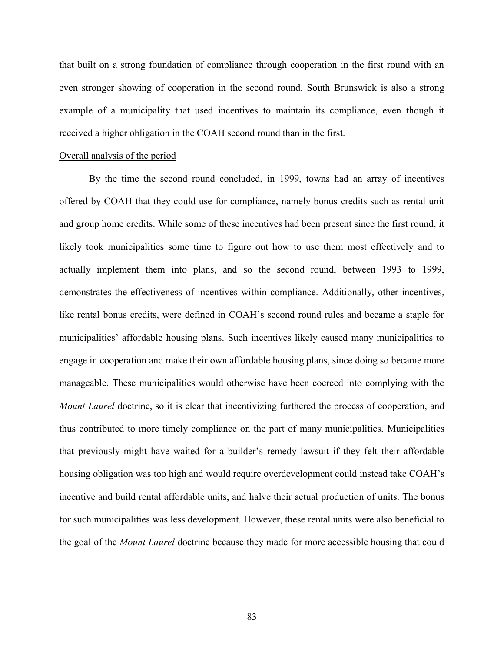that built on a strong foundation of compliance through cooperation in the first round with an even stronger showing of cooperation in the second round. South Brunswick is also a strong example of a municipality that used incentives to maintain its compliance, even though it received a higher obligation in the COAH second round than in the first.

## Overall analysis of the period

By the time the second round concluded, in 1999, towns had an array of incentives offered by COAH that they could use for compliance, namely bonus credits such as rental unit and group home credits. While some of these incentives had been present since the first round, it likely took municipalities some time to figure out how to use them most effectively and to actually implement them into plans, and so the second round, between 1993 to 1999, demonstrates the effectiveness of incentives within compliance. Additionally, other incentives, like rental bonus credits, were defined in COAH's second round rules and became a staple for municipalities' affordable housing plans. Such incentives likely caused many municipalities to engage in cooperation and make their own affordable housing plans, since doing so became more manageable. These municipalities would otherwise have been coerced into complying with the *Mount Laurel* doctrine, so it is clear that incentivizing furthered the process of cooperation, and thus contributed to more timely compliance on the part of many municipalities. Municipalities that previously might have waited for a builder's remedy lawsuit if they felt their affordable housing obligation was too high and would require overdevelopment could instead take COAH's incentive and build rental affordable units, and halve their actual production of units. The bonus for such municipalities was less development. However, these rental units were also beneficial to the goal of the *Mount Laurel* doctrine because they made for more accessible housing that could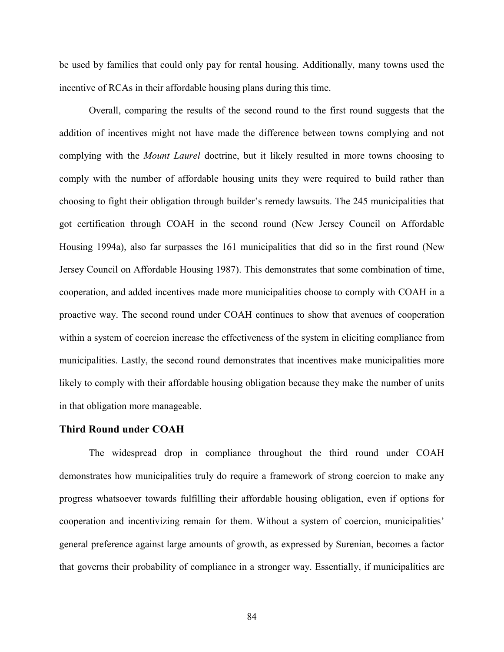be used by families that could only pay for rental housing. Additionally, many towns used the incentive of RCAs in their affordable housing plans during this time.

Overall, comparing the results of the second round to the first round suggests that the addition of incentives might not have made the difference between towns complying and not complying with the *Mount Laurel* doctrine, but it likely resulted in more towns choosing to comply with the number of affordable housing units they were required to build rather than choosing to fight their obligation through builder's remedy lawsuits. The 245 municipalities that got certification through COAH in the second round (New Jersey Council on Affordable Housing 1994a), also far surpasses the 161 municipalities that did so in the first round (New Jersey Council on Affordable Housing 1987). This demonstrates that some combination of time, cooperation, and added incentives made more municipalities choose to comply with COAH in a proactive way. The second round under COAH continues to show that avenues of cooperation within a system of coercion increase the effectiveness of the system in eliciting compliance from municipalities. Lastly, the second round demonstrates that incentives make municipalities more likely to comply with their affordable housing obligation because they make the number of units in that obligation more manageable.

## **Third Round under COAH**

The widespread drop in compliance throughout the third round under COAH demonstrates how municipalities truly do require a framework of strong coercion to make any progress whatsoever towards fulfilling their affordable housing obligation, even if options for cooperation and incentivizing remain for them. Without a system of coercion, municipalities' general preference against large amounts of growth, as expressed by Surenian, becomes a factor that governs their probability of compliance in a stronger way. Essentially, if municipalities are

84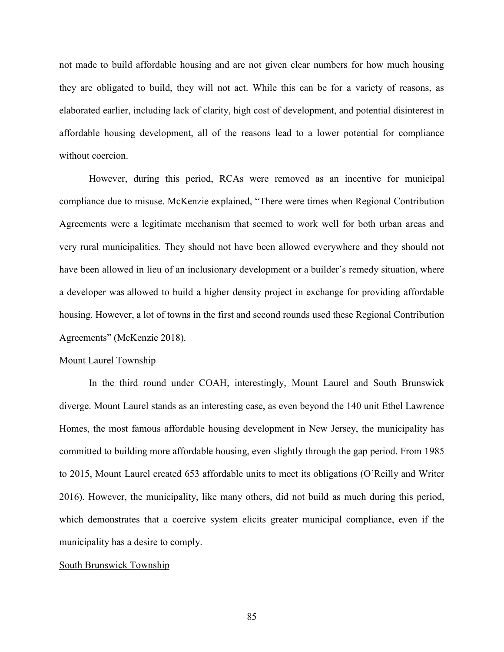not made to build affordable housing and are not given clear numbers for how much housing they are obligated to build, they will not act. While this can be for a variety of reasons, as elaborated earlier, including lack of clarity, high cost of development, and potential disinterest in affordable housing development, all of the reasons lead to a lower potential for compliance without coercion.

However, during this period, RCAs were removed as an incentive for municipal compliance due to misuse. McKenzie explained, "There were times when Regional Contribution Agreements were a legitimate mechanism that seemed to work well for both urban areas and very rural municipalities. They should not have been allowed everywhere and they should not have been allowed in lieu of an inclusionary development or a builder's remedy situation, where a developer was allowed to build a higher density project in exchange for providing affordable housing. However, a lot of towns in the first and second rounds used these Regional Contribution Agreements" (McKenzie 2018).

## Mount Laurel Township

In the third round under COAH, interestingly, Mount Laurel and South Brunswick diverge. Mount Laurel stands as an interesting case, as even beyond the 140 unit Ethel Lawrence Homes, the most famous affordable housing development in New Jersey, the municipality has committed to building more affordable housing, even slightly through the gap period. From 1985 to 2015, Mount Laurel created 653 affordable units to meet its obligations (O'Reilly and Writer 2016). However, the municipality, like many others, did not build as much during this period, which demonstrates that a coercive system elicits greater municipal compliance, even if the municipality has a desire to comply.

#### South Brunswick Township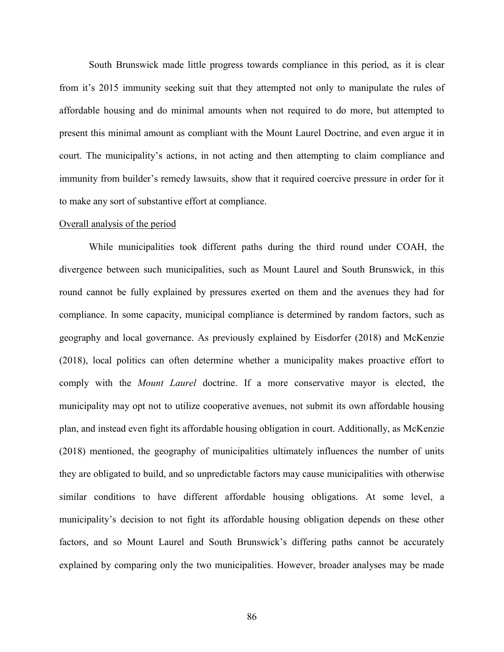South Brunswick made little progress towards compliance in this period, as it is clear from it's 2015 immunity seeking suit that they attempted not only to manipulate the rules of affordable housing and do minimal amounts when not required to do more, but attempted to present this minimal amount as compliant with the Mount Laurel Doctrine, and even argue it in court. The municipality's actions, in not acting and then attempting to claim compliance and immunity from builder's remedy lawsuits, show that it required coercive pressure in order for it to make any sort of substantive effort at compliance.

#### Overall analysis of the period

While municipalities took different paths during the third round under COAH, the divergence between such municipalities, such as Mount Laurel and South Brunswick, in this round cannot be fully explained by pressures exerted on them and the avenues they had for compliance. In some capacity, municipal compliance is determined by random factors, such as geography and local governance. As previously explained by Eisdorfer (2018) and McKenzie (2018), local politics can often determine whether a municipality makes proactive effort to comply with the *Mount Laurel* doctrine. If a more conservative mayor is elected, the municipality may opt not to utilize cooperative avenues, not submit its own affordable housing plan, and instead even fight its affordable housing obligation in court. Additionally, as McKenzie (2018) mentioned, the geography of municipalities ultimately influences the number of units they are obligated to build, and so unpredictable factors may cause municipalities with otherwise similar conditions to have different affordable housing obligations. At some level, a municipality's decision to not fight its affordable housing obligation depends on these other factors, and so Mount Laurel and South Brunswick's differing paths cannot be accurately explained by comparing only the two municipalities. However, broader analyses may be made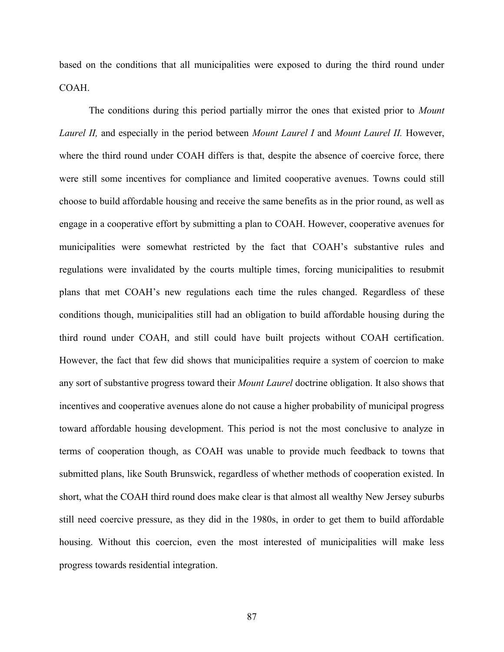based on the conditions that all municipalities were exposed to during the third round under COAH.

The conditions during this period partially mirror the ones that existed prior to *Mount Laurel II,* and especially in the period between *Mount Laurel I* and *Mount Laurel II.* However, where the third round under COAH differs is that, despite the absence of coercive force, there were still some incentives for compliance and limited cooperative avenues. Towns could still choose to build affordable housing and receive the same benefits as in the prior round, as well as engage in a cooperative effort by submitting a plan to COAH. However, cooperative avenues for municipalities were somewhat restricted by the fact that COAH's substantive rules and regulations were invalidated by the courts multiple times, forcing municipalities to resubmit plans that met COAH's new regulations each time the rules changed. Regardless of these conditions though, municipalities still had an obligation to build affordable housing during the third round under COAH, and still could have built projects without COAH certification. However, the fact that few did shows that municipalities require a system of coercion to make any sort of substantive progress toward their *Mount Laurel* doctrine obligation. It also shows that incentives and cooperative avenues alone do not cause a higher probability of municipal progress toward affordable housing development. This period is not the most conclusive to analyze in terms of cooperation though, as COAH was unable to provide much feedback to towns that submitted plans, like South Brunswick, regardless of whether methods of cooperation existed. In short, what the COAH third round does make clear is that almost all wealthy New Jersey suburbs still need coercive pressure, as they did in the 1980s, in order to get them to build affordable housing. Without this coercion, even the most interested of municipalities will make less progress towards residential integration.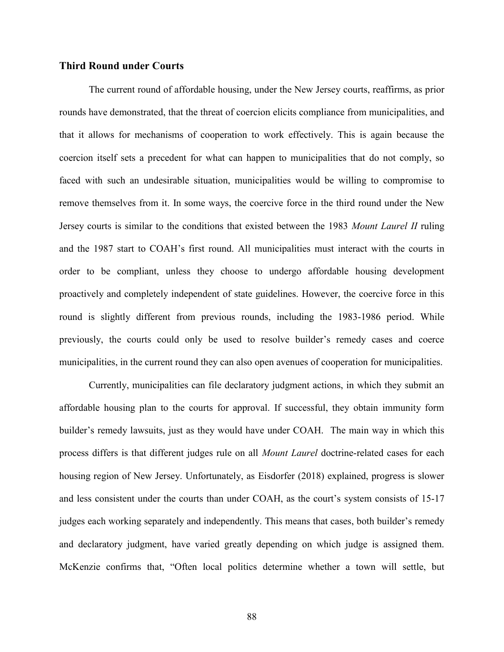## **Third Round under Courts**

The current round of affordable housing, under the New Jersey courts, reaffirms, as prior rounds have demonstrated, that the threat of coercion elicits compliance from municipalities, and that it allows for mechanisms of cooperation to work effectively. This is again because the coercion itself sets a precedent for what can happen to municipalities that do not comply, so faced with such an undesirable situation, municipalities would be willing to compromise to remove themselves from it. In some ways, the coercive force in the third round under the New Jersey courts is similar to the conditions that existed between the 1983 *Mount Laurel II* ruling and the 1987 start to COAH's first round. All municipalities must interact with the courts in order to be compliant, unless they choose to undergo affordable housing development proactively and completely independent of state guidelines. However, the coercive force in this round is slightly different from previous rounds, including the 1983-1986 period. While previously, the courts could only be used to resolve builder's remedy cases and coerce municipalities, in the current round they can also open avenues of cooperation for municipalities.

Currently, municipalities can file declaratory judgment actions, in which they submit an affordable housing plan to the courts for approval. If successful, they obtain immunity form builder's remedy lawsuits, just as they would have under COAH. The main way in which this process differs is that different judges rule on all *Mount Laurel* doctrine-related cases for each housing region of New Jersey. Unfortunately, as Eisdorfer (2018) explained, progress is slower and less consistent under the courts than under COAH, as the court's system consists of 15-17 judges each working separately and independently. This means that cases, both builder's remedy and declaratory judgment, have varied greatly depending on which judge is assigned them. McKenzie confirms that, "Often local politics determine whether a town will settle, but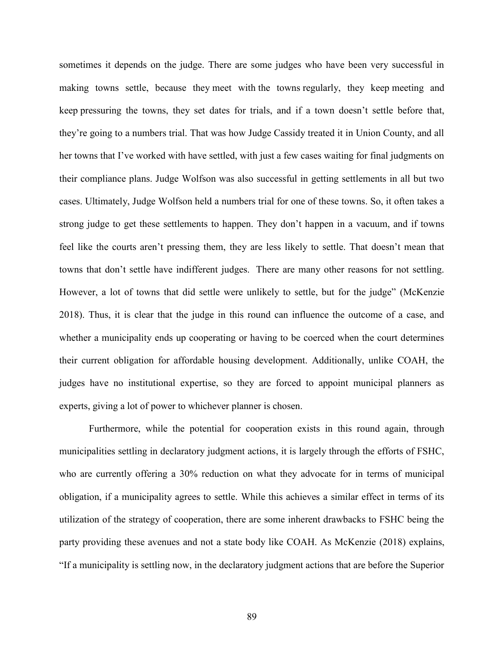sometimes it depends on the judge. There are some judges who have been very successful in making towns settle, because they meet with the towns regularly, they keep meeting and keep pressuring the towns, they set dates for trials, and if a town doesn't settle before that, they're going to a numbers trial. That was how Judge Cassidy treated it in Union County, and all her towns that I've worked with have settled, with just a few cases waiting for final judgments on their compliance plans. Judge Wolfson was also successful in getting settlements in all but two cases. Ultimately, Judge Wolfson held a numbers trial for one of these towns. So, it often takes a strong judge to get these settlements to happen. They don't happen in a vacuum, and if towns feel like the courts aren't pressing them, they are less likely to settle. That doesn't mean that towns that don't settle have indifferent judges. There are many other reasons for not settling. However, a lot of towns that did settle were unlikely to settle, but for the judge" (McKenzie 2018). Thus, it is clear that the judge in this round can influence the outcome of a case, and whether a municipality ends up cooperating or having to be coerced when the court determines their current obligation for affordable housing development. Additionally, unlike COAH, the judges have no institutional expertise, so they are forced to appoint municipal planners as experts, giving a lot of power to whichever planner is chosen.

Furthermore, while the potential for cooperation exists in this round again, through municipalities settling in declaratory judgment actions, it is largely through the efforts of FSHC, who are currently offering a 30% reduction on what they advocate for in terms of municipal obligation, if a municipality agrees to settle. While this achieves a similar effect in terms of its utilization of the strategy of cooperation, there are some inherent drawbacks to FSHC being the party providing these avenues and not a state body like COAH. As McKenzie (2018) explains, "If a municipality is settling now, in the declaratory judgment actions that are before the Superior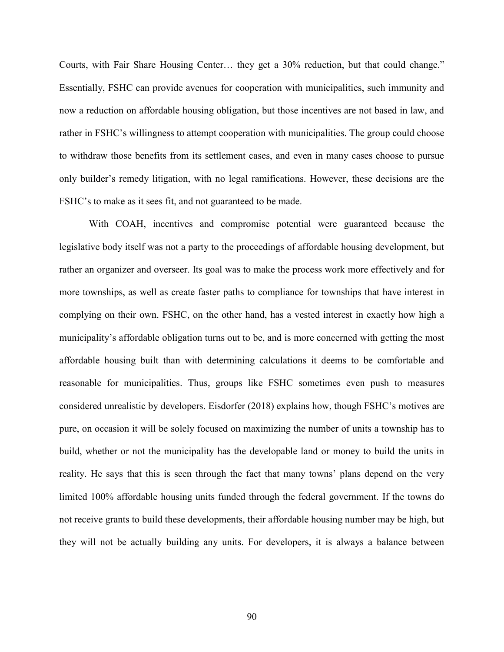Courts, with Fair Share Housing Center… they get a 30% reduction, but that could change." Essentially, FSHC can provide avenues for cooperation with municipalities, such immunity and now a reduction on affordable housing obligation, but those incentives are not based in law, and rather in FSHC's willingness to attempt cooperation with municipalities. The group could choose to withdraw those benefits from its settlement cases, and even in many cases choose to pursue only builder's remedy litigation, with no legal ramifications. However, these decisions are the FSHC's to make as it sees fit, and not guaranteed to be made.

With COAH, incentives and compromise potential were guaranteed because the legislative body itself was not a party to the proceedings of affordable housing development, but rather an organizer and overseer. Its goal was to make the process work more effectively and for more townships, as well as create faster paths to compliance for townships that have interest in complying on their own. FSHC, on the other hand, has a vested interest in exactly how high a municipality's affordable obligation turns out to be, and is more concerned with getting the most affordable housing built than with determining calculations it deems to be comfortable and reasonable for municipalities. Thus, groups like FSHC sometimes even push to measures considered unrealistic by developers. Eisdorfer (2018) explains how, though FSHC's motives are pure, on occasion it will be solely focused on maximizing the number of units a township has to build, whether or not the municipality has the developable land or money to build the units in reality. He says that this is seen through the fact that many towns' plans depend on the very limited 100% affordable housing units funded through the federal government. If the towns do not receive grants to build these developments, their affordable housing number may be high, but they will not be actually building any units. For developers, it is always a balance between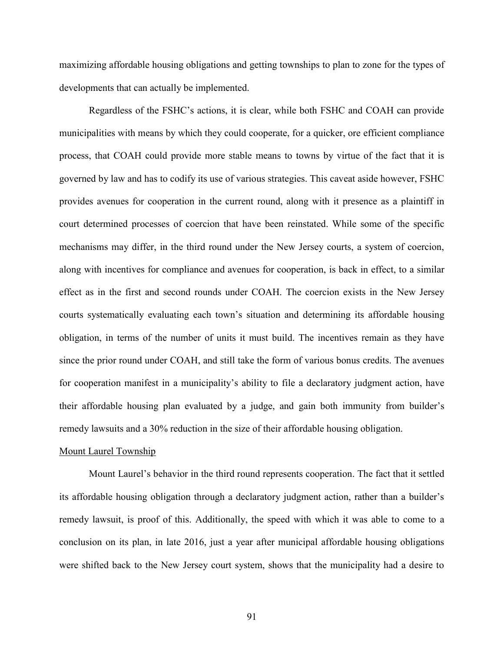maximizing affordable housing obligations and getting townships to plan to zone for the types of developments that can actually be implemented.

Regardless of the FSHC's actions, it is clear, while both FSHC and COAH can provide municipalities with means by which they could cooperate, for a quicker, ore efficient compliance process, that COAH could provide more stable means to towns by virtue of the fact that it is governed by law and has to codify its use of various strategies. This caveat aside however, FSHC provides avenues for cooperation in the current round, along with it presence as a plaintiff in court determined processes of coercion that have been reinstated. While some of the specific mechanisms may differ, in the third round under the New Jersey courts, a system of coercion, along with incentives for compliance and avenues for cooperation, is back in effect, to a similar effect as in the first and second rounds under COAH. The coercion exists in the New Jersey courts systematically evaluating each town's situation and determining its affordable housing obligation, in terms of the number of units it must build. The incentives remain as they have since the prior round under COAH, and still take the form of various bonus credits. The avenues for cooperation manifest in a municipality's ability to file a declaratory judgment action, have their affordable housing plan evaluated by a judge, and gain both immunity from builder's remedy lawsuits and a 30% reduction in the size of their affordable housing obligation.

## Mount Laurel Township

Mount Laurel's behavior in the third round represents cooperation. The fact that it settled its affordable housing obligation through a declaratory judgment action, rather than a builder's remedy lawsuit, is proof of this. Additionally, the speed with which it was able to come to a conclusion on its plan, in late 2016, just a year after municipal affordable housing obligations were shifted back to the New Jersey court system, shows that the municipality had a desire to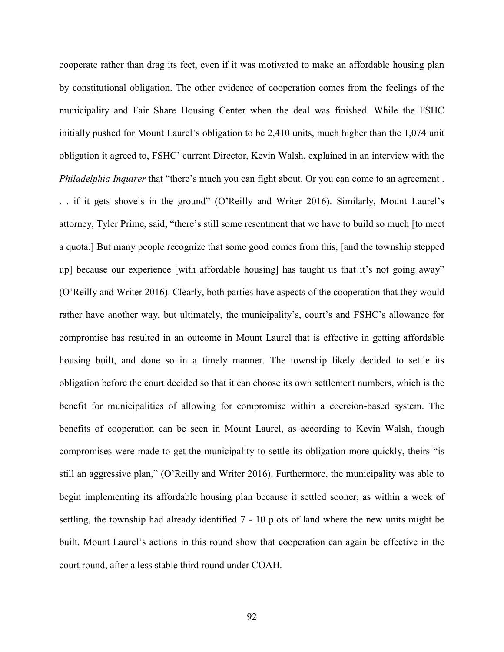cooperate rather than drag its feet, even if it was motivated to make an affordable housing plan by constitutional obligation. The other evidence of cooperation comes from the feelings of the municipality and Fair Share Housing Center when the deal was finished. While the FSHC initially pushed for Mount Laurel's obligation to be 2,410 units, much higher than the 1,074 unit obligation it agreed to, FSHC' current Director, Kevin Walsh, explained in an interview with the *Philadelphia Inquirer* that "there's much you can fight about. Or you can come to an agreement .

. . if it gets shovels in the ground" (O'Reilly and Writer 2016). Similarly, Mount Laurel's attorney, Tyler Prime, said, "there's still some resentment that we have to build so much [to meet a quota.] But many people recognize that some good comes from this, [and the township stepped up] because our experience [with affordable housing] has taught us that it's not going away" (O'Reilly and Writer 2016). Clearly, both parties have aspects of the cooperation that they would rather have another way, but ultimately, the municipality's, court's and FSHC's allowance for compromise has resulted in an outcome in Mount Laurel that is effective in getting affordable housing built, and done so in a timely manner. The township likely decided to settle its obligation before the court decided so that it can choose its own settlement numbers, which is the benefit for municipalities of allowing for compromise within a coercion-based system. The benefits of cooperation can be seen in Mount Laurel, as according to Kevin Walsh, though compromises were made to get the municipality to settle its obligation more quickly, theirs "is still an aggressive plan," (O'Reilly and Writer 2016). Furthermore, the municipality was able to begin implementing its affordable housing plan because it settled sooner, as within a week of settling, the township had already identified 7 - 10 plots of land where the new units might be built. Mount Laurel's actions in this round show that cooperation can again be effective in the court round, after a less stable third round under COAH.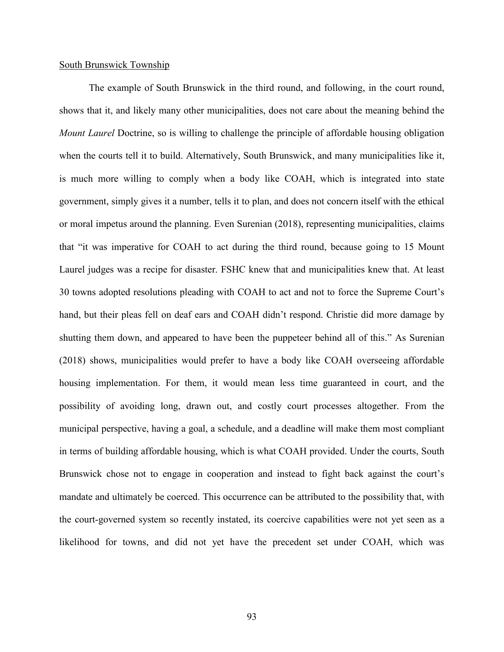## South Brunswick Township

The example of South Brunswick in the third round, and following, in the court round, shows that it, and likely many other municipalities, does not care about the meaning behind the *Mount Laurel* Doctrine, so is willing to challenge the principle of affordable housing obligation when the courts tell it to build. Alternatively, South Brunswick, and many municipalities like it, is much more willing to comply when a body like COAH, which is integrated into state government, simply gives it a number, tells it to plan, and does not concern itself with the ethical or moral impetus around the planning. Even Surenian (2018), representing municipalities, claims that "it was imperative for COAH to act during the third round, because going to 15 Mount Laurel judges was a recipe for disaster. FSHC knew that and municipalities knew that. At least 30 towns adopted resolutions pleading with COAH to act and not to force the Supreme Court's hand, but their pleas fell on deaf ears and COAH didn't respond. Christie did more damage by shutting them down, and appeared to have been the puppeteer behind all of this." As Surenian (2018) shows, municipalities would prefer to have a body like COAH overseeing affordable housing implementation. For them, it would mean less time guaranteed in court, and the possibility of avoiding long, drawn out, and costly court processes altogether. From the municipal perspective, having a goal, a schedule, and a deadline will make them most compliant in terms of building affordable housing, which is what COAH provided. Under the courts, South Brunswick chose not to engage in cooperation and instead to fight back against the court's mandate and ultimately be coerced. This occurrence can be attributed to the possibility that, with the court-governed system so recently instated, its coercive capabilities were not yet seen as a likelihood for towns, and did not yet have the precedent set under COAH, which was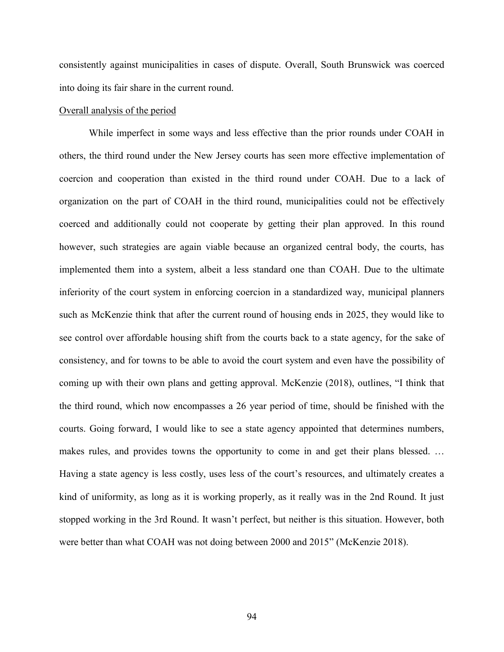consistently against municipalities in cases of dispute. Overall, South Brunswick was coerced into doing its fair share in the current round.

## Overall analysis of the period

While imperfect in some ways and less effective than the prior rounds under COAH in others, the third round under the New Jersey courts has seen more effective implementation of coercion and cooperation than existed in the third round under COAH. Due to a lack of organization on the part of COAH in the third round, municipalities could not be effectively coerced and additionally could not cooperate by getting their plan approved. In this round however, such strategies are again viable because an organized central body, the courts, has implemented them into a system, albeit a less standard one than COAH. Due to the ultimate inferiority of the court system in enforcing coercion in a standardized way, municipal planners such as McKenzie think that after the current round of housing ends in 2025, they would like to see control over affordable housing shift from the courts back to a state agency, for the sake of consistency, and for towns to be able to avoid the court system and even have the possibility of coming up with their own plans and getting approval. McKenzie (2018), outlines, "I think that the third round, which now encompasses a 26 year period of time, should be finished with the courts. Going forward, I would like to see a state agency appointed that determines numbers, makes rules, and provides towns the opportunity to come in and get their plans blessed. … Having a state agency is less costly, uses less of the court's resources, and ultimately creates a kind of uniformity, as long as it is working properly, as it really was in the 2nd Round. It just stopped working in the 3rd Round. It wasn't perfect, but neither is this situation. However, both were better than what COAH was not doing between 2000 and 2015" (McKenzie 2018).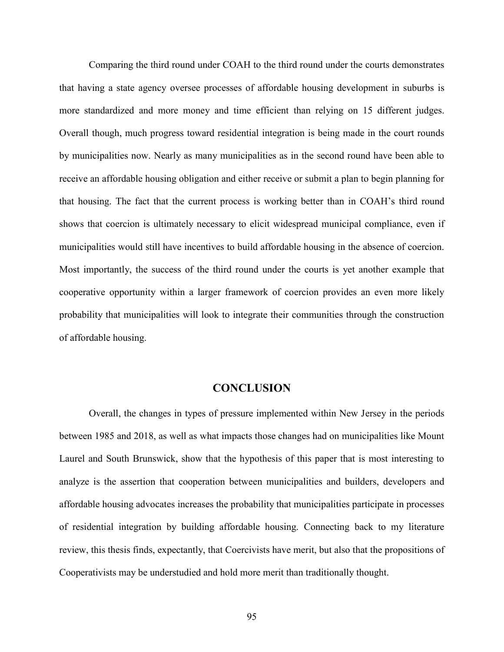Comparing the third round under COAH to the third round under the courts demonstrates that having a state agency oversee processes of affordable housing development in suburbs is more standardized and more money and time efficient than relying on 15 different judges. Overall though, much progress toward residential integration is being made in the court rounds by municipalities now. Nearly as many municipalities as in the second round have been able to receive an affordable housing obligation and either receive or submit a plan to begin planning for that housing. The fact that the current process is working better than in COAH's third round shows that coercion is ultimately necessary to elicit widespread municipal compliance, even if municipalities would still have incentives to build affordable housing in the absence of coercion. Most importantly, the success of the third round under the courts is yet another example that cooperative opportunity within a larger framework of coercion provides an even more likely probability that municipalities will look to integrate their communities through the construction of affordable housing.

## **CONCLUSION**

Overall, the changes in types of pressure implemented within New Jersey in the periods between 1985 and 2018, as well as what impacts those changes had on municipalities like Mount Laurel and South Brunswick, show that the hypothesis of this paper that is most interesting to analyze is the assertion that cooperation between municipalities and builders, developers and affordable housing advocates increases the probability that municipalities participate in processes of residential integration by building affordable housing. Connecting back to my literature review, this thesis finds, expectantly, that Coercivists have merit, but also that the propositions of Cooperativists may be understudied and hold more merit than traditionally thought.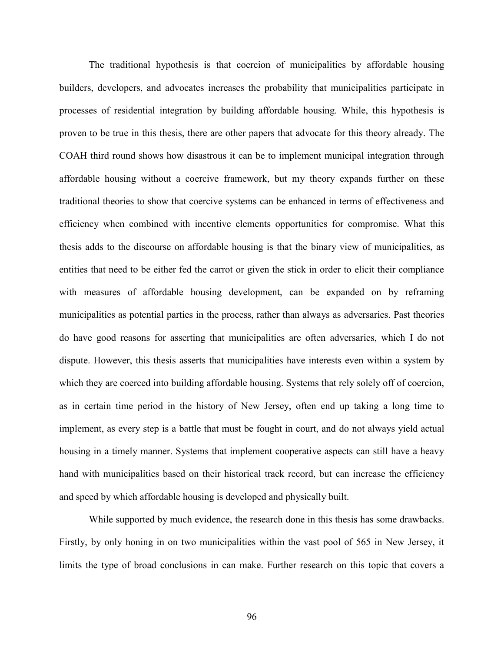The traditional hypothesis is that coercion of municipalities by affordable housing builders, developers, and advocates increases the probability that municipalities participate in processes of residential integration by building affordable housing. While, this hypothesis is proven to be true in this thesis, there are other papers that advocate for this theory already. The COAH third round shows how disastrous it can be to implement municipal integration through affordable housing without a coercive framework, but my theory expands further on these traditional theories to show that coercive systems can be enhanced in terms of effectiveness and efficiency when combined with incentive elements opportunities for compromise. What this thesis adds to the discourse on affordable housing is that the binary view of municipalities, as entities that need to be either fed the carrot or given the stick in order to elicit their compliance with measures of affordable housing development, can be expanded on by reframing municipalities as potential parties in the process, rather than always as adversaries. Past theories do have good reasons for asserting that municipalities are often adversaries, which I do not dispute. However, this thesis asserts that municipalities have interests even within a system by which they are coerced into building affordable housing. Systems that rely solely off of coercion, as in certain time period in the history of New Jersey, often end up taking a long time to implement, as every step is a battle that must be fought in court, and do not always yield actual housing in a timely manner. Systems that implement cooperative aspects can still have a heavy hand with municipalities based on their historical track record, but can increase the efficiency and speed by which affordable housing is developed and physically built.

While supported by much evidence, the research done in this thesis has some drawbacks. Firstly, by only honing in on two municipalities within the vast pool of 565 in New Jersey, it limits the type of broad conclusions in can make. Further research on this topic that covers a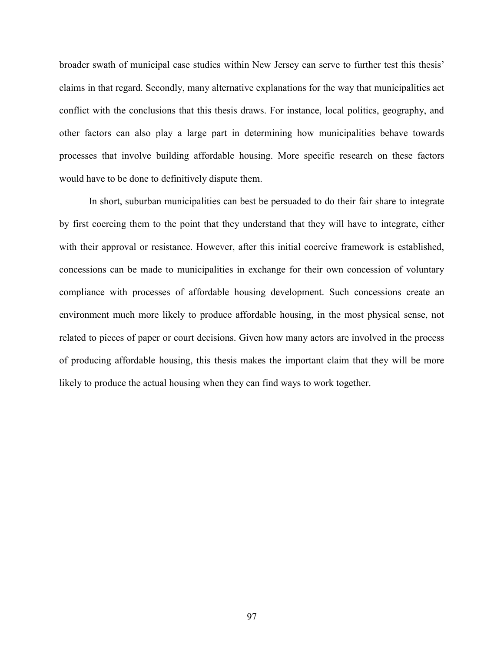broader swath of municipal case studies within New Jersey can serve to further test this thesis' claims in that regard. Secondly, many alternative explanations for the way that municipalities act conflict with the conclusions that this thesis draws. For instance, local politics, geography, and other factors can also play a large part in determining how municipalities behave towards processes that involve building affordable housing. More specific research on these factors would have to be done to definitively dispute them.

In short, suburban municipalities can best be persuaded to do their fair share to integrate by first coercing them to the point that they understand that they will have to integrate, either with their approval or resistance. However, after this initial coercive framework is established, concessions can be made to municipalities in exchange for their own concession of voluntary compliance with processes of affordable housing development. Such concessions create an environment much more likely to produce affordable housing, in the most physical sense, not related to pieces of paper or court decisions. Given how many actors are involved in the process of producing affordable housing, this thesis makes the important claim that they will be more likely to produce the actual housing when they can find ways to work together.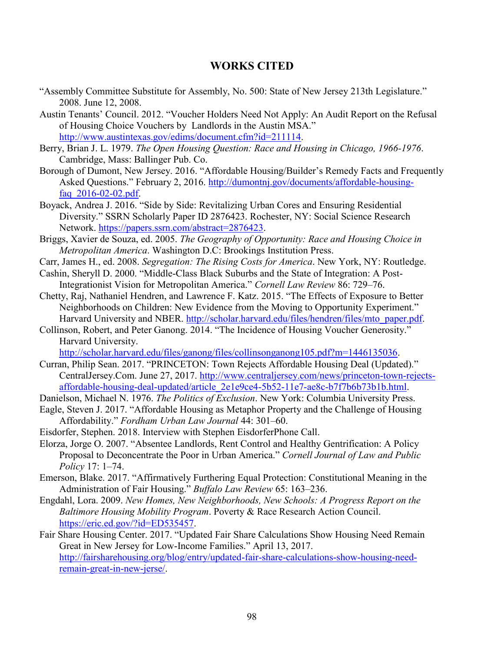## **WORKS CITED**

- "Assembly Committee Substitute for Assembly, No. 500: State of New Jersey 213th Legislature." 2008. June 12, 2008.
- Austin Tenants' Council. 2012. "Voucher Holders Need Not Apply: An Audit Report on the Refusal of Housing Choice Vouchers by Landlords in the Austin MSA." [http://www.austintexas.gov/edims/document.cfm?id=211114.](http://www.austintexas.gov/edims/document.cfm?id=211114)
- Berry, Brian J. L. 1979. *The Open Housing Question: Race and Housing in Chicago, 1966-1976*. Cambridge, Mass: Ballinger Pub. Co.
- Borough of Dumont, New Jersey. 2016. "Affordable Housing/Builder's Remedy Facts and Frequently Asked Questions." February 2, 2016. [http://dumontnj.gov/documents/affordable-housing](http://dumontnj.gov/documents/affordable-housing-faq_2016-02-02.pdf)[faq\\_2016-02-02.pdf.](http://dumontnj.gov/documents/affordable-housing-faq_2016-02-02.pdf)
- Boyack, Andrea J. 2016. "Side by Side: Revitalizing Urban Cores and Ensuring Residential Diversity." SSRN Scholarly Paper ID 2876423. Rochester, NY: Social Science Research Network. [https://papers.ssrn.com/abstract=2876423.](https://papers.ssrn.com/abstract=2876423)
- Briggs, Xavier de Souza, ed. 2005. *The Geography of Opportunity: Race and Housing Choice in Metropolitan America*. Washington D.C: Brookings Institution Press.
- Carr, James H., ed. 2008. *Segregation: The Rising Costs for America*. New York, NY: Routledge.
- Cashin, Sheryll D. 2000. "Middle-Class Black Suburbs and the State of Integration: A Post-Integrationist Vision for Metropolitan America." *Cornell Law Review* 86: 729–76.
- Chetty, Raj, Nathaniel Hendren, and Lawrence F. Katz. 2015. "The Effects of Exposure to Better Neighborhoods on Children: New Evidence from the Moving to Opportunity Experiment." Harvard University and NBER. [http://scholar.harvard.edu/files/hendren/files/mto\\_paper.pdf.](http://scholar.harvard.edu/files/hendren/files/mto_paper.pdf)
- Collinson, Robert, and Peter Ganong. 2014. "The Incidence of Housing Voucher Generosity." Harvard University.

[http://scholar.harvard.edu/files/ganong/files/collinsonganong105.pdf?m=1446135036.](http://scholar.harvard.edu/files/ganong/files/collinsonganong105.pdf?m=1446135036)

- Curran, Philip Sean. 2017. "PRINCETON: Town Rejects Affordable Housing Deal (Updated)." CentralJersey.Com. June 27, 2017. [http://www.centraljersey.com/news/princeton-town-rejects](http://www.centraljersey.com/news/princeton-town-rejects-affordable-housing-deal-updated/article_2e1e9ce4-5b52-11e7-ae8c-b7f7b6b73b1b.html)[affordable-housing-deal-updated/article\\_2e1e9ce4-5b52-11e7-ae8c-b7f7b6b73b1b.html.](http://www.centraljersey.com/news/princeton-town-rejects-affordable-housing-deal-updated/article_2e1e9ce4-5b52-11e7-ae8c-b7f7b6b73b1b.html)
- Danielson, Michael N. 1976. *The Politics of Exclusion*. New York: Columbia University Press.
- Eagle, Steven J. 2017. "Affordable Housing as Metaphor Property and the Challenge of Housing Affordability." *Fordham Urban Law Journal* 44: 301–60.
- Eisdorfer, Stephen. 2018. Interview with Stephen EisdorferPhone Call.
- Elorza, Jorge O. 2007. "Absentee Landlords, Rent Control and Healthy Gentrification: A Policy Proposal to Deconcentrate the Poor in Urban America." *Cornell Journal of Law and Public Policy* 17: 1–74.
- Emerson, Blake. 2017. "Affirmatively Furthering Equal Protection: Constitutional Meaning in the Administration of Fair Housing." *Buffalo Law Review* 65: 163–236.
- Engdahl, Lora. 2009. *New Homes, New Neighborhoods, New Schools: A Progress Report on the Baltimore Housing Mobility Program*. Poverty & Race Research Action Council. [https://eric.ed.gov/?id=ED535457.](https://eric.ed.gov/?id=ED535457)
- Fair Share Housing Center. 2017. "Updated Fair Share Calculations Show Housing Need Remain Great in New Jersey for Low-Income Families." April 13, 2017. [http://fairsharehousing.org/blog/entry/updated-fair-share-calculations-show-housing-need](http://fairsharehousing.org/blog/entry/updated-fair-share-calculations-show-housing-need-remain-great-in-new-jerse/)[remain-great-in-new-jerse/.](http://fairsharehousing.org/blog/entry/updated-fair-share-calculations-show-housing-need-remain-great-in-new-jerse/)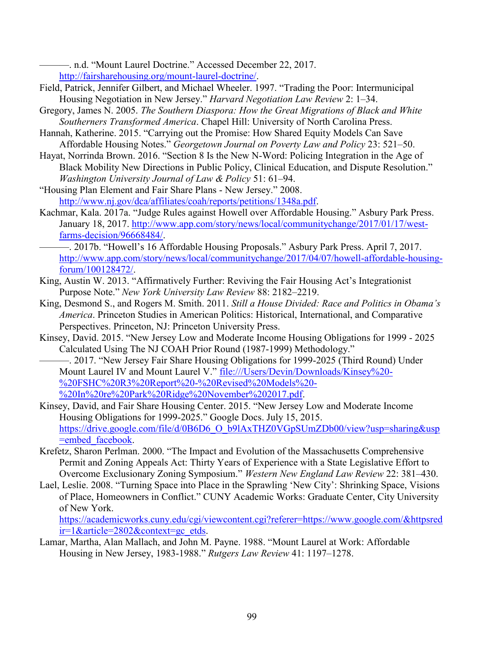———. n.d. "Mount Laurel Doctrine." Accessed December 22, 2017. [http://fairsharehousing.org/mount-laurel-doctrine/.](http://fairsharehousing.org/mount-laurel-doctrine/)

- Field, Patrick, Jennifer Gilbert, and Michael Wheeler. 1997. "Trading the Poor: Intermunicipal Housing Negotiation in New Jersey." *Harvard Negotiation Law Review* 2: 1–34.
- Gregory, James N. 2005. *The Southern Diaspora: How the Great Migrations of Black and White Southerners Transformed America*. Chapel Hill: University of North Carolina Press.
- Hannah, Katherine. 2015. "Carrying out the Promise: How Shared Equity Models Can Save Affordable Housing Notes." *Georgetown Journal on Poverty Law and Policy* 23: 521–50.
- Hayat, Norrinda Brown. 2016. "Section 8 Is the New N-Word: Policing Integration in the Age of Black Mobility New Directions in Public Policy, Clinical Education, and Dispute Resolution." *Washington University Journal of Law & Policy* 51: 61–94.

"Housing Plan Element and Fair Share Plans - New Jersey." 2008. [http://www.nj.gov/dca/affiliates/coah/reports/petitions/1348a.pdf.](http://www.nj.gov/dca/affiliates/coah/reports/petitions/1348a.pdf)

- Kachmar, Kala. 2017a. "Judge Rules against Howell over Affordable Housing." Asbury Park Press. January 18, 2017. [http://www.app.com/story/news/local/communitychange/2017/01/17/west](http://www.app.com/story/news/local/communitychange/2017/01/17/west-farms-decision/96668484/)[farms-decision/96668484/.](http://www.app.com/story/news/local/communitychange/2017/01/17/west-farms-decision/96668484/)
- ———. 2017b. "Howell's 16 Affordable Housing Proposals." Asbury Park Press. April 7, 2017. [http://www.app.com/story/news/local/communitychange/2017/04/07/howell-affordable-housing](http://www.app.com/story/news/local/communitychange/2017/04/07/howell-affordable-housing-forum/100128472/)[forum/100128472/.](http://www.app.com/story/news/local/communitychange/2017/04/07/howell-affordable-housing-forum/100128472/)
- King, Austin W. 2013. "Affirmatively Further: Reviving the Fair Housing Act's Integrationist Purpose Note." *New York University Law Review* 88: 2182–2219.
- King, Desmond S., and Rogers M. Smith. 2011. *Still a House Divided: Race and Politics in Obama's America*. Princeton Studies in American Politics: Historical, International, and Comparative Perspectives. Princeton, NJ: Princeton University Press.
- Kinsey, David. 2015. "New Jersey Low and Moderate Income Housing Obligations for 1999 2025 Calculated Using The NJ COAH Prior Round (1987-1999) Methodology."

———. 2017. "New Jersey Fair Share Housing Obligations for 1999-2025 (Third Round) Under Mount Laurel IV and Mount Laurel V." [file:///Users/Devin/Downloads/Kinsey%20-](/Users/Devin/Downloads/Kinsey%20-%20FSHC%20R3%20Report%20-%20Revised%20Models%20-%20In%20re%20Park%20Ridge%20November%202017.pdf) [%20FSHC%20R3%20Report%20-%20Revised%20Models%20-](/Users/Devin/Downloads/Kinsey%20-%20FSHC%20R3%20Report%20-%20Revised%20Models%20-%20In%20re%20Park%20Ridge%20November%202017.pdf) [%20In%20re%20Park%20Ridge%20November%202017.pdf.](/Users/Devin/Downloads/Kinsey%20-%20FSHC%20R3%20Report%20-%20Revised%20Models%20-%20In%20re%20Park%20Ridge%20November%202017.pdf)

- Kinsey, David, and Fair Share Housing Center. 2015. "New Jersey Low and Moderate Income Housing Obligations for 1999-2025." Google Docs. July 15, 2015. [https://drive.google.com/file/d/0B6D6\\_O\\_b9lAxTHZ0VGpSUmZDb00/view?usp=sharing&usp](https://drive.google.com/file/d/0B6D6_O_b9lAxTHZ0VGpSUmZDb00/view?usp=sharing&usp=embed_facebook) =embed facebook.
- Krefetz, Sharon Perlman. 2000. "The Impact and Evolution of the Massachusetts Comprehensive Permit and Zoning Appeals Act: Thirty Years of Experience with a State Legislative Effort to Overcome Exclusionary Zoning Symposium." *Western New England Law Review* 22: 381–430.
- Lael, Leslie. 2008. "Turning Space into Place in the Sprawling 'New City': Shrinking Space, Visions of Place, Homeowners in Conflict." CUNY Academic Works: Graduate Center, City University of New York.

[https://academicworks.cuny.edu/cgi/viewcontent.cgi?referer=https://www.google.com/&httpsred](https://academicworks.cuny.edu/cgi/viewcontent.cgi?referer=https://www.google.com/&httpsredir=1&article=2802&context=gc_etds) [ir=1&article=2802&context=gc\\_etds.](https://academicworks.cuny.edu/cgi/viewcontent.cgi?referer=https://www.google.com/&httpsredir=1&article=2802&context=gc_etds)

Lamar, Martha, Alan Mallach, and John M. Payne. 1988. "Mount Laurel at Work: Affordable Housing in New Jersey, 1983-1988." *Rutgers Law Review* 41: 1197–1278.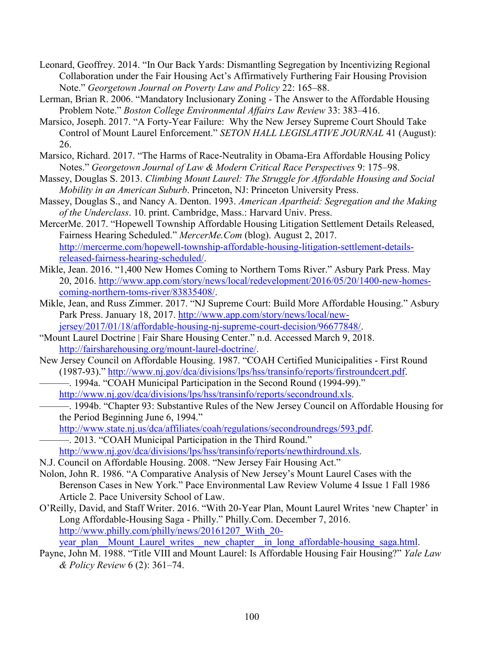- Leonard, Geoffrey. 2014. "In Our Back Yards: Dismantling Segregation by Incentivizing Regional Collaboration under the Fair Housing Act's Affirmatively Furthering Fair Housing Provision Note." *Georgetown Journal on Poverty Law and Policy* 22: 165–88.
- Lerman, Brian R. 2006. "Mandatory Inclusionary Zoning The Answer to the Affordable Housing Problem Note." *Boston College Environmental Affairs Law Review* 33: 383–416.
- Marsico, Joseph. 2017. "A Forty-Year Failure: Why the New Jersey Supreme Court Should Take Control of Mount Laurel Enforcement." *SETON HALL LEGISLATIVE JOURNAL* 41 (August): 26.
- Marsico, Richard. 2017. "The Harms of Race-Neutrality in Obama-Era Affordable Housing Policy Notes." *Georgetown Journal of Law & Modern Critical Race Perspectives* 9: 175–98.
- Massey, Douglas S. 2013. *Climbing Mount Laurel: The Struggle for Affordable Housing and Social Mobility in an American Suburb*. Princeton, NJ: Princeton University Press.
- Massey, Douglas S., and Nancy A. Denton. 1993. *American Apartheid: Segregation and the Making of the Underclass*. 10. print. Cambridge, Mass.: Harvard Univ. Press.
- MercerMe. 2017. "Hopewell Township Affordable Housing Litigation Settlement Details Released, Fairness Hearing Scheduled." *MercerMe.Com* (blog). August 2, 2017. [http://mercerme.com/hopewell-township-affordable-housing-litigation-settlement-details](http://mercerme.com/hopewell-township-affordable-housing-litigation-settlement-details-released-fairness-hearing-scheduled/)[released-fairness-hearing-scheduled/.](http://mercerme.com/hopewell-township-affordable-housing-litigation-settlement-details-released-fairness-hearing-scheduled/)
- Mikle, Jean. 2016. "1,400 New Homes Coming to Northern Toms River." Asbury Park Press. May 20, 2016. [http://www.app.com/story/news/local/redevelopment/2016/05/20/1400-new-homes](http://www.app.com/story/news/local/redevelopment/2016/05/20/1400-new-homes-coming-northern-toms-river/83835408/)[coming-northern-toms-river/83835408/.](http://www.app.com/story/news/local/redevelopment/2016/05/20/1400-new-homes-coming-northern-toms-river/83835408/)
- Mikle, Jean, and Russ Zimmer. 2017. "NJ Supreme Court: Build More Affordable Housing." Asbury Park Press. January 18, 2017. [http://www.app.com/story/news/local/new](http://www.app.com/story/news/local/new-jersey/2017/01/18/affordable-housing-nj-supreme-court-decision/96677848/)[jersey/2017/01/18/affordable-housing-nj-supreme-court-decision/96677848/.](http://www.app.com/story/news/local/new-jersey/2017/01/18/affordable-housing-nj-supreme-court-decision/96677848/)
- "Mount Laurel Doctrine | Fair Share Housing Center." n.d. Accessed March 9, 2018. [http://fairsharehousing.org/mount-laurel-doctrine/.](http://fairsharehousing.org/mount-laurel-doctrine/)
- New Jersey Council on Affordable Housing. 1987. "COAH Certified Municipalities First Round (1987-93)." [http://www.nj.gov/dca/divisions/lps/hss/transinfo/reports/firstroundcert.pdf.](http://www.nj.gov/dca/divisions/lps/hss/transinfo/reports/firstroundcert.pdf)
- ———. 1994a. "COAH Municipal Participation in the Second Round (1994-99)." [http://www.nj.gov/dca/divisions/lps/hss/transinfo/reports/secondround.xls.](http://www.nj.gov/dca/divisions/lps/hss/transinfo/reports/secondround.xls)
	- ———. 1994b. "Chapter 93: Substantive Rules of the New Jersey Council on Affordable Housing for the Period Beginning June 6, 1994."
	- [http://www.state.nj.us/dca/affiliates/coah/regulations/secondroundregs/593.pdf.](http://www.state.nj.us/dca/affiliates/coah/regulations/secondroundregs/593.pdf)
	- ———. 2013. "COAH Municipal Participation in the Third Round."
	- [http://www.nj.gov/dca/divisions/lps/hss/transinfo/reports/newthirdround.xls.](http://www.nj.gov/dca/divisions/lps/hss/transinfo/reports/newthirdround.xls)
- N.J. Council on Affordable Housing. 2008. "New Jersey Fair Housing Act."
- Nolon, John R. 1986. "A Comparative Analysis of New Jersey's Mount Laurel Cases with the Berenson Cases in New York." Pace Environmental Law Review Volume 4 Issue 1 Fall 1986 Article 2. Pace University School of Law.
- O'Reilly, David, and Staff Writer. 2016. "With 20-Year Plan, Mount Laurel Writes 'new Chapter' in Long Affordable-Housing Saga - Philly." Philly.Com. December 7, 2016. http://www.philly.com/philly/news/20161207 With 20year\_plan\_Mount\_Laurel\_writes\_\_new\_chapter\_\_in\_long\_affordable-housing\_saga.html.
- Payne, John M. 1988. "Title VIII and Mount Laurel: Is Affordable Housing Fair Housing?" *Yale Law & Policy Review* 6 (2): 361–74.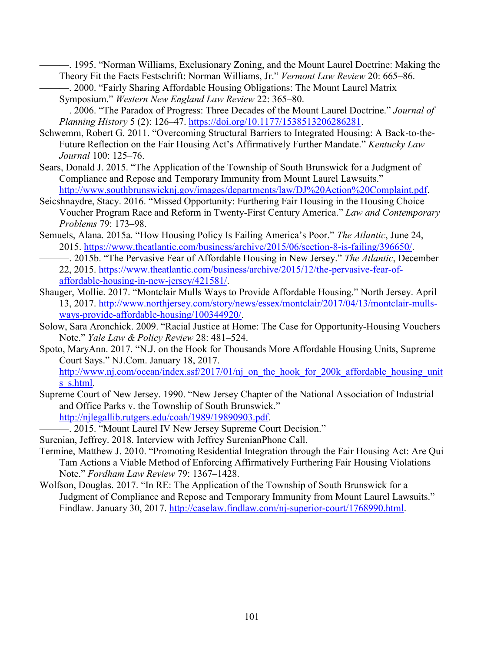———. 1995. "Norman Williams, Exclusionary Zoning, and the Mount Laurel Doctrine: Making the Theory Fit the Facts Festschrift: Norman Williams, Jr." *Vermont Law Review* 20: 665–86.

- ———. 2000. "Fairly Sharing Affordable Housing Obligations: The Mount Laurel Matrix Symposium." *Western New England Law Review* 22: 365–80.
- ———. 2006. "The Paradox of Progress: Three Decades of the Mount Laurel Doctrine." *Journal of Planning History* 5 (2): 126–47. [https://doi.org/10.1177/1538513206286281.](https://doi.org/10.1177/1538513206286281)
- Schwemm, Robert G. 2011. "Overcoming Structural Barriers to Integrated Housing: A Back-to-the-Future Reflection on the Fair Housing Act's Affirmatively Further Mandate." *Kentucky Law Journal* 100: 125–76.
- Sears, Donald J. 2015. "The Application of the Township of South Brunswick for a Judgment of Compliance and Repose and Temporary Immunity from Mount Laurel Lawsuits."

[http://www.southbrunswicknj.gov/images/departments/law/DJ%20Action%20Complaint.pdf.](http://www.southbrunswicknj.gov/images/departments/law/DJ%20Action%20Complaint.pdf)

- Seicshnaydre, Stacy. 2016. "Missed Opportunity: Furthering Fair Housing in the Housing Choice Voucher Program Race and Reform in Twenty-First Century America." *Law and Contemporary Problems* 79: 173–98.
- Semuels, Alana. 2015a. "How Housing Policy Is Failing America's Poor." *The Atlantic*, June 24, 2015. [https://www.theatlantic.com/business/archive/2015/06/section-8-is-failing/396650/.](https://www.theatlantic.com/business/archive/2015/06/section-8-is-failing/396650/)
- ———. 2015b. "The Pervasive Fear of Affordable Housing in New Jersey." *The Atlantic*, December 22, 2015. [https://www.theatlantic.com/business/archive/2015/12/the-pervasive-fear-of](https://www.theatlantic.com/business/archive/2015/12/the-pervasive-fear-of-affordable-housing-in-new-jersey/421581/)[affordable-housing-in-new-jersey/421581/.](https://www.theatlantic.com/business/archive/2015/12/the-pervasive-fear-of-affordable-housing-in-new-jersey/421581/)
- Shauger, Mollie. 2017. "Montclair Mulls Ways to Provide Affordable Housing." North Jersey. April 13, 2017. [http://www.northjersey.com/story/news/essex/montclair/2017/04/13/montclair-mulls](http://www.northjersey.com/story/news/essex/montclair/2017/04/13/montclair-mulls-ways-provide-affordable-housing/100344920/)[ways-provide-affordable-housing/100344920/.](http://www.northjersey.com/story/news/essex/montclair/2017/04/13/montclair-mulls-ways-provide-affordable-housing/100344920/)
- Solow, Sara Aronchick. 2009. "Racial Justice at Home: The Case for Opportunity-Housing Vouchers Note." *Yale Law & Policy Review* 28: 481–524.
- Spoto, MaryAnn. 2017. "N.J. on the Hook for Thousands More Affordable Housing Units, Supreme Court Says." NJ.Com. January 18, 2017. [http://www.nj.com/ocean/index.ssf/2017/01/nj\\_on\\_the\\_hook\\_for\\_200k\\_affordable\\_housing\\_unit](http://www.nj.com/ocean/index.ssf/2017/01/nj_on_the_hook_for_200k_affordable_housing_units_s.html) s s.html.
- Supreme Court of New Jersey. 1990. "New Jersey Chapter of the National Association of Industrial and Office Parks v. the Township of South Brunswick." [http://njlegallib.rutgers.edu/coah/1989/19890903.pdf.](http://njlegallib.rutgers.edu/coah/1989/19890903.pdf)

———. 2015. "Mount Laurel IV New Jersey Supreme Court Decision."

- Surenian, Jeffrey. 2018. Interview with Jeffrey SurenianPhone Call.
- Termine, Matthew J. 2010. "Promoting Residential Integration through the Fair Housing Act: Are Qui Tam Actions a Viable Method of Enforcing Affirmatively Furthering Fair Housing Violations Note." *Fordham Law Review* 79: 1367–1428.
- Wolfson, Douglas. 2017. "In RE: The Application of the Township of South Brunswick for a Judgment of Compliance and Repose and Temporary Immunity from Mount Laurel Lawsuits." Findlaw. January 30, 2017. [http://caselaw.findlaw.com/nj-superior-court/1768990.html.](http://caselaw.findlaw.com/nj-superior-court/1768990.html)